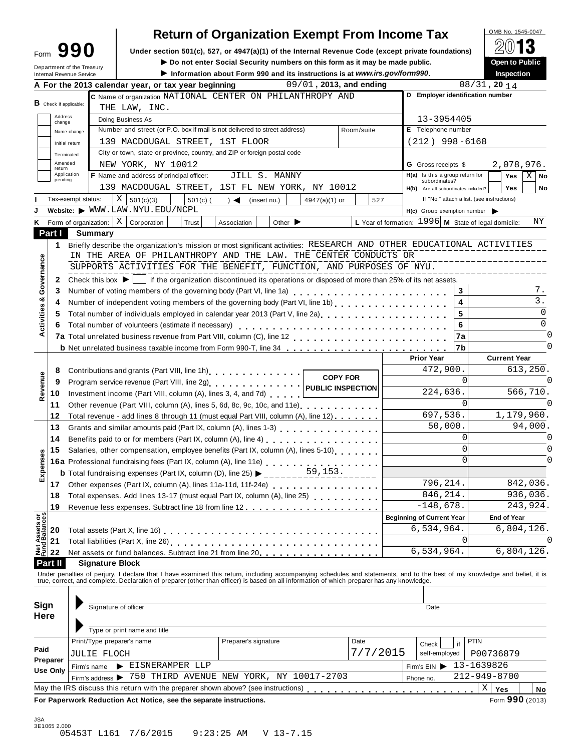| Form |                              | 990 |
|------|------------------------------|-----|
|      | المتملآ المتطف كماله فتستحدث |     |

# **Return of Organization Exempt From Income Tax**<br>section 501(c), 527, or 4947(a)(1) of the Internal Revenue Code (except private foundations)

Form **990** Under section 501(c), 527, or 4947(a)(1) of the Internal Revenue Code (except private foundations) **2013** 

|              |                   | Form JJU                        |                                                                            | Under section 501(c), 527, or 4947(a)(1) or the internal Revenue Code (except private foundations)                                                                            |                 |                                                        | (C) IV                                      |
|--------------|-------------------|---------------------------------|----------------------------------------------------------------------------|-------------------------------------------------------------------------------------------------------------------------------------------------------------------------------|-----------------|--------------------------------------------------------|---------------------------------------------|
|              |                   | Department of the Treasury      |                                                                            | Do not enter Social Security numbers on this form as it may be made public.                                                                                                   |                 |                                                        | Open to Public                              |
|              |                   | <b>Internal Revenue Service</b> | A For the 2013 calendar year, or tax year beginning                        | Information about Form 990 and its instructions is at www.irs.gov/form990.<br>09/01, 2013, and ending                                                                         |                 |                                                        | Inspection<br>$08/31$ , 20 14               |
|              |                   |                                 |                                                                            |                                                                                                                                                                               |                 |                                                        | D Employer identification number            |
|              |                   | B Check if applicable:          |                                                                            | C Name of organization NATIONAL CENTER ON PHILANTHROPY AND                                                                                                                    |                 |                                                        |                                             |
|              | Address           |                                 | THE LAW, INC.                                                              |                                                                                                                                                                               |                 |                                                        |                                             |
|              | change            |                                 | Doing Business As                                                          |                                                                                                                                                                               |                 | 13-3954405                                             |                                             |
|              |                   | Name change                     | Number and street (or P.O. box if mail is not delivered to street address) |                                                                                                                                                                               | Room/suite      | E Telephone number                                     |                                             |
|              |                   | Initial return                  | 139 MACDOUGAL STREET, 1ST FLOOR                                            |                                                                                                                                                                               |                 | $(212)$ 998-6168                                       |                                             |
|              |                   | Terminated                      | City or town, state or province, country, and ZIP or foreign postal code   |                                                                                                                                                                               |                 |                                                        |                                             |
|              | Amended<br>return |                                 | NEW YORK, NY 10012                                                         |                                                                                                                                                                               |                 | <b>G</b> Gross receipts \$                             | 2,078,976.                                  |
|              | pending           | Application                     | F Name and address of principal officer:                                   | JILL S. MANNY                                                                                                                                                                 |                 | H(a) Is this a group return for<br>subordinates?       | $X \mid$ No<br>Yes                          |
|              |                   |                                 |                                                                            | 139 MACDOUGAL STREET, 1ST FL NEW YORK, NY 10012                                                                                                                               |                 | H(b) Are all subordinates included?                    | <b>Yes</b><br>No                            |
|              |                   | Tax-exempt status:              | $X \mid$<br>501(c)(3)<br>$501(c)$ (                                        | (insert no.)<br>4947(a)(1) or<br>$\rightarrow$                                                                                                                                | 527             |                                                        | If "No," attach a list. (see instructions)  |
|              |                   |                                 | Website: WWW.LAW.NYU.EDU/NCPL                                              |                                                                                                                                                                               |                 | $H(c)$ Group exemption number $\triangleright$         |                                             |
| Κ            |                   | Form of organization:           | X<br>Corporation<br>Trust                                                  | Other $\blacktriangleright$<br>Association                                                                                                                                    |                 | L Year of formation: $1996$ M State of legal domicile: | ΝY                                          |
|              | Part I            | <b>Summary</b>                  |                                                                            |                                                                                                                                                                               |                 |                                                        |                                             |
|              | 1.                |                                 |                                                                            | Briefly describe the organization's mission or most significant activities: RESEARCH AND OTHER EDUCATIONAL ACTIVITIES                                                         |                 |                                                        |                                             |
|              |                   |                                 |                                                                            | IN THE AREA OF PHILANTHROPY AND THE LAW. THE CENTER CONDUCTS OR                                                                                                               |                 |                                                        |                                             |
| Governance   |                   |                                 |                                                                            | SUPPORTS ACTIVITIES FOR THE BENEFIT, FUNCTION, AND PURPOSES OF NYU.                                                                                                           |                 |                                                        |                                             |
|              | 2                 |                                 |                                                                            | Check this box $\blacktriangleright$   if the organization discontinued its operations or disposed of more than 25% of its net assets.                                        |                 |                                                        |                                             |
|              | 3                 |                                 |                                                                            |                                                                                                                                                                               |                 |                                                        | 3<br>7.                                     |
|              | 4                 |                                 |                                                                            |                                                                                                                                                                               |                 |                                                        | $\overline{3}$ .<br>$\overline{\mathbf{4}}$ |
| Activities & | 5                 |                                 |                                                                            | Total number of individuals employed in calendar year 2013 (Part V, line 2a)<br>The 2a)                                                                                       |                 |                                                        | 0<br>5                                      |
|              | 6                 |                                 | Total number of volunteers (estimate if necessary)                         |                                                                                                                                                                               |                 |                                                        | $\overline{0}$<br>6                         |
|              |                   |                                 |                                                                            |                                                                                                                                                                               |                 |                                                        | 0<br>7a                                     |
|              |                   |                                 |                                                                            |                                                                                                                                                                               |                 |                                                        | $\Omega$<br>17b                             |
|              |                   |                                 |                                                                            |                                                                                                                                                                               |                 | <b>Prior Year</b>                                      | <b>Current Year</b>                         |
|              |                   |                                 |                                                                            |                                                                                                                                                                               |                 | 472,900.                                               | 613,250.                                    |
|              | 8                 |                                 |                                                                            |                                                                                                                                                                               | <b>COPY FOR</b> |                                                        | $\Omega$<br>$\Omega$                        |
| Revenue      | 9                 |                                 |                                                                            |                                                                                                                                                                               |                 |                                                        |                                             |
|              | 10                |                                 | Investment income (Part VIII, column (A), lines 3, 4, and 7d)              |                                                                                                                                                                               |                 | 224,636.                                               | 566,710.                                    |
|              | 11                |                                 |                                                                            | Other revenue (Part VIII, column (A), lines 5, 6d, 8c, 9c, 10c, and 11e)                                                                                                      |                 |                                                        | $\Omega$<br>$\Omega$                        |
|              | 12                |                                 |                                                                            | Total revenue - add lines 8 through 11 (must equal Part VIII, column (A), line 12)                                                                                            |                 | 697,536.                                               | 1,179,960.                                  |
|              | 13                |                                 |                                                                            |                                                                                                                                                                               |                 | 50,000.                                                | 94,000.                                     |
|              | 14                |                                 |                                                                            | Benefits paid to or for members (Part IX, column (A), line 4)<br>                                                                                                             |                 |                                                        | 0l<br>$\Omega$                              |
|              | 15                |                                 |                                                                            | Salaries, other compensation, employee benefits (Part IX, column (A), lines 5-10)                                                                                             |                 |                                                        | $\Omega$                                    |
|              |                   |                                 |                                                                            |                                                                                                                                                                               |                 |                                                        | 0                                           |
| Expenses     |                   |                                 | <b>b</b> Total fundraising expenses (Part IX, column (D), line 25) >       | 59,153.                                                                                                                                                                       |                 |                                                        |                                             |
|              | 17                |                                 |                                                                            |                                                                                                                                                                               |                 | 796,214.                                               | 842,036.                                    |
|              | 18                |                                 |                                                                            | Total expenses. Add lines 13-17 (must equal Part IX, column (A), line 25) [ [ [ [ [ ] ] [ ] [ ] [ ] [ ]                                                                       |                 | 846, 214.                                              | 936,036.                                    |
|              | 19                |                                 |                                                                            |                                                                                                                                                                               |                 | $-148,678.$                                            | 243,924.                                    |
|              |                   |                                 |                                                                            |                                                                                                                                                                               |                 | <b>Beginning of Current Year</b>                       | <b>End of Year</b>                          |
|              |                   |                                 |                                                                            |                                                                                                                                                                               |                 | 6,534,964.                                             | 6,804,126.                                  |
|              |                   |                                 |                                                                            |                                                                                                                                                                               |                 |                                                        | 0                                           |
|              |                   |                                 |                                                                            | Net assets or fund balances. Subtract line 21 from line 20.                                                                                                                   |                 | 6,534,964.                                             | 6,804,126.                                  |
|              | Part II           |                                 | <b>Signature Block</b>                                                     |                                                                                                                                                                               |                 |                                                        |                                             |
|              |                   |                                 |                                                                            | Under penalties of perjury, I declare that I have examined this return, including accompanying schedules and statements, and to the best of my knowledge and belief, it is    |                 |                                                        |                                             |
|              |                   |                                 |                                                                            | true, correct, and complete. Declaration of preparer (other than officer) is based on all information of which preparer has any knowledge.                                    |                 |                                                        |                                             |
|              |                   |                                 |                                                                            |                                                                                                                                                                               |                 |                                                        |                                             |
| Sign         |                   |                                 | Signature of officer                                                       |                                                                                                                                                                               |                 | Date                                                   |                                             |
| Here         |                   |                                 |                                                                            |                                                                                                                                                                               |                 |                                                        |                                             |
|              |                   |                                 | Type or print name and title                                               |                                                                                                                                                                               |                 |                                                        |                                             |
|              |                   |                                 |                                                                            |                                                                                                                                                                               |                 |                                                        |                                             |
| Paid         |                   |                                 | Print/Type preparer's name                                                 | Preparer's signature                                                                                                                                                          | Date            | Check                                                  | PTIN<br>if                                  |
|              | Preparer          | <b>JULIE FLOCH</b>              |                                                                            |                                                                                                                                                                               | 7/7/2015        | self-employed                                          | P00736879                                   |
|              | Use Only          | Firm's name                     | EISNERAMPER LLP                                                            |                                                                                                                                                                               |                 | Firm's $EIN$                                           | 13-1639826                                  |
|              |                   |                                 |                                                                            | Firm's address > 750 THIRD AVENUE NEW YORK, NY 10017-2703                                                                                                                     |                 | Phone no.                                              | 212-949-8700                                |
|              |                   |                                 |                                                                            | May the IRS discuss this return with the preparer shown above? (see instructions) entitleded in the LRS discuss this return with the preparer shown above? (see instructions) |                 |                                                        | Χ<br>Yes<br>No                              |
|              |                   |                                 | For Paperwork Reduction Act Notice, see the separate instructions.         |                                                                                                                                                                               |                 |                                                        | Form 990 (2013)                             |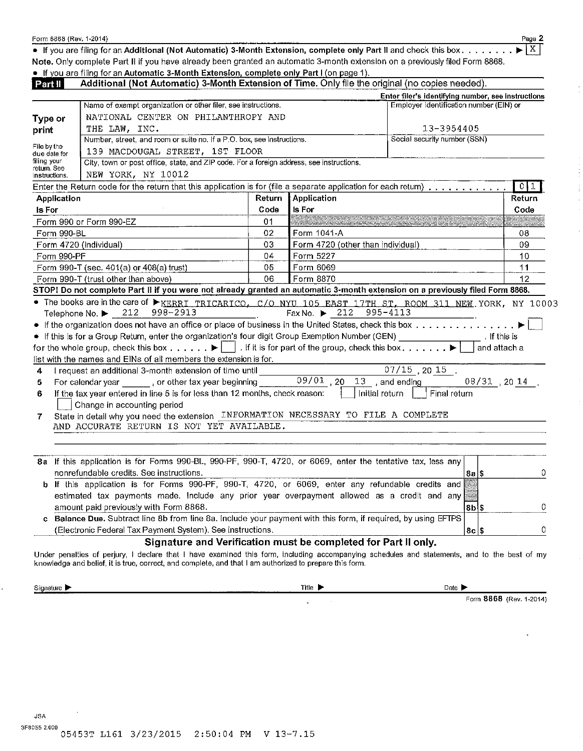• If you are filing for an Additional (Not Automatic) 3-Month Extension, complete only Part II and check this box . . . . . . . Χ Note. Only complete Part II if you have already been granted an automatic 3-month extension on a previously filed Form 8868.

|  |  |  | . If you are filing for an Automatic 3-Month Extension, complete only Part I (on page 1). |
|--|--|--|-------------------------------------------------------------------------------------------|
|  |  |  |                                                                                           |

| Part II                     |                                                             | Additional (Not Automatic) 3-Month Extension of Time. Only file the original (no copies needed).                                                        |                                   |                                          |                                                    |     |                     |
|-----------------------------|-------------------------------------------------------------|---------------------------------------------------------------------------------------------------------------------------------------------------------|-----------------------------------|------------------------------------------|----------------------------------------------------|-----|---------------------|
|                             |                                                             |                                                                                                                                                         |                                   |                                          | Enter filer's identifying number, see instructions |     |                     |
|                             |                                                             | Name of exempt organization or other filer, see instructions.                                                                                           |                                   |                                          | Employer identification number (EIN) or            |     |                     |
| Type or                     |                                                             | NATIONAL CENTER ON PHILANTHROPY AND                                                                                                                     |                                   |                                          |                                                    |     |                     |
| THE LAW, INC.<br>print      |                                                             | 13-3954405                                                                                                                                              |                                   |                                          |                                                    |     |                     |
|                             |                                                             | Number, street, and room or suite no. If a P.O. box, see instructions.                                                                                  |                                   |                                          | Social security number (SSN)                       |     |                     |
| File by the<br>due date for |                                                             | 139 MACDOUGAL STREET, 1ST FLOOR                                                                                                                         |                                   |                                          |                                                    |     |                     |
| filing your<br>return. See  |                                                             | City, town or post office, state, and ZIP code. For a foreign address, see instructions.                                                                |                                   |                                          |                                                    |     |                     |
| instructions.               |                                                             | NEW YORK, NY 10012                                                                                                                                      |                                   |                                          |                                                    |     |                     |
|                             |                                                             | Enter the Return code for the return that this application is for (file a separate application for each return)                                         |                                   |                                          |                                                    |     | 011                 |
|                             | Application                                                 |                                                                                                                                                         | Return                            | Application                              |                                                    |     | Return              |
| <b>Is For</b>               |                                                             |                                                                                                                                                         | Code                              | Is For                                   |                                                    |     | Code                |
| Form 990 or Form 990-EZ     |                                                             | 01                                                                                                                                                      |                                   |                                          |                                                    |     |                     |
|                             | Form 990-BL                                                 |                                                                                                                                                         | 02                                | Form 1041-A                              |                                                    |     | 08                  |
| Form 4720 (individual)      |                                                             | 03                                                                                                                                                      | Form 4720 (other than individual) |                                          |                                                    | 09  |                     |
| 04<br>Form 990-PF           |                                                             | 10<br>Form 5227                                                                                                                                         |                                   |                                          |                                                    |     |                     |
|                             | 05<br>Form 6069<br>Form 990-T (sec. 401(a) or 408(a) trust) |                                                                                                                                                         |                                   | 11                                       |                                                    |     |                     |
|                             |                                                             | Form 990-T (trust other than above)                                                                                                                     | 06                                | Form 8870                                |                                                    |     | 12                  |
|                             |                                                             | STOP! Do not complete Part II if you were not already granted an automatic 3-month extension on a previously filed Form 8868.                           |                                   |                                          |                                                    |     |                     |
|                             |                                                             | • The books are in the care of $\triangleright_{\text{KERRI}}$ TRICARICO, C/O NYU 105 EAST 17TH ST, ROOM 311 NEW YORK, NY 10003                         |                                   |                                          |                                                    |     |                     |
|                             |                                                             | 998-2913<br>Telephone No. $\blacktriangleright$ 212                                                                                                     |                                   | Fax No. $\triangleright$ 212<br>995-4113 |                                                    |     |                     |
|                             |                                                             | • If the organization does not have an office or place of business in the United States, check this box                                                 |                                   |                                          |                                                    |     |                     |
|                             |                                                             | • If this is for a Group Return, enter the organization's four digit Group Exemption Number (GEN) ________________. If this is                          |                                   |                                          |                                                    |     |                     |
|                             |                                                             | for the whole group, check this box $\blacktriangleright$ . If it is for part of the group, check this box $\blacktriangleright$                        |                                   |                                          |                                                    |     | and attach a        |
|                             |                                                             | list with the names and EINs of all members the extension is for.                                                                                       |                                   |                                          |                                                    |     |                     |
| 4                           |                                                             | I request an additional 3-month extension of time until                                                                                                 |                                   |                                          | $07/15$ , 20 15                                    |     |                     |
| 5.                          |                                                             | For calendar year ______, or other tax year beginning _______                                                                                           |                                   | $\overline{09/01}$ , 20 13 , and ending  |                                                    |     | $08/31$ , 20 $14$ . |
| 6                           |                                                             | If the tax year entered in line 5 is for less than 12 months, check reason:<br>Change in accounting period                                              |                                   | $Initial$ return $  \cdot  $             | Final return                                       |     |                     |
| 7                           |                                                             | State in detail why you need the extension INFORMATION NECESSARY TO FILE A COMPLETE                                                                     |                                   |                                          |                                                    |     |                     |
|                             |                                                             | AND ACCURATE RETURN IS NOT YET AVAILABLE.                                                                                                               |                                   |                                          |                                                    |     |                     |
|                             |                                                             |                                                                                                                                                         |                                   |                                          |                                                    |     |                     |
|                             |                                                             | 8a If this application is for Forms 990-BL, 990-PF, 990-T, 4720, or 6069, enter the tentative tax, less any<br>nonrefundable credits. See instructions. |                                   |                                          |                                                    | 8aS | 0                   |
|                             |                                                             | b If this application is for Forms 990-PF, 990-T, 4720, or 6069, enter any refundable credits and                                                       |                                   |                                          |                                                    |     |                     |

| estimated tax payments made. Include any prior year overpayment allowed as a credit and any                    |       |  |
|----------------------------------------------------------------------------------------------------------------|-------|--|
| amount paid previously with Form 8868.                                                                         | l d8l |  |
| c Balance Due. Subtract line 8b from line 8a. Include your payment with this form, if required, by using EFTPS |       |  |
| (Electronic Federal Tax Payment System). See instructions.                                                     | .8cl  |  |

#### Signature and Verification must be completed for Part li only.

Under penalties of perjury, I declare that l have examined this form, including accompanying schedules and statements, and to the best of my knowledge and belief, it is true, correct, and complete, and that I am authorized to prepare this form.

Signature  $\blacktriangleright$  Date  $\blacktriangleright$  Date  $\blacktriangleright$  Date  $\blacktriangleright$ 

Form 8868 (Rev. 1-2014)

Page 2

JSA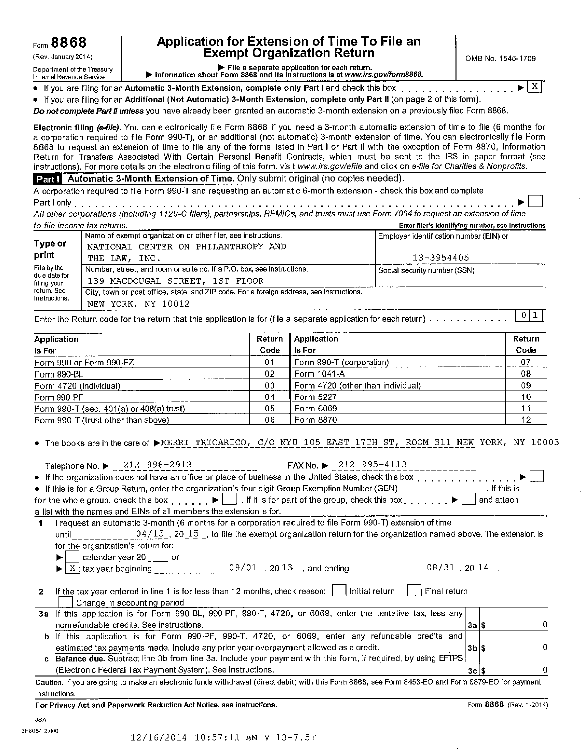### Form 8868 **Application for Extension of Time To File an**<br>Exempt Organization Return Exempt Organization Return  $\left[\begin{array}{c} | \\ | \end{array}\right]_{\text{OMB No. 1545-1709}}$

Department of the Treasury ..... File a separate application for each return. Internal Revenue Service ..... Information about Form 8868 and Its Instructions Is at *www.irs.gov/form8868.* 

• If you are filing for an Automatic 3-Month Extension, complete only Part I and check this box  $\ldots \ldots$ . • If you are filing for an Additional (Not Automatic) 3-Month Extension, complete only Part II (on page 2 of this form).

*Do not complete Part* li *unless* you have already been granted an automatic 3-month extension on a previously filed Form 8868.

Electronic filing *(e-file}.* You can electronically file Form 8868 if you need a 3-month automatic extension of time to file (6 months for a corporation required to file Form 990-T), or an additional (not automatic) 3-month extension of time. You can electronically file Form 8868 to request an extension of time to file any of the forms listed in Part I or Part li with the exception of Form 8870, Information Return for Transfers Associated With Certain Personal Benefit Contracts, which must be sent to the IRS in paper format (see instructions). For more details on the electronic filing of this form, visit *www.irs.gov/efi/e* and click on *e-file for Charities* & *Nonprofits.* 

Part **Automatic 3-Month Extension of Time.** Only submit original (no copies needed).

A corporation required to file Form 990-T and requesting an automatic 6-month extension - check this box and complete Part I only . . . . . . . . . . . . . . . • . . . . . . . . . . . . . . . . • • . . . . . . . . . . . . . . . . . . . . . . . . . . ..... ~ D

*All other corporations (including 1120-C filers), partnerships, REM/Cs, and trusts must use Form 7004 to request an extension of time to file income tax returns.* Enter filer's ldentlfvlna number, see Instructions

| <u>to me income texternis.</u>         |                                                                                          | ETHEL THEI 9 REPORTED THE REPORT OF THE REPORTED |
|----------------------------------------|------------------------------------------------------------------------------------------|--------------------------------------------------|
|                                        | Name of exempt organization or other filer, see instructions.                            | Employer identification number (EIN) or          |
| Type or                                | NATIONAL CENTER ON PHILANTHROPY AND                                                      |                                                  |
|                                        | THE LAW, INC.                                                                            | 13-3954405                                       |
| File by the                            | Number, street, and room or suite no. If a P.O. box, see instructions.                   | Social security number (SSN)                     |
| filing your                            | 139 MACDOUGAL STREET. 1ST FLOOR                                                          |                                                  |
| return. See                            | City, town or post office, state, and ZIP code. For a foreign address, see instructions. |                                                  |
| print<br>due date for<br>instructions. | NEW YORK, NY 10012                                                                       |                                                  |

Enter the Return code for the return that this application is for (file a separate application for each return)  $\cdots \cdots \cdots$ 

| Application                                      | Return | Application                         | Return |
|--------------------------------------------------|--------|-------------------------------------|--------|
| ls For                                           | Code   | l Is For                            | Code   |
| Form 990 or Form 990-EZ                          | 01     | Form 990-T (corporation)            | 07     |
| Form 990-BL                                      | 02     | l Form 1041-A                       | 08     |
| Form 4720 (individual)                           | 03     | l Form 4720 (other than individual) | 09     |
| Form 990-PF                                      | 04     | Form 5227                           | 10     |
| Form $990 - T$ (sec. $401(a)$ or $408(a)$ trust) | 05     | Form 6069                           |        |
| Form 990-T (trust other than above)              | 06     | Form 8870                           | 12     |

The books are in the care of FKERRI TRICARICO, C/O NYU 105 EAST 17TH ST, ROOM 311 NEW YORK, NY 10003

|              | Telephone No. $\blacktriangleright$ 212 998-2913<br>FAX No. $\triangleright$ 212 995-4113<br>and the control of the control of                                                   |                    |                         |   |
|--------------|----------------------------------------------------------------------------------------------------------------------------------------------------------------------------------|--------------------|-------------------------|---|
|              | • If the organization does not have an office or place of business in the United States, check this box                                                                          |                    |                         |   |
|              | • If this is for a Group Return, enter the organization's four digit Group Exemption Number (GEN) ________________. If this is                                                   |                    |                         |   |
|              | for the whole group, check this box $\ldots$ , $\blacktriangleright \blacksquare$ . If it is for part of the group, check this box $\ldots$ , $\blacktriangleright \blacksquare$ |                    | and attach              |   |
|              | a list with the names and EINs of all members the extension is for.                                                                                                              |                    |                         |   |
|              | I request an automatic 3-month (6 months for a corporation required to file Form 990-T) extension of time                                                                        |                    |                         |   |
|              | until $04/15$ , 20 15, to file the exempt organization return for the organization named above. The extension is                                                                 |                    |                         |   |
|              | for the organization's return for:                                                                                                                                               |                    |                         |   |
|              |                                                                                                                                                                                  |                    |                         |   |
|              | calendar year 20 _____ or<br><u>X</u> tax year beginning ________________09/01 _, 20 13 _, and ending____________08/31_, 20 14 _.                                                |                    |                         |   |
|              |                                                                                                                                                                                  |                    |                         |   |
| $\mathbf{2}$ | If the tax year entered in line 1 is for less than 12 months, check reason: $\vert \cdot \vert$ Initial return<br><b>i</b> Final return                                          |                    |                         |   |
|              | Change in accounting period                                                                                                                                                      |                    |                         |   |
|              | 3a If this application is for Form 990-BL, 990-PF, 990-T, 4720, or 6069, enter the tentative tax, less any                                                                       |                    |                         |   |
|              | nonrefundable credits. See instructions.                                                                                                                                         | 3a S               |                         |   |
|              | b If this application is for Form 990-PF, 990-T, 4720, or 6069, enter any refundable credits and                                                                                 |                    |                         |   |
|              | estimated tax payments made. Include any prior year overpayment allowed as a credit.                                                                                             | $ 3b $ \$          |                         | 0 |
|              | c Balance due. Subtract line 3b from line 3a. Include your payment with this form, if required, by using EFTPS                                                                   |                    |                         |   |
|              | (Electronic Federal Tax Payment System). See instructions.                                                                                                                       | $3c$ $\frac{2}{3}$ |                         | 0 |
|              | Caution. If you are going to make an electronic funds withdrawal (direct debit) with this Form 8868, see Form 8453-EO and Form 8879-EO for payment                               |                    |                         |   |
|              | instructions.                                                                                                                                                                    |                    |                         |   |
|              | For Privacy Act and Paperwork Reduction Act Notice, see instructions.                                                                                                            |                    | Form 8868 (Rev. 1-2014) |   |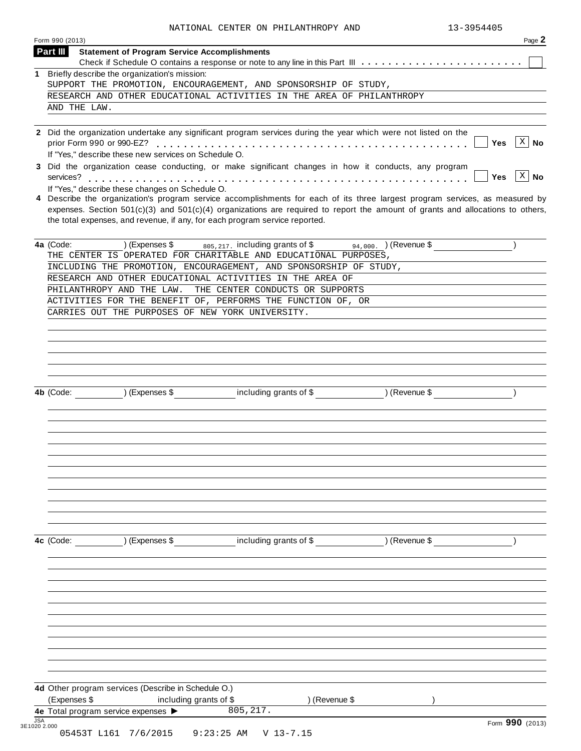| 1. | Briefly describe the organization's mission:                                                                                                                                                                                                                                                                                                      |  |
|----|---------------------------------------------------------------------------------------------------------------------------------------------------------------------------------------------------------------------------------------------------------------------------------------------------------------------------------------------------|--|
|    | SUPPORT THE PROMOTION, ENCOURAGEMENT, AND SPONSORSHIP OF STUDY,                                                                                                                                                                                                                                                                                   |  |
|    | RESEARCH AND OTHER EDUCATIONAL ACTIVITIES IN THE AREA OF PHILANTHROPY                                                                                                                                                                                                                                                                             |  |
|    | AND THE LAW.                                                                                                                                                                                                                                                                                                                                      |  |
|    | 2 Did the organization undertake any significant program services during the year which were not listed on the<br>$\left[\begin{array}{c c} x & \mathbf{No} \end{array}\right]$<br><b>Yes</b><br>If "Yes," describe these new services on Schedule O.                                                                                             |  |
|    | 3 Did the organization cease conducting, or make significant changes in how it conducts, any program<br>$\left[\begin{array}{c c} x & \mathbf{No} \end{array}\right]$<br><b>Yes</b><br>If "Yes," describe these changes on Schedule O.                                                                                                            |  |
|    | 4 Describe the organization's program service accomplishments for each of its three largest program services, as measured by<br>expenses. Section $501(c)(3)$ and $501(c)(4)$ organizations are required to report the amount of grants and allocations to others,<br>the total expenses, and revenue, if any, for each program service reported. |  |
|    | $(94,000)$ (Revenue \$<br>4a (Code:<br>) (Expenses $\frac{1}{2}$ $\frac{1}{2}$ $\frac{1}{2}$ including grants of \$<br>THE CENTER IS OPERATED FOR CHARITABLE AND EDUCATIONAL PURPOSES,                                                                                                                                                            |  |
|    | INCLUDING THE PROMOTION, ENCOURAGEMENT, AND SPONSORSHIP OF STUDY,                                                                                                                                                                                                                                                                                 |  |
|    | RESEARCH AND OTHER EDUCATIONAL ACTIVITIES IN THE AREA OF                                                                                                                                                                                                                                                                                          |  |
|    | PHILANTHROPY AND THE LAW.<br>THE CENTER CONDUCTS OR SUPPORTS                                                                                                                                                                                                                                                                                      |  |
|    | ACTIVITIES FOR THE BENEFIT OF, PERFORMS THE FUNCTION OF, OR                                                                                                                                                                                                                                                                                       |  |
|    | CARRIES OUT THE PURPOSES OF NEW YORK UNIVERSITY.                                                                                                                                                                                                                                                                                                  |  |
|    | including grants of \$ ) (Revenue \$<br>$\overline{)}$ (Expenses \$<br>4b (Code:                                                                                                                                                                                                                                                                  |  |
|    |                                                                                                                                                                                                                                                                                                                                                   |  |
|    |                                                                                                                                                                                                                                                                                                                                                   |  |
|    | including grants of \$<br>$\sqrt{2}$ (Expenses \$<br>) (Revenue \$<br>4c (Code:                                                                                                                                                                                                                                                                   |  |
|    |                                                                                                                                                                                                                                                                                                                                                   |  |
|    |                                                                                                                                                                                                                                                                                                                                                   |  |
|    |                                                                                                                                                                                                                                                                                                                                                   |  |
|    |                                                                                                                                                                                                                                                                                                                                                   |  |
|    | 4d Other program services (Describe in Schedule O.)                                                                                                                                                                                                                                                                                               |  |
|    | (Expenses \$<br>including grants of \$<br>) (Revenue \$<br>805, 217.<br>4e Total program service expenses                                                                                                                                                                                                                                         |  |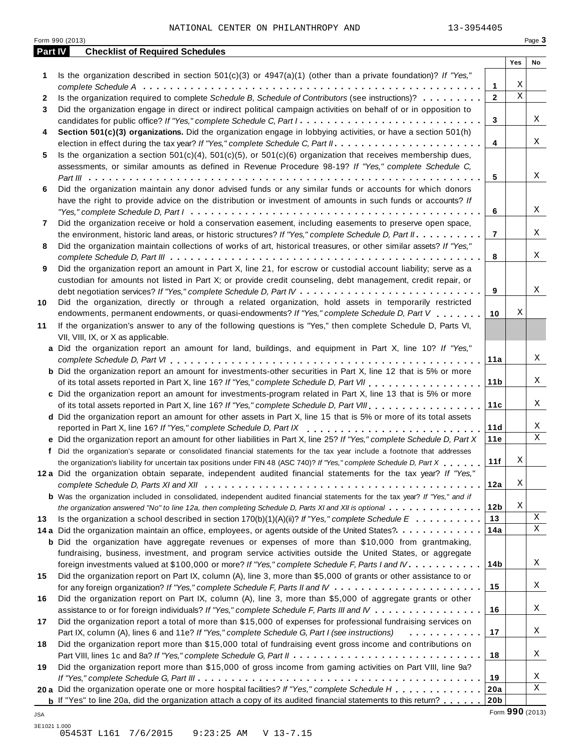| Part IV      | Form 990 (2013)<br><b>Checklist of Required Schedules</b>                                                                                                                                                                                           |                     |                         | Page 3 |
|--------------|-----------------------------------------------------------------------------------------------------------------------------------------------------------------------------------------------------------------------------------------------------|---------------------|-------------------------|--------|
|              |                                                                                                                                                                                                                                                     |                     | Yes                     | No     |
| 1            | Is the organization described in section $501(c)(3)$ or $4947(a)(1)$ (other than a private foundation)? If "Yes,"                                                                                                                                   |                     | Χ                       |        |
|              |                                                                                                                                                                                                                                                     | 1<br>$\overline{2}$ | $\overline{\mathbf{x}}$ |        |
| $\mathbf{2}$ | Is the organization required to complete Schedule B, Schedule of Contributors (see instructions)?                                                                                                                                                   |                     |                         |        |
| 3            | Did the organization engage in direct or indirect political campaign activities on behalf of or in opposition to<br>candidates for public office? If "Yes," complete Schedule C, Part I.                                                            | 3                   |                         | Χ      |
| 4            | Section 501(c)(3) organizations. Did the organization engage in lobbying activities, or have a section 501(h)                                                                                                                                       | 4                   |                         | X      |
| 5            | Is the organization a section $501(c)(4)$ , $501(c)(5)$ , or $501(c)(6)$ organization that receives membership dues,<br>assessments, or similar amounts as defined in Revenue Procedure 98-19? If "Yes," complete Schedule C,                       | 5                   |                         | Χ      |
| 6            | Did the organization maintain any donor advised funds or any similar funds or accounts for which donors<br>have the right to provide advice on the distribution or investment of amounts in such funds or accounts? If                              |                     |                         |        |
|              |                                                                                                                                                                                                                                                     | 6                   |                         | Χ      |
| 7            | Did the organization receive or hold a conservation easement, including easements to preserve open space,<br>the environment, historic land areas, or historic structures? If "Yes," complete Schedule D, Part II.                                  | $\overline{7}$      |                         | Χ      |
| 8            | Did the organization maintain collections of works of art, historical treasures, or other similar assets? If "Yes,"                                                                                                                                 | 8                   |                         | Χ      |
| 9            | Did the organization report an amount in Part X, line 21, for escrow or custodial account liability; serve as a<br>custodian for amounts not listed in Part X; or provide credit counseling, debt management, credit repair, or                     | 9                   |                         | Χ      |
| 10           | Did the organization, directly or through a related organization, hold assets in temporarily restricted<br>endowments, permanent endowments, or quasi-endowments? If "Yes," complete Schedule D, Part V                                             | 10                  | Χ                       |        |
| 11           | If the organization's answer to any of the following questions is "Yes," then complete Schedule D, Parts VI,<br>VII, VIII, IX, or X as applicable.                                                                                                  |                     |                         |        |
|              | a Did the organization report an amount for land, buildings, and equipment in Part X, line 10? If "Yes,"                                                                                                                                            |                     |                         |        |
|              | <b>b</b> Did the organization report an amount for investments-other securities in Part X, line 12 that is 5% or more                                                                                                                               | 11a                 |                         | Χ      |
|              | c Did the organization report an amount for investments-program related in Part X, line 13 that is 5% or more                                                                                                                                       | 11 <sub>b</sub>     |                         | Χ      |
|              |                                                                                                                                                                                                                                                     | 11c                 |                         | Χ      |
|              | d Did the organization report an amount for other assets in Part X, line 15 that is 5% or more of its total assets<br>reported in Part X, line 16? If "Yes," complete Schedule D, Part IX                                                           | 11d                 |                         | Χ      |
|              | e Did the organization report an amount for other liabilities in Part X, line 25? If "Yes," complete Schedule D, Part X                                                                                                                             | 11e                 |                         | X      |
|              | f Did the organization's separate or consolidated financial statements for the tax year include a footnote that addresses<br>the organization's liability for uncertain tax positions under FIN 48 (ASC 740)? If "Yes," complete Schedule D, Part X | 11f                 | Χ                       |        |
|              | 12a Did the organization obtain separate, independent audited financial statements for the tax year? If "Yes,"                                                                                                                                      |                     | Χ                       |        |
|              | <b>b</b> Was the organization included in consolidated, independent audited financial statements for the tax year? If "Yes," and if                                                                                                                 | 12a                 |                         |        |
|              | the organization answered "No" to line 12a, then completing Schedule D, Parts XI and XII is optional                                                                                                                                                | 12 <sub>b</sub>     | Χ                       | X      |
| 13           | Is the organization a school described in section $170(b)(1)(A)(ii)?$ If "Yes," complete Schedule E                                                                                                                                                 | 13                  |                         | Χ      |
|              | 14 a Did the organization maintain an office, employees, or agents outside of the United States?.<br><b>b</b> Did the organization have aggregate revenues or expenses of more than \$10,000 from grantmaking,                                      | 14a                 |                         |        |
|              | fundraising, business, investment, and program service activities outside the United States, or aggregate<br>foreign investments valued at \$100,000 or more? If "Yes," complete Schedule F, Parts I and IV                                         | 14b                 |                         | Χ      |
| 15           | Did the organization report on Part IX, column (A), line 3, more than \$5,000 of grants or other assistance to or                                                                                                                                   | 15                  |                         | Χ      |
| 16           | Did the organization report on Part IX, column (A), line 3, more than \$5,000 of aggregate grants or other<br>assistance to or for foreign individuals? If "Yes," complete Schedule F, Parts III and IV                                             | 16                  |                         | Χ      |
| 17           | Did the organization report a total of more than \$15,000 of expenses for professional fundraising services on<br>Part IX, column (A), lines 6 and 11e? If "Yes," complete Schedule G, Part I (see instructions)<br>.                               | 17                  |                         | Χ      |
| 18           | Did the organization report more than \$15,000 total of fundraising event gross income and contributions on                                                                                                                                         | 18                  |                         | Χ      |
| 19           | Did the organization report more than \$15,000 of gross income from gaming activities on Part VIII, line 9a?                                                                                                                                        | 19                  |                         | Χ      |
|              | 20 a Did the organization operate one or more hospital facilities? If "Yes," complete Schedule H                                                                                                                                                    | 20a                 |                         | Χ      |
|              | <b>b</b> If "Yes" to line 20a, did the organization attach a copy of its audited financial statements to this return?                                                                                                                               | 20 <sub>b</sub>     |                         |        |
| JSA          |                                                                                                                                                                                                                                                     | Form 990 (2013)     |                         |        |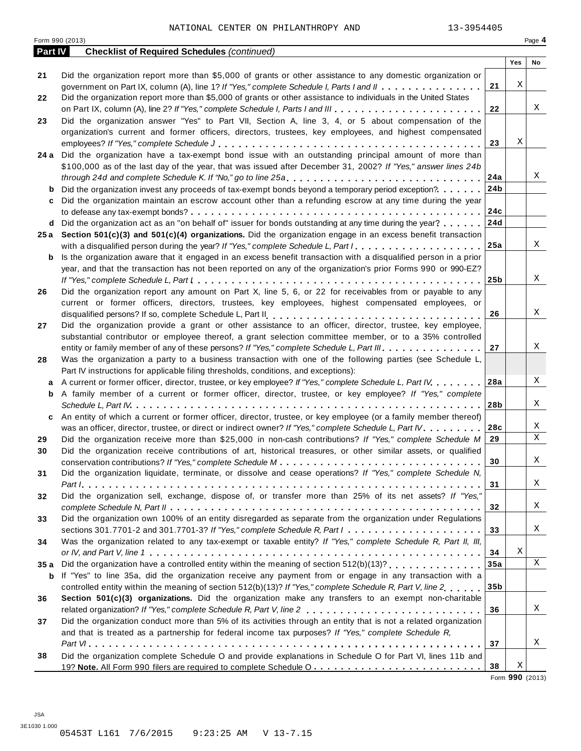|                | Form 990 (2013)                                                                                                                     |                 |     | Page 4 |
|----------------|-------------------------------------------------------------------------------------------------------------------------------------|-----------------|-----|--------|
| <b>Part IV</b> | <b>Checklist of Required Schedules (continued)</b>                                                                                  |                 |     |        |
|                |                                                                                                                                     |                 | Yes | No     |
| 21             | Did the organization report more than \$5,000 of grants or other assistance to any domestic organization or                         |                 | Χ   |        |
|                | government on Part IX, column (A), line 1? If "Yes," complete Schedule I, Parts I and II                                            | 21              |     |        |
| 22             | Did the organization report more than \$5,000 of grants or other assistance to individuals in the United States                     |                 |     | Χ      |
|                |                                                                                                                                     | 22              |     |        |
| 23             | Did the organization answer "Yes" to Part VII, Section A, line 3, 4, or 5 about compensation of the                                 |                 |     |        |
|                | organization's current and former officers, directors, trustees, key employees, and highest compensated                             |                 | Χ   |        |
|                |                                                                                                                                     | 23              |     |        |
|                | 24 a Did the organization have a tax-exempt bond issue with an outstanding principal amount of more than                            |                 |     |        |
|                | \$100,000 as of the last day of the year, that was issued after December 31, 2002? If "Yes," answer lines 24b                       |                 |     | Χ      |
|                | through 24d and complete Schedule K. If "No," go to line 25a                                                                        | 24a             |     |        |
| b              | Did the organization invest any proceeds of tax-exempt bonds beyond a temporary period exception?                                   | 24 <sub>b</sub> |     |        |
| c              | Did the organization maintain an escrow account other than a refunding escrow at any time during the year                           |                 |     |        |
|                |                                                                                                                                     | 24c             |     |        |
| d              | Did the organization act as an "on behalf of" issuer for bonds outstanding at any time during the year?                             | 24d             |     |        |
|                | 25a Section 501(c)(3) and 501(c)(4) organizations. Did the organization engage in an excess benefit transaction                     |                 |     |        |
|                | with a disqualified person during the year? If "Yes," complete Schedule L, Part I                                                   | 25a             |     | Χ      |
| b              | Is the organization aware that it engaged in an excess benefit transaction with a disqualified person in a prior                    |                 |     |        |
|                | year, and that the transaction has not been reported on any of the organization's prior Forms 990 or 990-EZ?                        |                 |     |        |
|                |                                                                                                                                     | 25 <sub>b</sub> |     | X      |
| 26             | Did the organization report any amount on Part X, line 5, 6, or 22 for receivables from or payable to any                           |                 |     |        |
|                | current or former officers, directors, trustees, key employees, highest compensated employees, or                                   |                 |     |        |
|                |                                                                                                                                     | 26              |     | Χ      |
| 27             | Did the organization provide a grant or other assistance to an officer, director, trustee, key employee,                            |                 |     |        |
|                | substantial contributor or employee thereof, a grant selection committee member, or to a 35% controlled                             |                 |     |        |
|                | entity or family member of any of these persons? If "Yes," complete Schedule L, Part III.                                           | 27              |     | Χ      |
| 28             | Was the organization a party to a business transaction with one of the following parties (see Schedule L,                           |                 |     |        |
|                | Part IV instructions for applicable filing thresholds, conditions, and exceptions):                                                 |                 |     |        |
| a              | A current or former officer, director, trustee, or key employee? If "Yes," complete Schedule L, Part IV.                            | 28a             |     | Χ      |
| b              | A family member of a current or former officer, director, trustee, or key employee? If "Yes," complete                              |                 |     |        |
|                |                                                                                                                                     | 28b             |     | Χ      |
| c              | An entity of which a current or former officer, director, trustee, or key employee (or a family member thereof)                     |                 |     |        |
|                | was an officer, director, trustee, or direct or indirect owner? If "Yes," complete Schedule L, Part IV.                             | 28c             |     | Χ      |
| 29             | Did the organization receive more than \$25,000 in non-cash contributions? If "Yes," complete Schedule M                            | 29              |     | X      |
| 30             | Did the organization receive contributions of art, historical treasures, or other similar assets, or qualified                      |                 |     |        |
|                |                                                                                                                                     | 30              |     | Χ      |
| 31             | Did the organization liquidate, terminate, or dissolve and cease operations? If "Yes," complete Schedule N,                         |                 |     |        |
|                |                                                                                                                                     | 31              |     | Χ      |
| 32             | Did the organization sell, exchange, dispose of, or transfer more than 25% of its net assets? If "Yes,"                             |                 |     |        |
|                |                                                                                                                                     | 32              |     | Χ      |
| 33             | Did the organization own 100% of an entity disregarded as separate from the organization under Regulations                          |                 |     |        |
|                | sections 301.7701-2 and 301.7701-3? If "Yes," complete Schedule R, Part $l_1, \ldots, l_l, l_l, \ldots, l_l, l_l, \ldots, l_l, l_l$ | 33              |     | Χ      |
| 34             | Was the organization related to any tax-exempt or taxable entity? If "Yes," complete Schedule R, Part II, III,                      |                 |     |        |
|                |                                                                                                                                     | 34              | Χ   |        |
| 35a            |                                                                                                                                     | 35a             |     | X      |
| b              | If "Yes" to line 35a, did the organization receive any payment from or engage in any transaction with a                             |                 |     |        |
|                | controlled entity within the meaning of section 512(b)(13)? If "Yes," complete Schedule R, Part V, line 2.,,,,                      | 35b             |     |        |
| 36             | Section 501(c)(3) organizations. Did the organization make any transfers to an exempt non-charitable                                |                 |     |        |
|                |                                                                                                                                     | 36              |     | Χ      |
| 37             | Did the organization conduct more than 5% of its activities through an entity that is not a related organization                    |                 |     |        |
|                | and that is treated as a partnership for federal income tax purposes? If "Yes," complete Schedule R,                                |                 |     |        |
|                |                                                                                                                                     | 37              |     | Χ      |
| 38             | Did the organization complete Schedule O and provide explanations in Schedule O for Part VI, lines 11b and                          |                 |     |        |
|                |                                                                                                                                     | 38              | X   |        |

Form **990** (2013)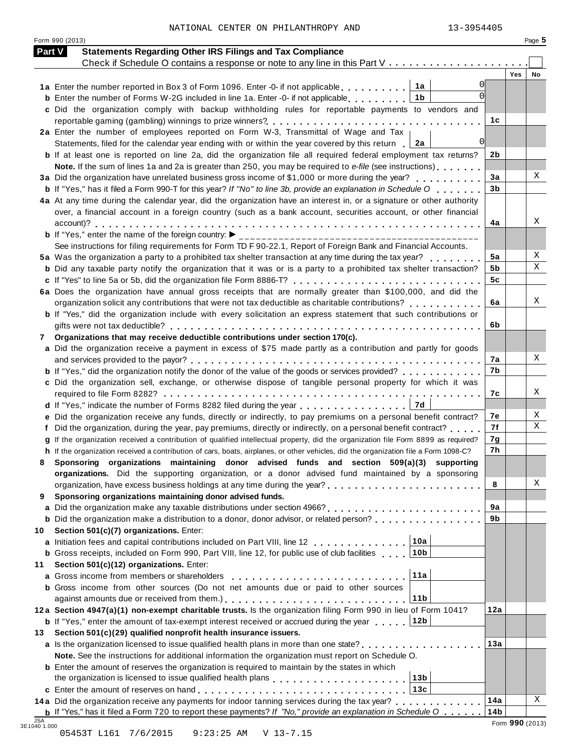Form 990 (2013) Page **5**

| <b>Part V</b> | <b>Statements Regarding Other IRS Filings and Tax Compliance</b>                                                                                                                                                              |                        |            |    |
|---------------|-------------------------------------------------------------------------------------------------------------------------------------------------------------------------------------------------------------------------------|------------------------|------------|----|
|               | Check if Schedule O contains a response or note to any line in this Part V                                                                                                                                                    |                        | <b>Yes</b> | No |
|               | 1a<br>1a Enter the number reported in Box 3 of Form 1096. Enter -0- if not applicable                                                                                                                                         |                        |            |    |
|               | 1 <sub>b</sub><br><b>b</b> Enter the number of Forms W-2G included in line 1a. Enter -0- if not applicable                                                                                                                    |                        |            |    |
|               | c Did the organization comply with backup withholding rules for reportable payments to vendors and                                                                                                                            |                        |            |    |
|               |                                                                                                                                                                                                                               | 1с                     |            |    |
|               | 2a Enter the number of employees reported on Form W-3, Transmittal of Wage and Tax                                                                                                                                            |                        |            |    |
|               | $\Omega$<br>Statements, filed for the calendar year ending with or within the year covered by this return $\Box$ 2a                                                                                                           |                        |            |    |
|               | <b>b</b> If at least one is reported on line 2a, did the organization file all required federal employment tax returns?                                                                                                       | 2b                     |            |    |
|               | Note. If the sum of lines 1a and 2a is greater than 250, you may be required to e-file (see instructions)                                                                                                                     |                        |            |    |
|               | 3a Did the organization have unrelated business gross income of \$1,000 or more during the year?                                                                                                                              | 3a                     |            | X  |
|               | <b>b</b> If "Yes," has it filed a Form 990-T for this year? If "No" to line 3b, provide an explanation in Schedule O                                                                                                          | 3 <sub>b</sub>         |            |    |
|               | 4a At any time during the calendar year, did the organization have an interest in, or a signature or other authority                                                                                                          |                        |            |    |
|               | over, a financial account in a foreign country (such as a bank account, securities account, or other financial                                                                                                                |                        |            |    |
|               |                                                                                                                                                                                                                               | 4a                     |            | Χ  |
|               |                                                                                                                                                                                                                               |                        |            |    |
|               | See instructions for filing requirements for Form TD F 90-22.1, Report of Foreign Bank and Financial Accounts.                                                                                                                |                        |            |    |
|               | 5a Was the organization a party to a prohibited tax shelter transaction at any time during the tax year?                                                                                                                      | 5a                     |            | Χ  |
|               | <b>b</b> Did any taxable party notify the organization that it was or is a party to a prohibited tax shelter transaction?                                                                                                     | 5b                     |            | Χ  |
|               |                                                                                                                                                                                                                               | 5 <sub>c</sub>         |            |    |
|               | 6a Does the organization have annual gross receipts that are normally greater than \$100,000, and did the                                                                                                                     |                        |            |    |
|               |                                                                                                                                                                                                                               | 6a                     |            | Χ  |
|               | b If "Yes," did the organization include with every solicitation an express statement that such contributions or                                                                                                              |                        |            |    |
|               |                                                                                                                                                                                                                               | 6b                     |            |    |
| 7             | Organizations that may receive deductible contributions under section 170(c).                                                                                                                                                 |                        |            |    |
|               | a Did the organization receive a payment in excess of \$75 made partly as a contribution and partly for goods                                                                                                                 |                        |            |    |
|               |                                                                                                                                                                                                                               | 7a                     |            |    |
|               | <b>b</b> If "Yes," did the organization notify the donor of the value of the goods or services provided?                                                                                                                      | 7b                     |            |    |
|               | c Did the organization sell, exchange, or otherwise dispose of tangible personal property for which it was                                                                                                                    |                        |            |    |
|               |                                                                                                                                                                                                                               | 7с                     |            | Χ  |
|               | 7d<br>d If "Yes," indicate the number of Forms 8282 filed during the year entitled via research of the Number of Forms 8282 filed during the year entitled via research of the Number of B                                    |                        |            |    |
|               | Did the organization receive any funds, directly or indirectly, to pay premiums on a personal benefit contract?                                                                                                               | 7е                     |            | Χ  |
| f             | Did the organization, during the year, pay premiums, directly or indirectly, on a personal benefit contract?                                                                                                                  | 7f                     |            | X  |
|               | If the organization received a contribution of qualified intellectual property, did the organization file Form 8899 as required?                                                                                              | 7g                     |            |    |
| h.            | If the organization received a contribution of cars, boats, airplanes, or other vehicles, did the organization file a Form 1098-C?                                                                                            | 7h                     |            |    |
| 8             | Sponsoring organizations maintaining donor advised funds and section 509(a)(3) supporting                                                                                                                                     |                        |            |    |
|               | organizations. Did the supporting organization, or a donor advised fund maintained by a sponsoring                                                                                                                            |                        |            |    |
|               |                                                                                                                                                                                                                               | 8                      |            | Χ  |
| 9             | Sponsoring organizations maintaining donor advised funds.                                                                                                                                                                     |                        |            |    |
|               |                                                                                                                                                                                                                               | 9a                     |            |    |
|               | <b>b</b> Did the organization make a distribution to a donor, donor advisor, or related person?                                                                                                                               | 9b                     |            |    |
| 10            | Section 501(c)(7) organizations. Enter:                                                                                                                                                                                       |                        |            |    |
|               | 10a<br>a Initiation fees and capital contributions included on Part VIII, line 12                                                                                                                                             |                        |            |    |
|               | 10 <sub>b</sub><br><b>b</b> Gross receipts, included on Form 990, Part VIII, line 12, for public use of club facilities                                                                                                       |                        |            |    |
| 11            | Section 501(c)(12) organizations. Enter:                                                                                                                                                                                      |                        |            |    |
|               | 11a<br>a Gross income from members or shareholders                                                                                                                                                                            |                        |            |    |
|               | <b>b</b> Gross income from other sources (Do not net amounts due or paid to other sources                                                                                                                                     |                        |            |    |
|               | 11 <sub>b</sub>                                                                                                                                                                                                               |                        |            |    |
|               | 12a Section 4947(a)(1) non-exempt charitable trusts. Is the organization filing Form 990 in lieu of Form 1041?                                                                                                                | 12a                    |            |    |
|               | 12b<br><b>b</b> If "Yes," enter the amount of tax-exempt interest received or accrued during the year                                                                                                                         |                        |            |    |
|               | Section 501(c)(29) qualified nonprofit health insurance issuers.                                                                                                                                                              |                        |            |    |
|               | a Is the organization licensed to issue qualified health plans in more than one state?                                                                                                                                        | 13a                    |            |    |
|               |                                                                                                                                                                                                                               |                        |            |    |
|               | Note. See the instructions for additional information the organization must report on Schedule O.                                                                                                                             |                        |            |    |
|               | <b>b</b> Enter the amount of reserves the organization is required to maintain by the states in which                                                                                                                         |                        |            |    |
|               | 13 <sub>b</sub>                                                                                                                                                                                                               |                        |            |    |
| 13.           | 13c                                                                                                                                                                                                                           |                        |            |    |
|               | 14a Did the organization receive any payments for indoor tanning services during the tax year?<br><b>b</b> If "Yes," has it filed a Form 720 to report these payments? If "No," provide an explanation in Schedule O $\ldots$ | 14a<br>14 <sub>b</sub> |            | X  |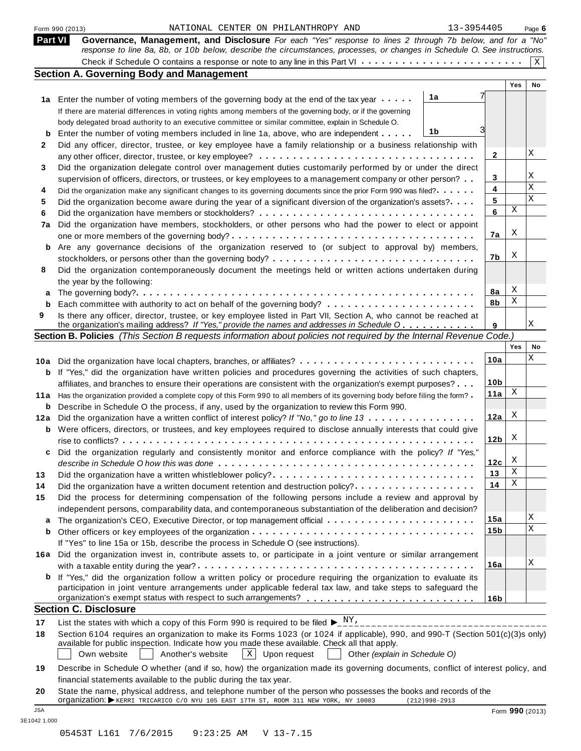| Part VI<br>b<br>2<br>3 | Governance, Management, and Disclosure For each "Yes" response to lines 2 through 7b below, and for a "No"<br>response to line 8a, 8b, or 10b below, describe the circumstances, processes, or changes in Schedule O. See instructions.<br><b>Section A. Governing Body and Management</b><br>1a<br>1a Enter the number of voting members of the governing body at the end of the tax year<br>If there are material differences in voting rights among members of the governing body, or if the governing |                 | Yes | Χ  |
|------------------------|-----------------------------------------------------------------------------------------------------------------------------------------------------------------------------------------------------------------------------------------------------------------------------------------------------------------------------------------------------------------------------------------------------------------------------------------------------------------------------------------------------------|-----------------|-----|----|
|                        |                                                                                                                                                                                                                                                                                                                                                                                                                                                                                                           |                 |     |    |
|                        |                                                                                                                                                                                                                                                                                                                                                                                                                                                                                                           |                 |     |    |
|                        |                                                                                                                                                                                                                                                                                                                                                                                                                                                                                                           |                 |     |    |
|                        |                                                                                                                                                                                                                                                                                                                                                                                                                                                                                                           |                 |     | No |
|                        |                                                                                                                                                                                                                                                                                                                                                                                                                                                                                                           |                 |     |    |
|                        |                                                                                                                                                                                                                                                                                                                                                                                                                                                                                                           |                 |     |    |
|                        | body delegated broad authority to an executive committee or similar committee, explain in Schedule O.                                                                                                                                                                                                                                                                                                                                                                                                     |                 |     |    |
|                        | 1b<br>Enter the number of voting members included in line 1a, above, who are independent                                                                                                                                                                                                                                                                                                                                                                                                                  |                 |     |    |
|                        | Did any officer, director, trustee, or key employee have a family relationship or a business relationship with                                                                                                                                                                                                                                                                                                                                                                                            |                 |     |    |
|                        | any other officer, director, trustee, or key employee? $\ldots \ldots \ldots \ldots \ldots \ldots \ldots \ldots \ldots \ldots$                                                                                                                                                                                                                                                                                                                                                                            | 2               |     | Χ  |
|                        | Did the organization delegate control over management duties customarily performed by or under the direct                                                                                                                                                                                                                                                                                                                                                                                                 |                 |     |    |
|                        | supervision of officers, directors, or trustees, or key employees to a management company or other person?                                                                                                                                                                                                                                                                                                                                                                                                | 3               |     | Χ  |
|                        |                                                                                                                                                                                                                                                                                                                                                                                                                                                                                                           | 4               |     | X  |
| 4                      | Did the organization make any significant changes to its governing documents since the prior Form 990 was filed?                                                                                                                                                                                                                                                                                                                                                                                          | 5               |     | Χ  |
| 5                      | Did the organization become aware during the year of a significant diversion of the organization's assets?                                                                                                                                                                                                                                                                                                                                                                                                | 6               | Χ   |    |
| 6                      |                                                                                                                                                                                                                                                                                                                                                                                                                                                                                                           |                 |     |    |
| 7a                     | Did the organization have members, stockholders, or other persons who had the power to elect or appoint                                                                                                                                                                                                                                                                                                                                                                                                   |                 | Χ   |    |
|                        |                                                                                                                                                                                                                                                                                                                                                                                                                                                                                                           | 7a              |     |    |
| b                      | Are any governance decisions of the organization reserved to (or subject to approval by) members,                                                                                                                                                                                                                                                                                                                                                                                                         |                 | Χ   |    |
|                        | stockholders, or persons other than the governing body? $\dots \dots \dots \dots \dots \dots \dots \dots \dots \dots \dots \dots$                                                                                                                                                                                                                                                                                                                                                                         | 7b              |     |    |
| 8                      | Did the organization contemporaneously document the meetings held or written actions undertaken during                                                                                                                                                                                                                                                                                                                                                                                                    |                 |     |    |
|                        | the year by the following:                                                                                                                                                                                                                                                                                                                                                                                                                                                                                |                 |     |    |
| а                      |                                                                                                                                                                                                                                                                                                                                                                                                                                                                                                           | 8a              | Χ   |    |
| b                      |                                                                                                                                                                                                                                                                                                                                                                                                                                                                                                           | 8b              | Χ   |    |
| 9                      | Is there any officer, director, trustee, or key employee listed in Part VII, Section A, who cannot be reached at                                                                                                                                                                                                                                                                                                                                                                                          |                 |     |    |
|                        | the organization's mailing address? If "Yes," provide the names and addresses in Schedule O                                                                                                                                                                                                                                                                                                                                                                                                               | 9               |     | Χ  |
|                        | Section B. Policies (This Section B requests information about policies not required by the Internal Revenue Code.)                                                                                                                                                                                                                                                                                                                                                                                       |                 |     |    |
|                        |                                                                                                                                                                                                                                                                                                                                                                                                                                                                                                           |                 | Yes | No |
|                        | 10a Did the organization have local chapters, branches, or affiliates?                                                                                                                                                                                                                                                                                                                                                                                                                                    | 10a             |     | Χ  |
| b                      | If "Yes," did the organization have written policies and procedures governing the activities of such chapters,                                                                                                                                                                                                                                                                                                                                                                                            |                 |     |    |
|                        | affiliates, and branches to ensure their operations are consistent with the organization's exempt purposes?                                                                                                                                                                                                                                                                                                                                                                                               | 10 <sub>b</sub> |     |    |
| 11a                    | Has the organization provided a complete copy of this Form 990 to all members of its governing body before filing the form?                                                                                                                                                                                                                                                                                                                                                                               | 11a             | Χ   |    |
| b                      | Describe in Schedule O the process, if any, used by the organization to review this Form 990.                                                                                                                                                                                                                                                                                                                                                                                                             |                 |     |    |
| 12a                    | Did the organization have a written conflict of interest policy? If "No," go to line 13                                                                                                                                                                                                                                                                                                                                                                                                                   | 12a             | Χ   |    |
| b                      | Were officers, directors, or trustees, and key employees required to disclose annually interests that could give                                                                                                                                                                                                                                                                                                                                                                                          |                 |     |    |
|                        |                                                                                                                                                                                                                                                                                                                                                                                                                                                                                                           | 12 <sub>b</sub> | Χ   |    |
|                        | Did the organization regularly and consistently monitor and enforce compliance with the policy? If "Yes,'                                                                                                                                                                                                                                                                                                                                                                                                 |                 |     |    |
|                        |                                                                                                                                                                                                                                                                                                                                                                                                                                                                                                           | 12c             | Χ   |    |
| 13                     | Did the organization have a written whistleblower policy?                                                                                                                                                                                                                                                                                                                                                                                                                                                 | 13              | Χ   |    |
| 14                     | Did the organization have a written document retention and destruction policy?                                                                                                                                                                                                                                                                                                                                                                                                                            | 14              | Χ   |    |
| 15                     | Did the process for determining compensation of the following persons include a review and approval by                                                                                                                                                                                                                                                                                                                                                                                                    |                 |     |    |
|                        | independent persons, comparability data, and contemporaneous substantiation of the deliberation and decision?                                                                                                                                                                                                                                                                                                                                                                                             |                 |     |    |
|                        |                                                                                                                                                                                                                                                                                                                                                                                                                                                                                                           | 15a             |     | Χ  |
| а                      |                                                                                                                                                                                                                                                                                                                                                                                                                                                                                                           | 15b             |     | X  |
| b                      |                                                                                                                                                                                                                                                                                                                                                                                                                                                                                                           |                 |     |    |
|                        | If "Yes" to line 15a or 15b, describe the process in Schedule O (see instructions).                                                                                                                                                                                                                                                                                                                                                                                                                       |                 |     |    |
|                        | 16a Did the organization invest in, contribute assets to, or participate in a joint venture or similar arrangement                                                                                                                                                                                                                                                                                                                                                                                        |                 |     | Χ  |
|                        |                                                                                                                                                                                                                                                                                                                                                                                                                                                                                                           | 16a             |     |    |
| b                      | If "Yes," did the organization follow a written policy or procedure requiring the organization to evaluate its                                                                                                                                                                                                                                                                                                                                                                                            |                 |     |    |
|                        | participation in joint venture arrangements under applicable federal tax law, and take steps to safeguard the                                                                                                                                                                                                                                                                                                                                                                                             |                 |     |    |
|                        |                                                                                                                                                                                                                                                                                                                                                                                                                                                                                                           | 16 <sub>b</sub> |     |    |
|                        | <b>Section C. Disclosure</b>                                                                                                                                                                                                                                                                                                                                                                                                                                                                              |                 |     |    |
| 17                     | List the states with which a copy of this Form 990 is required to be filed $\blacktriangleright_{-}^{\text{NY}}$ .                                                                                                                                                                                                                                                                                                                                                                                        |                 |     |    |
| 18                     | Section 6104 requires an organization to make its Forms 1023 (or 1024 if applicable), 990, and 990-T (Section 501(c)(3)s only)<br>available for public inspection. Indicate how you made these available. Check all that apply.<br>$X$ Upon request<br>Own website<br>Another's website<br>Other (explain in Schedule O)                                                                                                                                                                                  |                 |     |    |
|                        | Describe in Schedule O whether (and if so, how) the organization made its governing documents, conflict of interest policy, and                                                                                                                                                                                                                                                                                                                                                                           |                 |     |    |
| 19                     | financial statements available to the public during the tax year.                                                                                                                                                                                                                                                                                                                                                                                                                                         |                 |     |    |

3E1042 1.000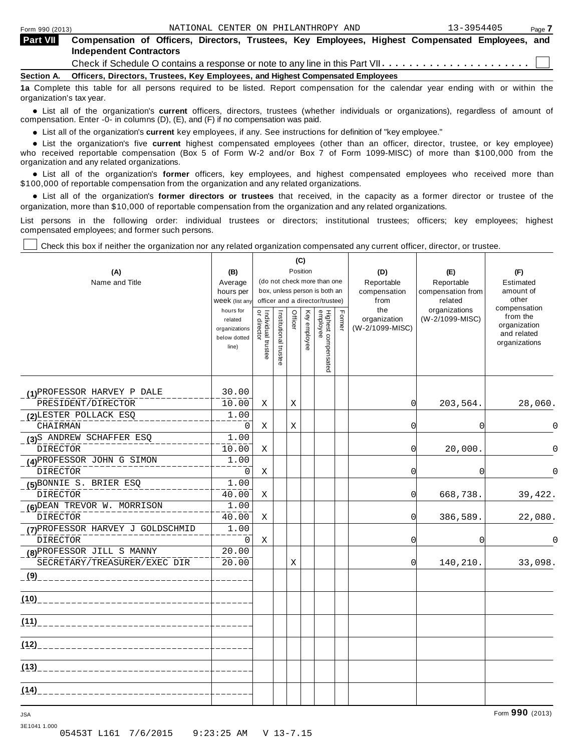| <b>Part VII</b>          | Compensation of Officers, Directors, Trustees, Key Employees, Highest Compensated Employees, and<br><b>Independent Contractors</b> |  |  |  |  |  |  |  |  |  |
|--------------------------|------------------------------------------------------------------------------------------------------------------------------------|--|--|--|--|--|--|--|--|--|
|                          | Check if Schedule O contains a response or note to any line in this Part VII                                                       |  |  |  |  |  |  |  |  |  |
|                          | Section A. Officers, Directors, Trustees, Key Employees, and Highest Compensated Employees                                         |  |  |  |  |  |  |  |  |  |
|                          | 1a Complete this table for all persons required to be listed. Report compensation for the calendar year ending with or within the  |  |  |  |  |  |  |  |  |  |
| organization's tax year. |                                                                                                                                    |  |  |  |  |  |  |  |  |  |

anization's lax year.<br>● List all of the organization's **current** officers, directors, trustees (whether individuals or organizations), regardless of amount of<br>nnensation Enter -0- in columns (D) (E) and (E) if no compensa compensation. Enter -0- in columns (D), (E), and (F) if no compensation was paid.

• List all of the organization's **current** key employees, if any. See instructions for definition of "key employee."<br>● List the experientials five expect highest expressed explores (other than an efficer director of

• List all of the organization's **current** key employees, if any. See instructions for definition of key employee.<br>• List the organization's five **current** highest compensated employees (other than an officer, director, tr who received reportable compensation (Box 5 of Form W-2 and/or Box 7 of Form 1099-MISC) of more than \$100,000 from the

organization and any related organizations.<br>• List all of the organization's **former** officers, key employees, and highest compensated employees who received more than<br>\$1.00.000 of reportable componention from the erganiza \$100,000 of reportable compensation from the organization and any related organizations.

% List all of the organization's **former directors or trustees** that received, in the capacity as a former director or trustee of the organization, more than \$10,000 of reportable compensation from the organization and any related organizations.

List persons in the following order: individual trustees or directors; institutional trustees; officers; key employees; highest compensated employees; and former such persons.

Check this box if neither the organization nor any related organization compensated any current officer, director, or trustee.

 $\top$ 

| (A)<br>Name and Title                                      | (B)<br>Average<br>hours per<br>Week (list any<br>hours for<br>related<br>organizations<br>below dotted<br>line) | Individual trustee<br>or director | Institutional trustee | Position<br>Officer | (C)<br>Key employee | (do not check more than one<br>box, unless person is both an<br>officer and a director/trustee)<br>Highest compensated<br>employee | Former | (D)<br>Reportable<br>compensation<br>from<br>the<br>organization<br>(W-2/1099-MISC) | (E)<br>Reportable<br>compensation from<br>related<br>organizations<br>(W-2/1099-MISC) | (F)<br>Estimated<br>amount of<br>other<br>compensation<br>from the<br>organization<br>and related<br>organizations |
|------------------------------------------------------------|-----------------------------------------------------------------------------------------------------------------|-----------------------------------|-----------------------|---------------------|---------------------|------------------------------------------------------------------------------------------------------------------------------------|--------|-------------------------------------------------------------------------------------|---------------------------------------------------------------------------------------|--------------------------------------------------------------------------------------------------------------------|
| (1)PROFESSOR HARVEY P DALE                                 | 30.00                                                                                                           |                                   |                       |                     |                     |                                                                                                                                    |        |                                                                                     |                                                                                       |                                                                                                                    |
| PRESIDENT/DIRECTOR                                         | 10.00                                                                                                           | X                                 |                       | X                   |                     |                                                                                                                                    |        | $\Omega$                                                                            | 203,564.                                                                              | 28,060.                                                                                                            |
| (2) LESTER POLLACK ESQ                                     | 1.00                                                                                                            |                                   |                       |                     |                     |                                                                                                                                    |        |                                                                                     |                                                                                       |                                                                                                                    |
| <b>CHAIRMAN</b>                                            | $\mathbf 0$                                                                                                     | Χ                                 |                       | X                   |                     |                                                                                                                                    |        | $\Omega$                                                                            | $\Omega$                                                                              | $\Omega$                                                                                                           |
| (3)S ANDREW SCHAFFER ESQ<br><b>DIRECTOR</b>                | 1.00<br>10.00                                                                                                   | Χ                                 |                       |                     |                     |                                                                                                                                    |        | <sup>0</sup>                                                                        | 20,000.                                                                               | $\Omega$                                                                                                           |
| (4) PROFESSOR JOHN G SIMON                                 | 1.00                                                                                                            |                                   |                       |                     |                     |                                                                                                                                    |        |                                                                                     |                                                                                       |                                                                                                                    |
| <b>DIRECTOR</b>                                            | $\mathbf 0$                                                                                                     | X                                 |                       |                     |                     |                                                                                                                                    |        | $\Omega$                                                                            | $\Omega$                                                                              | $\Omega$                                                                                                           |
| (5) BONNIE S. BRIER ESQ<br><b>DIRECTOR</b>                 | 1.00<br>40.00                                                                                                   | Χ                                 |                       |                     |                     |                                                                                                                                    |        | $\Omega$                                                                            | 668,738.                                                                              | 39,422.                                                                                                            |
| (6) DEAN TREVOR W. MORRISON                                | 1.00                                                                                                            |                                   |                       |                     |                     |                                                                                                                                    |        |                                                                                     |                                                                                       |                                                                                                                    |
| <b>DIRECTOR</b>                                            | 40.00                                                                                                           | Χ                                 |                       |                     |                     |                                                                                                                                    |        | 0                                                                                   | 386,589.                                                                              | 22,080.                                                                                                            |
| (7) PROFESSOR HARVEY J GOLDSCHMID<br><b>DIRECTOR</b>       | 1.00<br>$\mathbf 0$                                                                                             | X                                 |                       |                     |                     |                                                                                                                                    |        | $\Omega$                                                                            | $\Omega$                                                                              | $\Omega$                                                                                                           |
| (8) PROFESSOR JILL S MANNY<br>SECRETARY/TREASURER/EXEC DIR | 20.00<br>20.00                                                                                                  |                                   |                       | X                   |                     |                                                                                                                                    |        | 0                                                                                   | 140,210.                                                                              | 33,098.                                                                                                            |
|                                                            |                                                                                                                 |                                   |                       |                     |                     |                                                                                                                                    |        |                                                                                     |                                                                                       |                                                                                                                    |
| (10)                                                       |                                                                                                                 |                                   |                       |                     |                     |                                                                                                                                    |        |                                                                                     |                                                                                       |                                                                                                                    |
| (11)                                                       |                                                                                                                 |                                   |                       |                     |                     |                                                                                                                                    |        |                                                                                     |                                                                                       |                                                                                                                    |
| (12)                                                       |                                                                                                                 |                                   |                       |                     |                     |                                                                                                                                    |        |                                                                                     |                                                                                       |                                                                                                                    |
| (13)                                                       |                                                                                                                 |                                   |                       |                     |                     |                                                                                                                                    |        |                                                                                     |                                                                                       |                                                                                                                    |
| (14)                                                       |                                                                                                                 |                                   |                       |                     |                     |                                                                                                                                    |        |                                                                                     |                                                                                       |                                                                                                                    |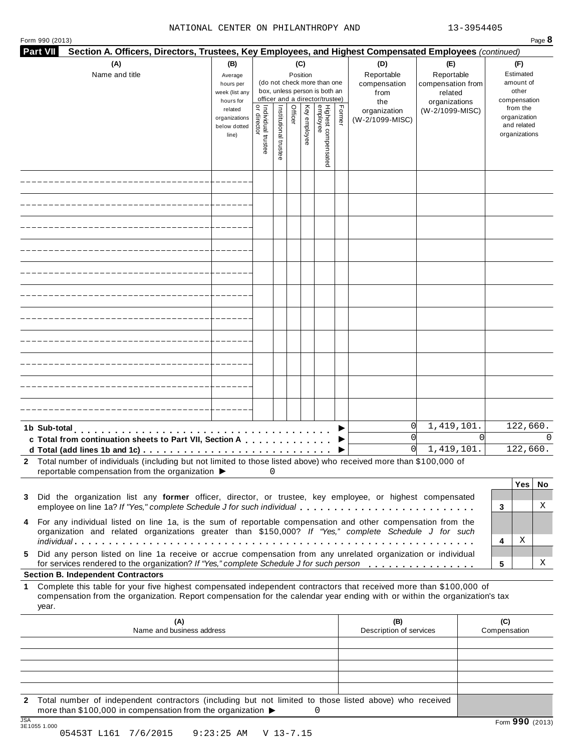#### NATIONAL CENTER ON PHILANTHROPY AND 13-3954405

Form <sup>990</sup> (2013) Page **8**

|    | Part VII     | Section A. Officers, Directors, Trustees, Key Employees, and Highest Compensated Employees (continued)                                                                                                                                           |                                                                                                                 |                                   |                   |         |                                 |                                                                                                                                    |        |                                                                                     |                                                                                       |          |                     |                                                                                                                    |   |
|----|--------------|--------------------------------------------------------------------------------------------------------------------------------------------------------------------------------------------------------------------------------------------------|-----------------------------------------------------------------------------------------------------------------|-----------------------------------|-------------------|---------|---------------------------------|------------------------------------------------------------------------------------------------------------------------------------|--------|-------------------------------------------------------------------------------------|---------------------------------------------------------------------------------------|----------|---------------------|--------------------------------------------------------------------------------------------------------------------|---|
|    |              | (A)<br>Name and title                                                                                                                                                                                                                            | (B)<br>Average<br>hours per<br>week (list any<br>hours for<br>related<br>organizations<br>below dotted<br>line) | Individual trustee<br>or director | Institutional tru | Officer | (C)<br>Position<br>Key employee | (do not check more than one<br>box, unless person is both an<br>officer and a director/trustee)<br>Highest compensated<br>employee | Former | (D)<br>Reportable<br>compensation<br>from<br>the<br>organization<br>(W-2/1099-MISC) | (E)<br>Reportable<br>compensation from<br>related<br>organizations<br>(W-2/1099-MISC) |          |                     | (F)<br>Estimated<br>amount of<br>other<br>compensation<br>from the<br>organization<br>and related<br>organizations |   |
|    |              |                                                                                                                                                                                                                                                  |                                                                                                                 |                                   |                   |         |                                 |                                                                                                                                    |        |                                                                                     |                                                                                       |          |                     |                                                                                                                    |   |
|    |              |                                                                                                                                                                                                                                                  |                                                                                                                 |                                   |                   |         |                                 |                                                                                                                                    |        |                                                                                     |                                                                                       |          |                     |                                                                                                                    |   |
|    |              |                                                                                                                                                                                                                                                  |                                                                                                                 |                                   |                   |         |                                 |                                                                                                                                    |        |                                                                                     |                                                                                       |          |                     |                                                                                                                    |   |
|    |              |                                                                                                                                                                                                                                                  |                                                                                                                 |                                   |                   |         |                                 |                                                                                                                                    |        |                                                                                     |                                                                                       |          |                     |                                                                                                                    |   |
|    |              |                                                                                                                                                                                                                                                  |                                                                                                                 |                                   |                   |         |                                 |                                                                                                                                    |        |                                                                                     |                                                                                       |          |                     |                                                                                                                    |   |
|    |              |                                                                                                                                                                                                                                                  |                                                                                                                 |                                   |                   |         |                                 |                                                                                                                                    |        |                                                                                     |                                                                                       |          |                     |                                                                                                                    |   |
|    |              |                                                                                                                                                                                                                                                  |                                                                                                                 |                                   |                   |         |                                 |                                                                                                                                    |        |                                                                                     |                                                                                       |          |                     |                                                                                                                    |   |
|    |              |                                                                                                                                                                                                                                                  |                                                                                                                 |                                   |                   |         |                                 |                                                                                                                                    |        |                                                                                     |                                                                                       |          |                     |                                                                                                                    |   |
|    |              |                                                                                                                                                                                                                                                  |                                                                                                                 |                                   |                   |         |                                 |                                                                                                                                    |        |                                                                                     |                                                                                       |          |                     |                                                                                                                    |   |
|    |              |                                                                                                                                                                                                                                                  |                                                                                                                 |                                   |                   |         |                                 |                                                                                                                                    |        |                                                                                     |                                                                                       |          |                     |                                                                                                                    |   |
|    |              |                                                                                                                                                                                                                                                  |                                                                                                                 |                                   |                   |         |                                 |                                                                                                                                    |        |                                                                                     |                                                                                       |          |                     |                                                                                                                    |   |
|    | 1b Sub-total | c Total from continuation sheets to Part VII, Section A                                                                                                                                                                                          |                                                                                                                 |                                   |                   |         |                                 |                                                                                                                                    |        | 0 <br>$\Omega$<br>$\Omega$                                                          | 1,419,101.<br>1,419,101.                                                              | $\Omega$ |                     | 122,660.<br>122,660.                                                                                               |   |
|    |              | 2 Total number of individuals (including but not limited to those listed above) who received more than \$100,000 of                                                                                                                              |                                                                                                                 |                                   |                   |         |                                 |                                                                                                                                    |        |                                                                                     |                                                                                       |          |                     |                                                                                                                    |   |
|    |              | reportable compensation from the organization $\blacktriangleright$ 0                                                                                                                                                                            |                                                                                                                 |                                   |                   |         |                                 |                                                                                                                                    |        |                                                                                     |                                                                                       |          |                     | Yes   No                                                                                                           |   |
| 3  |              | Did the organization list any former officer, director, or trustee, key employee, or highest compensated<br>employee on line 1a? If "Yes," complete Schedule J for such individual                                                               |                                                                                                                 |                                   |                   |         |                                 |                                                                                                                                    |        |                                                                                     |                                                                                       |          | 3                   |                                                                                                                    | Χ |
|    |              | 4 For any individual listed on line 1a, is the sum of reportable compensation and other compensation from the<br>organization and related organizations greater than \$150,000? If "Yes," complete Schedule J for such                           |                                                                                                                 |                                   |                   |         |                                 |                                                                                                                                    |        |                                                                                     |                                                                                       |          | 4                   | Χ                                                                                                                  |   |
| 5  |              | Did any person listed on line 1a receive or accrue compensation from any unrelated organization or individual<br>for services rendered to the organization? If "Yes," complete Schedule J for such person                                        |                                                                                                                 |                                   |                   |         |                                 |                                                                                                                                    |        |                                                                                     |                                                                                       |          | 5                   |                                                                                                                    | Χ |
|    |              | <b>Section B. Independent Contractors</b>                                                                                                                                                                                                        |                                                                                                                 |                                   |                   |         |                                 |                                                                                                                                    |        |                                                                                     |                                                                                       |          |                     |                                                                                                                    |   |
| 1. | year.        | Complete this table for your five highest compensated independent contractors that received more than \$100,000 of<br>compensation from the organization. Report compensation for the calendar year ending with or within the organization's tax |                                                                                                                 |                                   |                   |         |                                 |                                                                                                                                    |        |                                                                                     |                                                                                       |          |                     |                                                                                                                    |   |
|    |              | (A)<br>Name and business address                                                                                                                                                                                                                 |                                                                                                                 |                                   |                   |         |                                 |                                                                                                                                    |        | (B)<br>Description of services                                                      |                                                                                       |          | (C)<br>Compensation |                                                                                                                    |   |
|    |              |                                                                                                                                                                                                                                                  |                                                                                                                 |                                   |                   |         |                                 |                                                                                                                                    |        |                                                                                     |                                                                                       |          |                     |                                                                                                                    |   |
|    |              |                                                                                                                                                                                                                                                  |                                                                                                                 |                                   |                   |         |                                 |                                                                                                                                    |        |                                                                                     |                                                                                       |          |                     |                                                                                                                    |   |

**2** Total number of independent contractors (including but not limited to those listed above) who received 0

#### more than \$100,000 in compensation from the organization  $\triangleright$ <br>  $\frac{\text{JSA}}{3510551.000}$ JSA Form **990** (2013) 3E1055 1.000 05453T L161 7/6/2015 9:23:25 AM V 13-7.15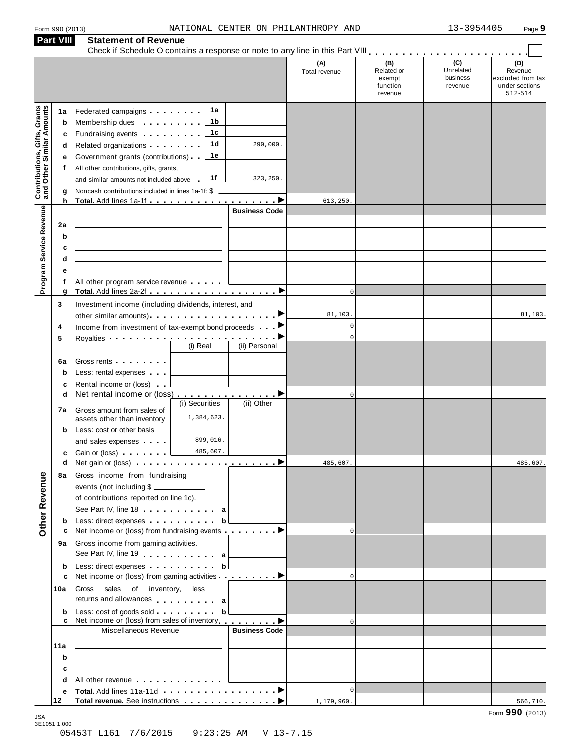| Form 990 (2013) |  |  |
|-----------------|--|--|
|                 |  |  |

|                                                                  | <b>Part VIII</b>                      | <b>Statement of Revenue</b>                                                                                                                                                                                                                                                                                                                                                                                                                                                                                                                                                  |                                                                                                                                                                                                                                                              |                                                                                               |                                                                  |
|------------------------------------------------------------------|---------------------------------------|------------------------------------------------------------------------------------------------------------------------------------------------------------------------------------------------------------------------------------------------------------------------------------------------------------------------------------------------------------------------------------------------------------------------------------------------------------------------------------------------------------------------------------------------------------------------------|--------------------------------------------------------------------------------------------------------------------------------------------------------------------------------------------------------------------------------------------------------------|-----------------------------------------------------------------------------------------------|------------------------------------------------------------------|
|                                                                  |                                       |                                                                                                                                                                                                                                                                                                                                                                                                                                                                                                                                                                              | (A)<br>Total revenue                                                                                                                                                                                                                                         | (C)<br>(B)<br>Unrelated<br>Related or<br>business<br>exempt<br>function<br>revenue<br>revenue | (D)<br>Revenue<br>excluded from tax<br>under sections<br>512-514 |
| <b>Contributions, Gifts, Grants</b><br>and Other Similar Amounts | 1a<br>b<br>c<br>d<br>е<br>f<br>g<br>h | 1a<br>Federated campaigns <b>Federated</b><br>1 b<br>Membership dues <b>All Accords</b> Membership dues<br>1c<br>Fundraising events<br>1d<br>Related organizations <b>and the set of the set of the set of the set of the set of the set of the set of the set of the set of the set of the set of the set of the set of the set of the set of the set of the set of the set </b><br>1e<br>Government grants (contributions)<br>All other contributions, gifts, grants,<br>1f<br>and similar amounts not included above<br>Noncash contributions included in lines 1a-1f: \$ | 290,000.<br>323,250.<br>613,250.                                                                                                                                                                                                                             |                                                                                               |                                                                  |
| Program Service Revenue                                          | 2a<br>b<br>c<br>d<br>е<br>f<br>g      | the control of the control of the control of the control of the control of the control of<br>All other program service revenue                                                                                                                                                                                                                                                                                                                                                                                                                                               | <b>Business Code</b>                                                                                                                                                                                                                                         | $\Omega$                                                                                      |                                                                  |
| Other Revenue                                                    | 3<br>4<br>5<br>6a                     | Investment income (including dividends, interest, and<br>Income from investment of tax-exempt bond proceeds<br>Royalties <b>Department of the Contract of the Contract of the Contract of the Contract of the Contract of the Contract of the Contract of the Contract of the Contract of the Contract of the Contract of the Contract of the C</b><br>$(i)$ Real<br>Gross rents <b>Container and Container</b>                                                                                                                                                              | 81,103.<br>(ii) Personal                                                                                                                                                                                                                                     | $\mathbf 0$<br>$\mathbf 0$                                                                    | 81,103.                                                          |
|                                                                  | b<br>c<br>d<br>7а                     | Less: rental expenses<br>Rental income or (loss)<br>Net rental income or (loss) ▶<br>(i) Securities<br>Gross amount from sales of<br>1,384,623.<br>assets other than inventory<br>Less: cost or other basis                                                                                                                                                                                                                                                                                                                                                                  | (ii) Other                                                                                                                                                                                                                                                   | $^{\circ}$                                                                                    |                                                                  |
|                                                                  | b<br>c<br>d                           | 899,016.<br>and sales expenses<br>485,607.<br>Gain or (loss)<br>8a Gross income from fundraising<br>events (not including \$<br>of contributions reported on line 1c).<br>See Part IV, line 18 <b>can be a set of the See Part IV</b> , line 18                                                                                                                                                                                                                                                                                                                              | 485,607.                                                                                                                                                                                                                                                     |                                                                                               | 485,607.                                                         |
|                                                                  | b<br>с<br>b<br>c                      | Less: direct expenses b<br>Net income or (loss) from fundraising events ▶<br>9a Gross income from gaming activities.<br>See Part IV, line 19 a<br>Less: direct expenses b<br>Net income or (loss) from gaming activities <b>interesting to a</b>                                                                                                                                                                                                                                                                                                                             |                                                                                                                                                                                                                                                              | $\Omega$<br>$\Omega$                                                                          |                                                                  |
|                                                                  | 10a<br>b                              | Gross sales of inventory, less<br>returns and allowances a<br>Net income or (loss) from sales of inventory <b>example a</b> ▶<br>Miscellaneous Revenue                                                                                                                                                                                                                                                                                                                                                                                                                       | <u> The Community of the Community of the Community of the Community of the Community of the Community of the Community of the Community of the Community of the Community of the Community of the Community of the Community of</u><br><b>Business Code</b> | $\Omega$                                                                                      |                                                                  |
|                                                                  | 11a<br>b<br>c<br>d                    | <u> 1989 - John Stein, Amerikaansk politiker (</u><br>the control of the control of the control of the control of the control of the control of<br>the control of the control of the control of the control of the control of the control of<br>All other revenue entering the state of the state of the state of the state of the state of the state of the state of the state of the state of the state of the state of the state of the state of the state of the state of                                                                                                |                                                                                                                                                                                                                                                              | $\Omega$                                                                                      |                                                                  |
|                                                                  | е<br>12                               |                                                                                                                                                                                                                                                                                                                                                                                                                                                                                                                                                                              | 1,179,960.                                                                                                                                                                                                                                                   |                                                                                               | 566,710.                                                         |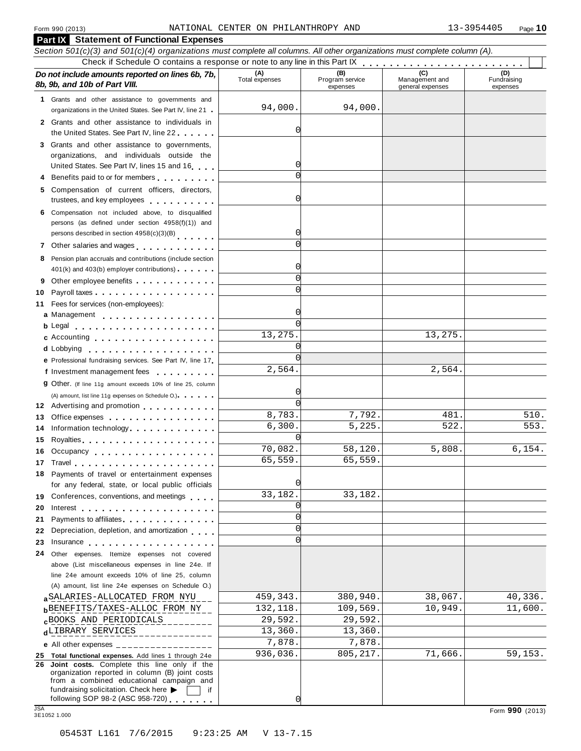#### **Part IX Statement of Functional Expenses** Section 501(c)(3) and 501(c)(4) organizations must complete all columns. All other organizations must complete column (A). Check if Schedule O contains a response or note to any line in this Part  $\begin{array}{c|c|c|c|c} \hline \textbf{Check if Schedule O contains a response or note to any line in this Part IX} & \textbf{Case I} & \textbf{Case I} & \textbf{Case I} & \textbf{Case I} & \textbf{Case I} & \textbf{Case I} & \textbf{Case I} & \textbf{Case I} & \textbf{Case I} & \textbf{Case I} & \textbf{Case I} & \textbf{Case I} & \textbf{Case I} & \textbf$ *Do no* **(A) (B) (C) (D)** *t include amounts reported on lines 6b, 7b,* **8b, 9b, and 10b of Part VIII.** The contract position of **Part VIII.** The contract Program services Program services expenses Management and general expenses Fundraising expenses **1** Grants and other assistance to governments and organizations in the United States. See Part IV, line 21 **2** Grants and other assistance to individuals in the United States. See Part IV, line 22 **3** Grants and other assistance to governments, organizations, and individuals outside the United States. See Part IV, lines <sup>15</sup> and <sup>16</sup><sup>m</sup> <sup>m</sup> <sup>m</sup> <sup>m</sup> **<sup>4</sup>** Benefits paid to or for members <sup>m</sup> <sup>m</sup> <sup>m</sup> <sup>m</sup> <sup>m</sup> <sup>m</sup> <sup>m</sup> <sup>m</sup> <sup>m</sup> **5** Compensation of current officers, directors, trustees, and key employees m m m m m m m m m m **6** Compensation not included above, to disqualified persons (as defined under section 4958(f)(1)) and persons described in section 4958(c)(3)(B) 7 Other salaries and wages **manual manual metallicity 8** Pension plan accruals and contributions (include section  $401(k)$  and  $403(b)$  employer contributions) **9** Other employee benefits m m m m m m m m m m m m 9 Other employee benefits **10** Payroll taxes **10** Fees for services (non-employees): **11** Fees for services (non-employees):<br>**a** Management ..................<br>**b** Legal ......................... Legal m m m m m m m m m m m m m m m m m m m m m c Accounting . . . . . . . . . . . . . Lobbying **cd** m m m m m m m m m m m m m m m m m m m A) amount, list line 11g expenses on Schedule O.)<br>**12** Advertising and promotion **manual 13** Office expenses **13** Office expenses<br>**14** Information technology **manual manual metal of the metal of the metal of the metal of 15** 15 Royalties<sub>.・・・・・・・・・・・・・・・・・・・<br>16 Occupancy <sub>.・・・・・・・・・・・・・・・・・</sub></sub> **16** Occupancy ...................<br>17 Travel..................... **18** Payments of travel or entertainment expenses for any federal, state, or local public officials<br>**19** Conferences, conventions, and meetings **19** Conferences, conventions, and meetings **with meetings**<br>20 Interest **manual meetings 21** 21 Payments to affiliates<br>22 Depreciation, depletion, and amortization <sub>1</sub> , , , **22** Depreciation, depletion, and amortization **manufation**<br>23 Insurance 24 Other expenses. Itemize expenses not covered | **d** Lobbying **e**<br> **e** Professional fundraising services. See Part IV, line 17 **P** Professional fundraising services. See Part IV, line 17<br>**f** Investment management fees **g** Other. (If line 11g amount exceeds 10% of line 25, column m m m m m m m m m m m m m m m m m m (A) amount, list line 11g expenses on Schedule O.) means m m m m m m m m m m m m m m m m Royalties m m m m m m m m m m m m m m m m m m m m for any federal, state, or local public officials Interest<br>Payments to affiliates **m** m m m m m m m m m m m m m m m above (List miscellaneous expenses in line 24e. If line 24e amount exceeds 10% of line 25, column (A) amount, list line 24e expenses on Schedule O.) **ab** BENEFITS/TAXES-ALLOC FROM NY 132,118. 109,569. 10,949. 11,600. **cd** LIBRARY SERVICES 13,360. 13,360. **e** All other expenses \_\_\_\_\_\_\_\_\_\_\_\_\_ **25 Total functional expenses.** Add lines 1 through 24e **26 Joint costs.** Complete this line only if the organization reported in column (B) joint costs from a combined educational campaign and fundraising solicitation. Check here  $\triangleright$   $\Box$  if following SOP 98-2 (ASC 958-720) fundraising solicitation. Check here ▶ and if following SOP 98-2 (ASC 958-720)<br>
<br>
3E1052 1.000 Form **990** (2013) Form **990** (2013) 94,000. 94,000.  $\mathcal{C}_{\mathcal{C}}$  $\sqrt{ }$ 0  $\Omega$  $\Omega$  $\overline{0}$  $\sqrt{ }$  $\Omega$  $\Omega$  $\sqrt{ }$  $\overline{\mathcal{C}}$ 13,275. 13,275.  $\sqrt{ }$  $\mathcal{C}$ 2,564. 2,564.  $\sqrt{ }$  $\sqrt{ }$  $8,783.$  7,792.  $481.$  510.  $6,300.$   $5,225.$   $522.$   $553.$ 0 70,082. 58,120. 5,808. 6,154. 65,559. 65,559. 0 33,182. 33,182.  $\mathcal{C}$  $\overline{C}$  $\Omega$  $\Omega$  $\overline{38}$ SALARIES-ALLOCATED FROM NYU  $\overline{459}$ , 343.  $\overline{380}$ , 940.  $\overline{38}$ , 067.  $\overline{40}$ , 336.  $\texttt{c}^{\text{BOOKS}}$  AND PERIODICALS 29,592. 7,878. 7,878. 936,036. 805,217. 71,666. 59,153.

 $\sqrt{ }$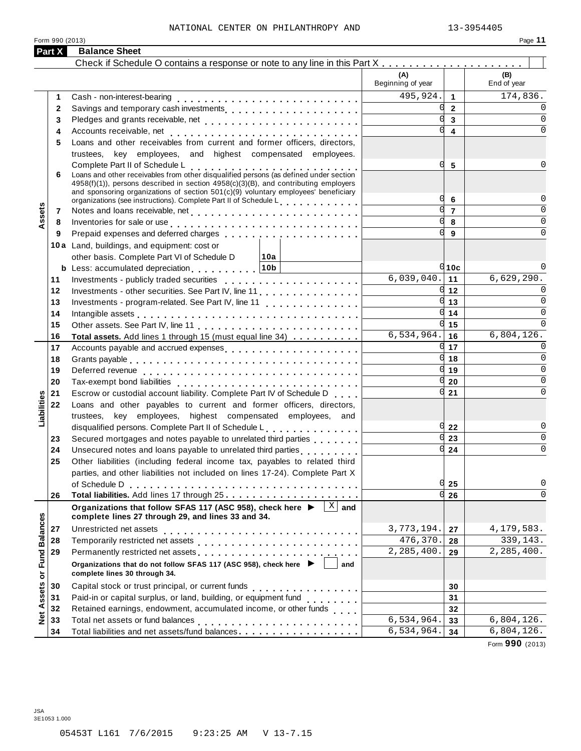Form 990 (2013)

| -an⊷ |  |
|------|--|
|      |  |

|                   | Part X   | <b>Balance Sheet</b>                                                                                                                                                                                                                                                                                 |                          |                |                    |
|-------------------|----------|------------------------------------------------------------------------------------------------------------------------------------------------------------------------------------------------------------------------------------------------------------------------------------------------------|--------------------------|----------------|--------------------|
|                   |          |                                                                                                                                                                                                                                                                                                      |                          |                |                    |
|                   |          |                                                                                                                                                                                                                                                                                                      | (A)<br>Beginning of year |                | (B)<br>End of year |
|                   | 1        | Cash - non-interest-bearing                                                                                                                                                                                                                                                                          | 495,924.                 | $\overline{1}$ | 174,836.           |
|                   | 2        | Savings and temporary cash investments                                                                                                                                                                                                                                                               |                          | $\overline{2}$ |                    |
|                   | 3        |                                                                                                                                                                                                                                                                                                      |                          | $\mathbf{3}$   | $\Omega$           |
|                   | 4        |                                                                                                                                                                                                                                                                                                      |                          | 4              | 0                  |
|                   | 5        | Loans and other receivables from current and former officers, directors,                                                                                                                                                                                                                             |                          |                |                    |
|                   |          | trustees, key employees, and highest compensated employees.                                                                                                                                                                                                                                          |                          |                |                    |
|                   | 6        | Complete Part II of Schedule L<br>Loans and other receivables from other disqualified persons (as defined under section<br>4958(f)(1)), persons described in section 4958(c)(3)(B), and contributing employers<br>and sponsoring organizations of section 501(c)(9) voluntary employees' beneficiary |                          | 5              |                    |
|                   |          | organizations (see instructions). Complete Part II of Schedule L.                                                                                                                                                                                                                                    |                          | 6              | <sup>0</sup>       |
| Assets            | 7        |                                                                                                                                                                                                                                                                                                      |                          | $\overline{7}$ | 0                  |
|                   | 8        | Inventories for sale or use enterpreteration of the contract of the contract of the contract of the contract of                                                                                                                                                                                      |                          | 8              | $\Omega$           |
|                   | 9        | Prepaid expenses and deferred charges experiences and the set of the set of the set of the set of the set of the set of the set of the set of the set of the set of the set of the set of the set of the set of the set of the                                                                       |                          | $\mathbf{q}$   | 0                  |
|                   |          | 10a Land, buildings, and equipment: cost or                                                                                                                                                                                                                                                          |                          |                |                    |
|                   |          | other basis. Complete Part VI of Schedule D<br>∣10a                                                                                                                                                                                                                                                  |                          |                |                    |
|                   |          | <b>b</b> Less: accumulated depreciation. 10b                                                                                                                                                                                                                                                         | 6,039,040.               | $q_{10c}$      | 6,629,290.         |
|                   | 11       |                                                                                                                                                                                                                                                                                                      |                          | 11             |                    |
|                   | 12       | Investments - other securities. See Part IV, line 11                                                                                                                                                                                                                                                 |                          | $q_{12}$       | $\Omega$           |
|                   | 13       | Investments - program-related. See Part IV, line 11                                                                                                                                                                                                                                                  |                          | 13             | $\Omega$           |
|                   | 14       | Intangible assets $\ldots \ldots \ldots \ldots \ldots \ldots \ldots \ldots$                                                                                                                                                                                                                          |                          | 14             | $\Omega$           |
|                   | 15       |                                                                                                                                                                                                                                                                                                      | 6,534,964.               | 15<br>16       | 6,804,126.         |
|                   | 16       | Total assets. Add lines 1 through 15 (must equal line 34)                                                                                                                                                                                                                                            |                          | 17             | <sup>n</sup>       |
|                   | 17       | Accounts payable and accrued expenses                                                                                                                                                                                                                                                                |                          | 18             | $\Omega$           |
|                   | 18<br>19 |                                                                                                                                                                                                                                                                                                      |                          | 19             | $\Omega$           |
|                   |          |                                                                                                                                                                                                                                                                                                      |                          | 20             | $\Omega$           |
|                   | 20<br>21 | Escrow or custodial account liability. Complete Part IV of Schedule D.                                                                                                                                                                                                                               |                          | 21             | 0                  |
|                   | 22       | Loans and other payables to current and former officers, directors,                                                                                                                                                                                                                                  |                          |                |                    |
| Liabilities       |          | trustees, key employees, highest compensated employees, and                                                                                                                                                                                                                                          |                          |                |                    |
|                   |          | disqualified persons. Complete Part II of Schedule L.                                                                                                                                                                                                                                                |                          | 22             | 0                  |
|                   | 23       | Secured mortgages and notes payable to unrelated third parties                                                                                                                                                                                                                                       |                          | 23             | $\Omega$           |
|                   | 24       | Unsecured notes and loans payable to unrelated third parties                                                                                                                                                                                                                                         |                          | 24             | $\Omega$           |
|                   | 25       | Other liabilities (including federal income tax, payables to related third                                                                                                                                                                                                                           |                          |                |                    |
|                   |          | parties, and other liabilities not included on lines 17-24). Complete Part X                                                                                                                                                                                                                         |                          |                |                    |
|                   |          | of Schedule D                                                                                                                                                                                                                                                                                        |                          | 25             | 0                  |
|                   | 26       |                                                                                                                                                                                                                                                                                                      |                          | 26             | $\Omega$           |
|                   |          | $\overline{X}$ and<br>Organizations that follow SFAS 117 (ASC 958), check here ▶<br>complete lines 27 through 29, and lines 33 and 34.                                                                                                                                                               |                          |                |                    |
|                   | 27       | Unrestricted net assets                                                                                                                                                                                                                                                                              | 3,773,194.               | 27             | 4,179,583.         |
|                   | 28       |                                                                                                                                                                                                                                                                                                      | 476,370.                 | 28             | 339,143.           |
|                   | 29       | Permanently restricted net assets<br>intervals and intervals are neglected to the set of the set of assets are neglected to the set of the set of the set of the set of the set of the set of the set of the set of the set of t                                                                     | 2, 285, 400.             | 29             | 2, 285, 400.       |
| or Fund Balances  |          | Organizations that do not follow SFAS 117 (ASC 958), check here ▶<br>and<br>complete lines 30 through 34.                                                                                                                                                                                            |                          |                |                    |
|                   | 30       | Capital stock or trust principal, or current funds<br>.                                                                                                                                                                                                                                              |                          | 30             |                    |
| <b>Net Assets</b> | 31       | Paid-in or capital surplus, or land, building, or equipment fund                                                                                                                                                                                                                                     |                          | 31             |                    |
|                   | 32       | Retained earnings, endowment, accumulated income, or other funds                                                                                                                                                                                                                                     |                          | 32             |                    |
|                   | 33       | Total net assets or fund balances                                                                                                                                                                                                                                                                    | 6,534,964.               | 33             | 6,804,126.         |
|                   | 34       | Total liabilities and net assets/fund balances.                                                                                                                                                                                                                                                      | 6,534,964.               | 34             | 6,804,126.         |
|                   |          |                                                                                                                                                                                                                                                                                                      |                          |                | $0.00$ $(0.010)$   |

Form **990** (2013)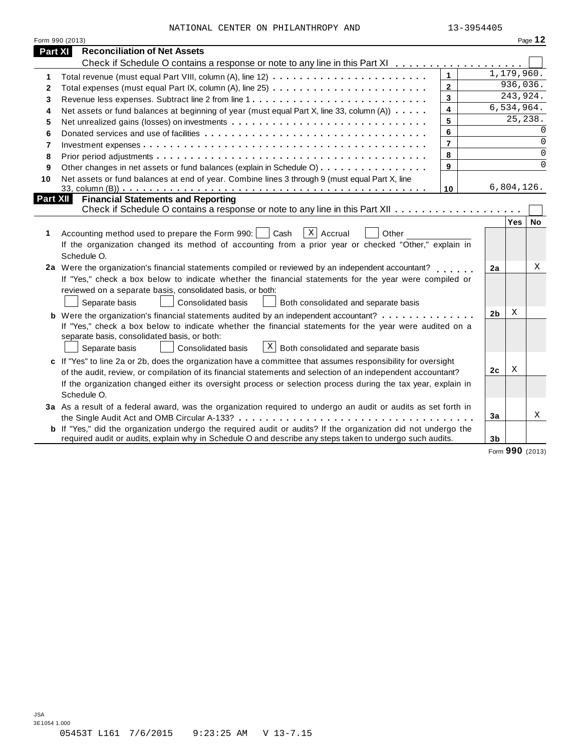|  |  | NATIONAL CENTER ON PHILANTHROPY AND | 13-3954405 |
|--|--|-------------------------------------|------------|

|                | Form 990 (2013)                                                                                                |                |                |            | Page 12   |
|----------------|----------------------------------------------------------------------------------------------------------------|----------------|----------------|------------|-----------|
| <b>Part XI</b> | <b>Reconciliation of Net Assets</b>                                                                            |                |                |            |           |
|                | Check if Schedule O contains a response or note to any line in this Part XI                                    |                |                |            |           |
| 1              |                                                                                                                | $\mathbf{1}$   |                | 1,179,960. |           |
| $\mathbf{2}$   |                                                                                                                | $\mathbf{2}$   |                | 936,036.   |           |
| 3              |                                                                                                                | 3              |                | 243,924.   |           |
| 4              | Net assets or fund balances at beginning of year (must equal Part X, line 33, column (A))                      | 4              |                | 6,534,964. |           |
| 5              |                                                                                                                | 5              |                | 25,238.    |           |
| 6              |                                                                                                                | 6              |                |            | $\Omega$  |
| 7              |                                                                                                                | $\overline{7}$ |                |            | $\Omega$  |
| 8              |                                                                                                                | 8              |                |            | $\Omega$  |
| 9              | Other changes in net assets or fund balances (explain in Schedule O)                                           | 9              |                |            | $\Omega$  |
| 10             | Net assets or fund balances at end of year. Combine lines 3 through 9 (must equal Part X, line                 |                |                |            |           |
|                |                                                                                                                | 10             |                | 6,804,126. |           |
| Part XII       | <b>Financial Statements and Reporting</b>                                                                      |                |                |            |           |
|                |                                                                                                                |                |                |            |           |
|                |                                                                                                                |                |                | Yes        | <b>No</b> |
| 1              | $\overline{x}$ Accrual<br>Accounting method used to prepare the Form 990:<br>Cash<br>Other                     |                |                |            |           |
|                | If the organization changed its method of accounting from a prior year or checked "Other," explain in          |                |                |            |           |
|                | Schedule O.                                                                                                    |                |                |            |           |
|                | 2a Were the organization's financial statements compiled or reviewed by an independent accountant?             |                | 2a             |            | X         |
|                | If "Yes," check a box below to indicate whether the financial statements for the year were compiled or         |                |                |            |           |
|                | reviewed on a separate basis, consolidated basis, or both:                                                     |                |                |            |           |
|                | Separate basis<br><b>Consolidated basis</b><br>Both consolidated and separate basis                            |                |                |            |           |
|                | <b>b</b> Were the organization's financial statements audited by an independent accountant?                    |                | 2 <sub>b</sub> | X          |           |
|                | If "Yes," check a box below to indicate whether the financial statements for the year were audited on a        |                |                |            |           |
|                | separate basis, consolidated basis, or both:                                                                   |                |                |            |           |
|                | $\lfloor x \rfloor$ Both consolidated and separate basis<br>Consolidated basis<br>Separate basis               |                |                |            |           |
|                | c If "Yes" to line 2a or 2b, does the organization have a committee that assumes responsibility for oversight  |                |                |            |           |
|                | of the audit, review, or compilation of its financial statements and selection of an independent accountant?   |                | 2c             | X          |           |
|                | If the organization changed either its oversight process or selection process during the tax year, explain in  |                |                |            |           |
|                | Schedule O.                                                                                                    |                |                |            |           |
|                | 3a As a result of a federal award, was the organization required to undergo an audit or audits as set forth in |                |                |            |           |
|                |                                                                                                                |                | 3a             |            | X         |
|                | b If "Yes," did the organization undergo the required audit or audits? If the organization did not undergo the |                |                |            |           |
|                | required audit or audits, explain why in Schedule O and describe any steps taken to undergo such audits.       |                | 3b             |            |           |

Form **990** (2013)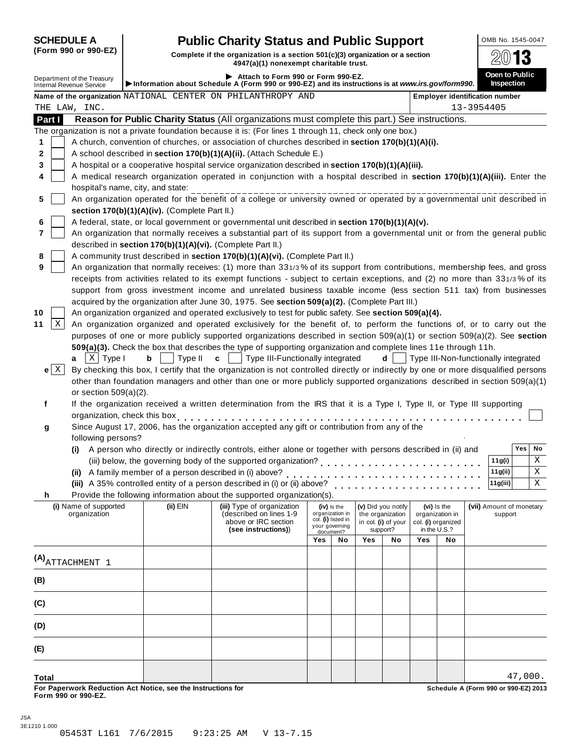**10 11**

**(B)**

**(C)**

**(D)**

**(E)**

**Total**

| (Form 990 or 990-EZ) |  |  |  |  |
|----------------------|--|--|--|--|
|----------------------|--|--|--|--|

### **SCHEDULE A Public Charity Status and Public Support DOMB No. 1545-0047**

**(Form <sup>990</sup> or 990-EZ) Complete if the organization is <sup>a</sup> section 501(c)(3) organization or <sup>a</sup> section**

|                                 | (FOrm 990 Or 990-EZ)                  |                                                            | Complete if the organization is a section 501(c)(3) organization or a section<br>4947(a)(1) nonexempt charitable trust.                 |                |                                |                     |                    |     |                                |                                       |                              |    |
|---------------------------------|---------------------------------------|------------------------------------------------------------|-----------------------------------------------------------------------------------------------------------------------------------------|----------------|--------------------------------|---------------------|--------------------|-----|--------------------------------|---------------------------------------|------------------------------|----|
| <b>Internal Revenue Service</b> | Department of the Treasury            |                                                            | Attach to Form 990 or Form 990-EZ.<br>Information about Schedule A (Form 990 or 990-EZ) and its instructions is at www.irs.gov/form990. |                |                                |                     |                    |     |                                |                                       | Open to Public<br>Inspection |    |
|                                 |                                       |                                                            | Name of the organization NATIONAL CENTER ON PHILANTHROPY AND                                                                            |                |                                |                     |                    |     |                                | <b>Employer identification number</b> |                              |    |
| THE LAW, INC.                   |                                       |                                                            |                                                                                                                                         |                |                                |                     |                    |     |                                | 13-3954405                            |                              |    |
| Part I                          |                                       |                                                            | Reason for Public Charity Status (All organizations must complete this part.) See instructions.                                         |                |                                |                     |                    |     |                                |                                       |                              |    |
|                                 |                                       |                                                            | The organization is not a private foundation because it is: (For lines 1 through 11, check only one box.)                               |                |                                |                     |                    |     |                                |                                       |                              |    |
| 1                               |                                       |                                                            | A church, convention of churches, or association of churches described in section 170(b)(1)(A)(i).                                      |                |                                |                     |                    |     |                                |                                       |                              |    |
| 2                               |                                       |                                                            | A school described in section 170(b)(1)(A)(ii). (Attach Schedule E.)                                                                    |                |                                |                     |                    |     |                                |                                       |                              |    |
| 3                               |                                       |                                                            | A hospital or a cooperative hospital service organization described in section 170(b)(1)(A)(iii).                                       |                |                                |                     |                    |     |                                |                                       |                              |    |
| 4                               |                                       |                                                            | A medical research organization operated in conjunction with a hospital described in section 170(b)(1)(A)(iii). Enter the               |                |                                |                     |                    |     |                                |                                       |                              |    |
|                                 | hospital's name, city, and state:     |                                                            |                                                                                                                                         |                |                                |                     |                    |     |                                |                                       |                              |    |
| 5                               |                                       |                                                            | An organization operated for the benefit of a college or university owned or operated by a governmental unit described in               |                |                                |                     |                    |     |                                |                                       |                              |    |
|                                 |                                       | section 170(b)(1)(A)(iv). (Complete Part II.)              |                                                                                                                                         |                |                                |                     |                    |     |                                |                                       |                              |    |
| 6                               |                                       |                                                            | A federal, state, or local government or governmental unit described in section 170(b)(1)(A)(v).                                        |                |                                |                     |                    |     |                                |                                       |                              |    |
| 7                               |                                       |                                                            | An organization that normally receives a substantial part of its support from a governmental unit or from the general public            |                |                                |                     |                    |     |                                |                                       |                              |    |
|                                 |                                       | described in section 170(b)(1)(A)(vi). (Complete Part II.) |                                                                                                                                         |                |                                |                     |                    |     |                                |                                       |                              |    |
| 8                               |                                       |                                                            | A community trust described in section 170(b)(1)(A)(vi). (Complete Part II.)                                                            |                |                                |                     |                    |     |                                |                                       |                              |    |
| 9                               |                                       |                                                            | An organization that normally receives: (1) more than 331/3% of its support from contributions, membership fees, and gross              |                |                                |                     |                    |     |                                |                                       |                              |    |
|                                 |                                       |                                                            | receipts from activities related to its exempt functions - subject to certain exceptions, and (2) no more than 331/3% of its            |                |                                |                     |                    |     |                                |                                       |                              |    |
|                                 |                                       |                                                            | support from gross investment income and unrelated business taxable income (less section 511 tax) from businesses                       |                |                                |                     |                    |     |                                |                                       |                              |    |
|                                 |                                       |                                                            | acquired by the organization after June 30, 1975. See section 509(a)(2). (Complete Part III.)                                           |                |                                |                     |                    |     |                                |                                       |                              |    |
| 10                              |                                       |                                                            | An organization organized and operated exclusively to test for public safety. See section 509(a)(4).                                    |                |                                |                     |                    |     |                                |                                       |                              |    |
| Χ<br>11                         |                                       |                                                            | An organization organized and operated exclusively for the benefit of, to perform the functions of, or to carry out the                 |                |                                |                     |                    |     |                                |                                       |                              |    |
|                                 |                                       |                                                            | purposes of one or more publicly supported organizations described in section 509(a)(1) or section 509(a)(2). See section               |                |                                |                     |                    |     |                                |                                       |                              |    |
|                                 |                                       |                                                            | 509(a)(3). Check the box that describes the type of supporting organization and complete lines 11e through 11h.                         |                |                                |                     |                    |     |                                |                                       |                              |    |
| a                               | $X$ Type I                            | Type II<br>b                                               | Type III-Functionally integrated<br>C                                                                                                   |                |                                |                     | d                  |     |                                | Type III-Non-functionally integrated  |                              |    |
| $e \mid X$                      |                                       |                                                            | By checking this box, I certify that the organization is not controlled directly or indirectly by one or more disqualified persons      |                |                                |                     |                    |     |                                |                                       |                              |    |
|                                 |                                       |                                                            | other than foundation managers and other than one or more publicly supported organizations described in section 509(a)(1)               |                |                                |                     |                    |     |                                |                                       |                              |    |
|                                 | or section $509(a)(2)$ .              |                                                            |                                                                                                                                         |                |                                |                     |                    |     |                                |                                       |                              |    |
| f                               |                                       |                                                            | If the organization received a written determination from the IRS that it is a Type I, Type II, or Type III supporting                  |                |                                |                     |                    |     |                                |                                       |                              |    |
|                                 | organization, check this box          |                                                            |                                                                                                                                         |                |                                |                     |                    |     |                                |                                       |                              |    |
|                                 |                                       |                                                            | Since August 17, 2006, has the organization accepted any gift or contribution from any of the                                           |                |                                |                     |                    |     |                                |                                       |                              |    |
| g                               | following persons?                    |                                                            |                                                                                                                                         |                |                                |                     |                    |     |                                |                                       |                              |    |
|                                 |                                       |                                                            | A person who directly or indirectly controls, either alone or together with persons described in (ii) and                               |                |                                |                     |                    |     |                                |                                       | <b>Yes</b>                   | No |
|                                 | (i)                                   |                                                            | (iii) below, the governing body of the supported organization?                                                                          |                |                                |                     |                    |     |                                | 11g(i)                                |                              | Χ  |
|                                 |                                       | (ii) A family member of a person described in (i) above?   |                                                                                                                                         |                |                                |                     |                    |     |                                | 11g(ii)                               |                              | X  |
|                                 |                                       |                                                            |                                                                                                                                         |                |                                |                     |                    |     |                                | 11g(iii)                              |                              | Χ  |
|                                 |                                       |                                                            | (iii) A 35% controlled entity of a person described in (i) or (ii) above?                                                               |                |                                |                     |                    |     |                                |                                       |                              |    |
| h.                              |                                       |                                                            | Provide the following information about the supported organization(s).                                                                  |                |                                |                     |                    |     |                                |                                       |                              |    |
|                                 | (i) Name of supported<br>organization | $(ii)$ EIN                                                 | (iii) Type of organization<br>(described on lines 1-9                                                                                   |                | (iv) is the<br>organization in | the organization    | (v) Did you notify |     | (vi) Is the<br>organization in | (vii) Amount of monetary              | support                      |    |
|                                 |                                       |                                                            | above or IRC section                                                                                                                    | your governing | col. (i) listed in             | in col. (i) of your |                    |     | col. (i) organized             |                                       |                              |    |
|                                 |                                       |                                                            | (see instructions))                                                                                                                     |                | document?                      | support?            |                    |     | in the U.S.?                   |                                       |                              |    |
|                                 |                                       |                                                            |                                                                                                                                         | Yes            | No                             | Yes                 | No                 | Yes | No                             |                                       |                              |    |
|                                 |                                       |                                                            |                                                                                                                                         |                |                                |                     |                    |     |                                |                                       |                              |    |
|                                 | (A) ATTACHMENT 1                      |                                                            |                                                                                                                                         |                |                                |                     |                    |     |                                |                                       |                              |    |
| (B)                             |                                       |                                                            |                                                                                                                                         |                |                                |                     |                    |     |                                |                                       |                              |    |
|                                 |                                       |                                                            |                                                                                                                                         |                |                                |                     |                    |     |                                |                                       |                              |    |

For Paperwork Reduction Act Notice, see the Instructions for the controlled and the controlled a Schedule A (Form 990 or 990-EZ) 2013<br>Form 990 or 990-EZ.

47,000.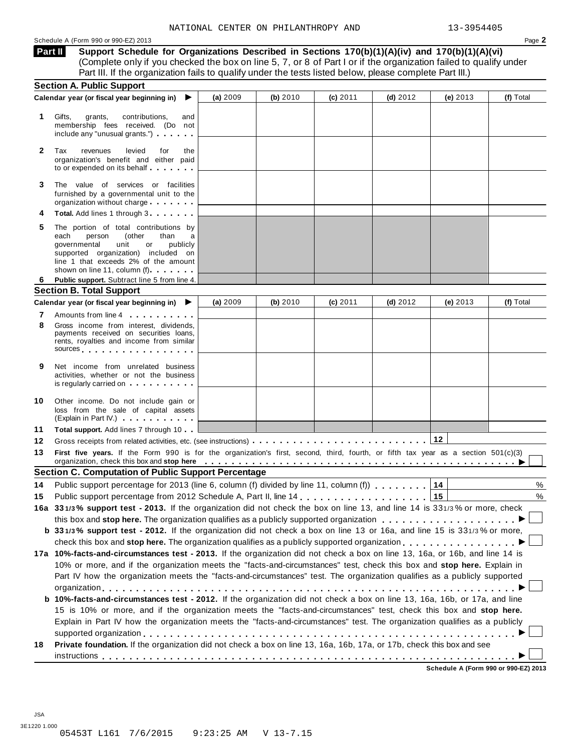#### Schedule A (Form 990 or 990-EZ) 2013 Page **2**

**Support Schedule for Organizations Described in Sections 170(b)(1)(A)(iv) and 170(b)(1)(A)(vi)** Complete only if you checked the box on line 5, 7, or 8 of Part I or if the organization failed to qualify under Part III. If the organization fails to qualify under the tests listed below, please complete Part III.) **Part II**

|              | <b>Section A. Public Support</b>                                                                                                                                                                                                                                                                                                                                                     |          |          |            |            |            |                                      |
|--------------|--------------------------------------------------------------------------------------------------------------------------------------------------------------------------------------------------------------------------------------------------------------------------------------------------------------------------------------------------------------------------------------|----------|----------|------------|------------|------------|--------------------------------------|
|              | Calendar year (or fiscal year beginning in)<br>▶                                                                                                                                                                                                                                                                                                                                     | (a) 2009 | (b) 2010 | (c) 2011   | $(d)$ 2012 | (e) $2013$ | (f) Total                            |
| 1            | Gifts,<br>grants,<br>contributions,<br>and<br>membership fees received. (Do not<br>include any "unusual grants.")                                                                                                                                                                                                                                                                    |          |          |            |            |            |                                      |
| $\mathbf{2}$ | Tax<br>levied<br>revenues<br>for<br>the<br>organization's benefit and either paid<br>to or expended on its behalf                                                                                                                                                                                                                                                                    |          |          |            |            |            |                                      |
| 3            | The value of services or facilities<br>furnished by a governmental unit to the<br>organization without charge                                                                                                                                                                                                                                                                        |          |          |            |            |            |                                      |
|              | Total. Add lines 1 through 3                                                                                                                                                                                                                                                                                                                                                         |          |          |            |            |            |                                      |
| 5            | The portion of total contributions by<br>(other<br>than<br>each<br>person<br>a<br>unit<br>publicly<br>governmental<br>or<br>supported organization) included on<br>line 1 that exceeds 2% of the amount<br>shown on line 11, column (f)                                                                                                                                              |          |          |            |            |            |                                      |
| 6.           | Public support. Subtract line 5 from line 4.                                                                                                                                                                                                                                                                                                                                         |          |          |            |            |            |                                      |
|              | <b>Section B. Total Support</b>                                                                                                                                                                                                                                                                                                                                                      |          |          |            |            |            |                                      |
|              | Calendar year (or fiscal year beginning in)<br>▶                                                                                                                                                                                                                                                                                                                                     | (a) 2009 | (b) 2010 | $(c)$ 2011 | (d) $2012$ | (e) $2013$ | (f) Total                            |
| 7            | Amounts from line 4                                                                                                                                                                                                                                                                                                                                                                  |          |          |            |            |            |                                      |
| 8            | Gross income from interest, dividends,<br>payments received on securities loans,<br>rents, royalties and income from similar<br>sources and the set of the set of the set of the set of the set of the set of the set of the set of the set of                                                                                                                                       |          |          |            |            |            |                                      |
| 9            | Net income from unrelated business<br>activities, whether or not the business<br>is regularly carried on each property of the set of the set of the set of the set of the set of the set of the                                                                                                                                                                                      |          |          |            |            |            |                                      |
| 10           | Other income. Do not include gain or<br>loss from the sale of capital assets<br>(Explain in Part IV.) <b>CONFIDENT</b>                                                                                                                                                                                                                                                               |          |          |            |            |            |                                      |
| 11           | Total support. Add lines 7 through 10                                                                                                                                                                                                                                                                                                                                                |          |          |            |            |            |                                      |
| 12           |                                                                                                                                                                                                                                                                                                                                                                                      |          |          |            |            | 12         |                                      |
| 13           | First five years. If the Form 990 is for the organization's first, second, third, fourth, or fifth tax year as a section 501(c)(3)<br>organization, check this box and stop here entitled by the state of the state of the state of the state of the state of the state of the state of the state of the state of the state of the state of the state of the state o                 |          |          |            |            |            |                                      |
|              | <b>Section C. Computation of Public Support Percentage</b>                                                                                                                                                                                                                                                                                                                           |          |          |            |            |            |                                      |
| 14           | Public support percentage for 2013 (line 6, column (f) divided by line 11, column (f)                                                                                                                                                                                                                                                                                                |          |          |            |            | 14         | %                                    |
| 15           |                                                                                                                                                                                                                                                                                                                                                                                      |          |          |            |            | 15         | %                                    |
|              | 16a 331/3% support test - 2013. If the organization did not check the box on line 13, and line 14 is 331/3% or more, check                                                                                                                                                                                                                                                           |          |          |            |            |            |                                      |
|              |                                                                                                                                                                                                                                                                                                                                                                                      |          |          |            |            |            |                                      |
|              | b 331/3% support test - 2012. If the organization did not check a box on line 13 or 16a, and line 15 is 331/3% or more,                                                                                                                                                                                                                                                              |          |          |            |            |            |                                      |
|              |                                                                                                                                                                                                                                                                                                                                                                                      |          |          |            |            |            |                                      |
|              | 17a 10%-facts-and-circumstances test - 2013. If the organization did not check a box on line 13, 16a, or 16b, and line 14 is<br>10% or more, and if the organization meets the "facts-and-circumstances" test, check this box and stop here. Explain in<br>Part IV how the organization meets the "facts-and-circumstances" test. The organization qualifies as a publicly supported |          |          |            |            |            |                                      |
|              | b 10%-facts-and-circumstances test - 2012. If the organization did not check a box on line 13, 16a, 16b, or 17a, and line                                                                                                                                                                                                                                                            |          |          |            |            |            |                                      |
|              | 15 is 10% or more, and if the organization meets the "facts-and-circumstances" test, check this box and stop here.<br>Explain in Part IV how the organization meets the "facts-and-circumstances" test. The organization qualifies as a publicly                                                                                                                                     |          |          |            |            |            |                                      |
| 18           | Private foundation. If the organization did not check a box on line 13, 16a, 16b, 17a, or 17b, check this box and see                                                                                                                                                                                                                                                                |          |          |            |            |            |                                      |
|              |                                                                                                                                                                                                                                                                                                                                                                                      |          |          |            |            |            | Schedule A (Form 990 or 990-EZ) 2013 |

JSA 3E1220 1.000 05453T L161 7/6/2015 9:23:25 AM V 13-7.15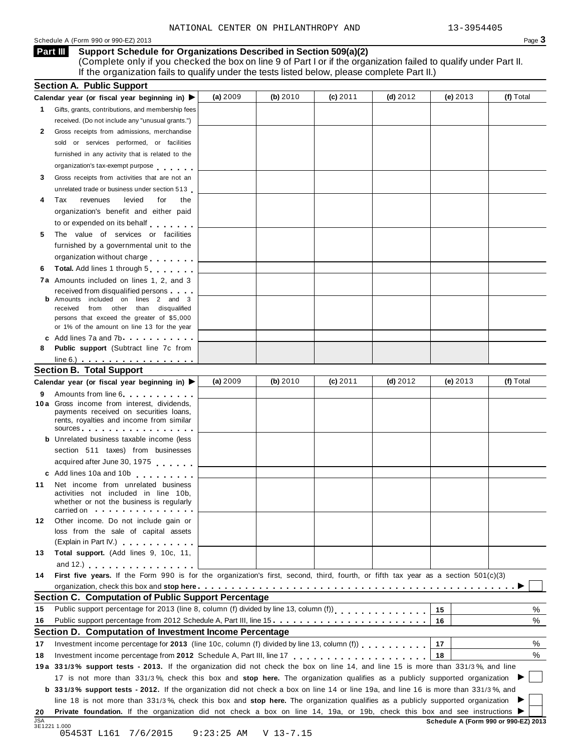#### Schedule <sup>A</sup> (Form <sup>990</sup> or 990-EZ) <sup>2013</sup> Page **3**

### **Support Schedule for Organizations Described in Section 509(a)(2) Part III**

(Complete only if you checked the box on line 9 of Part I or if the organization failed to qualify under Part II. If the organization fails to qualify under the tests listed below, please complete Part II.)

|    | <b>Section A. Public Support</b>                                                                                                                                                                                                                                                                                                          |            |            |            |            |            |           |
|----|-------------------------------------------------------------------------------------------------------------------------------------------------------------------------------------------------------------------------------------------------------------------------------------------------------------------------------------------|------------|------------|------------|------------|------------|-----------|
|    | Calendar year (or fiscal year beginning in) ▶                                                                                                                                                                                                                                                                                             | (a) $2009$ | (b) $2010$ | $(c)$ 2011 | (d) $2012$ | (e) $2013$ | (f) Total |
| 1. | Gifts, grants, contributions, and membership fees                                                                                                                                                                                                                                                                                         |            |            |            |            |            |           |
|    | received. (Do not include any "unusual grants.")                                                                                                                                                                                                                                                                                          |            |            |            |            |            |           |
| 2  | Gross receipts from admissions, merchandise                                                                                                                                                                                                                                                                                               |            |            |            |            |            |           |
|    | sold or services performed, or facilities                                                                                                                                                                                                                                                                                                 |            |            |            |            |            |           |
|    | furnished in any activity that is related to the                                                                                                                                                                                                                                                                                          |            |            |            |            |            |           |
|    | organization's tax-exempt purpose                                                                                                                                                                                                                                                                                                         |            |            |            |            |            |           |
| 3  | Gross receipts from activities that are not an                                                                                                                                                                                                                                                                                            |            |            |            |            |            |           |
|    | unrelated trade or business under section 513                                                                                                                                                                                                                                                                                             |            |            |            |            |            |           |
| 4  | levied<br>Tax<br>revenues<br>for<br>the                                                                                                                                                                                                                                                                                                   |            |            |            |            |            |           |
|    | organization's benefit and either paid                                                                                                                                                                                                                                                                                                    |            |            |            |            |            |           |
|    | to or expended on its behalf                                                                                                                                                                                                                                                                                                              |            |            |            |            |            |           |
| 5  | The value of services or facilities                                                                                                                                                                                                                                                                                                       |            |            |            |            |            |           |
|    | furnished by a governmental unit to the                                                                                                                                                                                                                                                                                                   |            |            |            |            |            |           |
|    | organization without charge                                                                                                                                                                                                                                                                                                               |            |            |            |            |            |           |
| 6  | Total. Add lines 1 through 5                                                                                                                                                                                                                                                                                                              |            |            |            |            |            |           |
|    | <b>7a</b> Amounts included on lines 1, 2, and 3                                                                                                                                                                                                                                                                                           |            |            |            |            |            |           |
|    | received from disqualified persons                                                                                                                                                                                                                                                                                                        |            |            |            |            |            |           |
|    | <b>b</b> Amounts included on lines 2 and 3                                                                                                                                                                                                                                                                                                |            |            |            |            |            |           |
|    | from other than disqualified<br>received                                                                                                                                                                                                                                                                                                  |            |            |            |            |            |           |
|    | persons that exceed the greater of \$5,000                                                                                                                                                                                                                                                                                                |            |            |            |            |            |           |
|    | or 1% of the amount on line 13 for the year                                                                                                                                                                                                                                                                                               |            |            |            |            |            |           |
| 8  | c Add lines 7a and 7b.<br>Public support (Subtract line 7c from                                                                                                                                                                                                                                                                           |            |            |            |            |            |           |
|    |                                                                                                                                                                                                                                                                                                                                           |            |            |            |            |            |           |
|    | $line 6.)$<br><b>Section B. Total Support</b>                                                                                                                                                                                                                                                                                             |            |            |            |            |            |           |
|    |                                                                                                                                                                                                                                                                                                                                           | (a) $2009$ | (b) $2010$ | $(c)$ 2011 | (d) $2012$ | (e) $2013$ | (f) Total |
|    | Calendar year (or fiscal year beginning in) ▶                                                                                                                                                                                                                                                                                             |            |            |            |            |            |           |
| 9  | Amounts from line 6<br>10a Gross income from interest, dividends,                                                                                                                                                                                                                                                                         |            |            |            |            |            |           |
|    | payments received on securities loans,                                                                                                                                                                                                                                                                                                    |            |            |            |            |            |           |
|    | rents, royalties and income from similar                                                                                                                                                                                                                                                                                                  |            |            |            |            |            |           |
|    | sources experiences and a series are seen as a series of the series of the series of the series of the series                                                                                                                                                                                                                             |            |            |            |            |            |           |
|    | <b>b</b> Unrelated business taxable income (less                                                                                                                                                                                                                                                                                          |            |            |            |            |            |           |
|    | section 511 taxes) from businesses                                                                                                                                                                                                                                                                                                        |            |            |            |            |            |           |
|    | acquired after June 30, 1975                                                                                                                                                                                                                                                                                                              |            |            |            |            |            |           |
|    | c Add lines 10a and 10b                                                                                                                                                                                                                                                                                                                   |            |            |            |            |            |           |
| 11 | Net income from unrelated business                                                                                                                                                                                                                                                                                                        |            |            |            |            |            |           |
|    | activities not included in line 10b,<br>whether or not the business is regularly                                                                                                                                                                                                                                                          |            |            |            |            |            |           |
|    | carried on the contract of the contract of the contract of the contract of the contract of the contract of the                                                                                                                                                                                                                            |            |            |            |            |            |           |
| 12 | Other income. Do not include gain or                                                                                                                                                                                                                                                                                                      |            |            |            |            |            |           |
|    | loss from the sale of capital assets                                                                                                                                                                                                                                                                                                      |            |            |            |            |            |           |
|    | (Explain in Part IV.)                                                                                                                                                                                                                                                                                                                     |            |            |            |            |            |           |
| 13 | Total support. (Add lines 9, 10c, 11,                                                                                                                                                                                                                                                                                                     |            |            |            |            |            |           |
|    | and $12$ .) $\qquad \qquad$ $\qquad$ $\qquad$ $\qquad$ $\qquad$ $\qquad$ $\qquad$ $\qquad$ $\qquad$ $\qquad$ $\qquad$ $\qquad$ $\qquad$ $\qquad$ $\qquad$ $\qquad$ $\qquad$ $\qquad$ $\qquad$ $\qquad$ $\qquad$ $\qquad$ $\qquad$ $\qquad$ $\qquad$ $\qquad$ $\qquad$ $\qquad$ $\qquad$ $\qquad$ $\qquad$ $\qquad$ $\qquad$ $\qquad$ $\q$ |            |            |            |            |            |           |
| 14 | First five years. If the Form 990 is for the organization's first, second, third, fourth, or fifth tax year as a section 501(c)(3)                                                                                                                                                                                                        |            |            |            |            |            |           |
|    |                                                                                                                                                                                                                                                                                                                                           |            |            |            |            |            |           |
|    | Section C. Computation of Public Support Percentage                                                                                                                                                                                                                                                                                       |            |            |            |            |            |           |
| 15 | Public support percentage for 2013 (line 8, column (f) divided by line 13, column (f))<br>[11]                                                                                                                                                                                                                                            |            |            |            |            | 15         | ℅         |
| 16 | Public support percentage from 2012 Schedule A, Part III, line 15.                                                                                                                                                                                                                                                                        |            |            |            |            | 16         | %         |
|    | Section D. Computation of Investment Income Percentage                                                                                                                                                                                                                                                                                    |            |            |            |            |            |           |
| 17 |                                                                                                                                                                                                                                                                                                                                           |            |            |            |            | 17         | %         |
| 18 |                                                                                                                                                                                                                                                                                                                                           |            |            |            |            | 18         | %         |
|    | 19a 331/3% support tests - 2013. If the organization did not check the box on line 14, and line 15 is more than 331/3%, and line                                                                                                                                                                                                          |            |            |            |            |            |           |
|    | 17 is not more than 331/3%, check this box and stop here. The organization qualifies as a publicly supported organization                                                                                                                                                                                                                 |            |            |            |            |            |           |
|    | <b>b</b> 331/3% support tests - 2012. If the organization did not check a box on line 14 or line 19a, and line 16 is more than 331/3%, and                                                                                                                                                                                                |            |            |            |            |            |           |
|    |                                                                                                                                                                                                                                                                                                                                           |            |            |            |            |            |           |
|    |                                                                                                                                                                                                                                                                                                                                           |            |            |            |            |            |           |
| 20 | line 18 is not more than 331/3%, check this box and stop here. The organization qualifies as a publicly supported organization<br>Private foundation. If the organization did not check a box on line 14, 19a, or 19b, check this box and see instructions ▶                                                                              |            |            |            |            |            |           |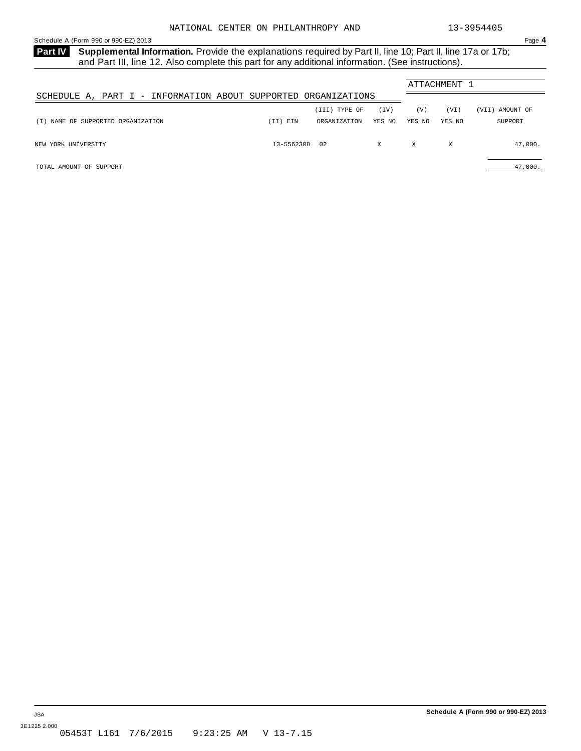<span id="page-17-0"></span>Part IV Supplemental Information. Provide the explanations required by Part II, line 10; Part II, line 17a or 17b; and Part III, line 12. Also complete this part for any additional information. (See instructions).

|                                                                |            |               |        | ATTACHMENT 1 |        |                 |
|----------------------------------------------------------------|------------|---------------|--------|--------------|--------|-----------------|
| SCHEDULE A, PART I - INFORMATION ABOUT SUPPORTED ORGANIZATIONS |            |               |        |              |        |                 |
|                                                                |            | (III) TYPE OF | (TV)   | (V)          | (VI)   | (VII) AMOUNT OF |
| (I) NAME OF SUPPORTED ORGANIZATION                             | (II) EIN   | ORGANIZATION  | YES NO | YES NO       | YES NO | SUPPORT         |
| NEW YORK UNIVERSITY                                            | 13-5562308 | 02            | X      | X            | X      | 47,000.         |
| TOTAL AMOUNT OF SUPPORT                                        |            |               |        |              |        | 47,000.         |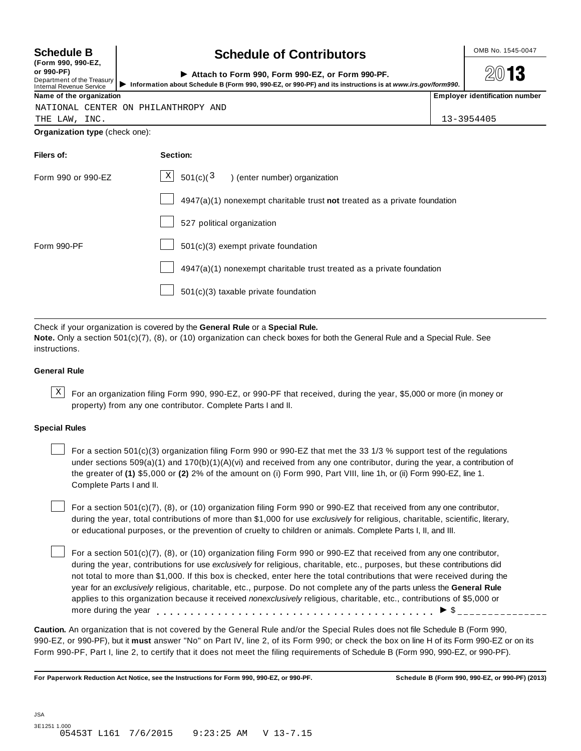| <b>Schedule B</b>             |  |  |
|-------------------------------|--|--|
| $T_{\text{max}}$ and and $F7$ |  |  |

|            | $(1$ VIIII 330, 330-LZ, |
|------------|-------------------------|
| or 990-PF) |                         |

### **Schedule B**  $\leftarrow$  **Contributors**

**2013** 

| or 990-PF)<br>Department of the Treasury<br>Internal Revenue Service | Attach to Form 990, Form 990-EZ, or Form 990-PF.<br>Information about Schedule B (Form 990, 990-EZ, or 990-PF) and its instructions is at www.irs.gov/form990. | 2013                                  |
|----------------------------------------------------------------------|----------------------------------------------------------------------------------------------------------------------------------------------------------------|---------------------------------------|
| Name of the organization                                             |                                                                                                                                                                | <b>Employer identification number</b> |

NATIONAL CENTER ON PHILANTHROPY AND

THE LAW, INC. 13-3954405

**Organization type** (check one):

| Filers of:         | Section:                                                                    |
|--------------------|-----------------------------------------------------------------------------|
| Form 990 or 990-EZ | $X$ 501(c)(3)<br>) (enter number) organization                              |
|                    | $4947(a)(1)$ nonexempt charitable trust not treated as a private foundation |
|                    | 527 political organization                                                  |
| Form 990-PF        | $501(c)(3)$ exempt private foundation                                       |
|                    | 4947(a)(1) nonexempt charitable trust treated as a private foundation       |
|                    | $501(c)(3)$ taxable private foundation                                      |
|                    |                                                                             |

Check if your organization is covered by the **General Rule** or a **Special Rule.**

**Note.** Only a section 501(c)(7), (8), or (10) organization can check boxes for both the General Rule and a Special Rule. See instructions.

#### **General Rule**

 $\text{X}$  For an organization filing Form 990, 990-EZ, or 990-PF that received, during the year, \$5,000 or more (in money or property) from any one contributor. Complete Parts I and II.

#### **Special Rules**

For a section 501(c)(3) organization filing Form 990 or 990-EZ that met the 33 1/3 % support test of the regulations under sections  $509(a)(1)$  and  $170(b)(1)(A)(vi)$  and received from any one contributor, during the year, a contribution of the greater of **(1)** \$5,000 or **(2)** 2% of the amount on (i) Form 990, Part VIII, line 1h, or (ii) Form 990-EZ, line 1. Complete Parts I and II.

For a section 501(c)(7), (8), or (10) organization filing Form 990 or 990-EZ that received from any one contributor, during the year, total contributions of more than \$1,000 for use *exclusively* for religious, charitable, scientific, literary, or educational purposes, or the prevention of cruelty to children or animals. Complete Parts I, II, and III.

For a section 501(c)(7), (8), or (10) organization filing Form 990 or 990-EZ that received from any one contributor, during the year, contributions for use *exclusively* for religious, charitable, etc., purposes, but these contributions did not total to more than \$1,000. If this box is checked, enter here the total contributions that were received during the year for an *exclusively* religious, charitable, etc., purpose. Do not complete any of the parts unless the **General Rule** applies to this organization because it received *nonexclusively* religious, charitable, etc., contributions of \$5,000 or applies to this organization because it received *nonexclusively* religious, charitable, etc., contributions or \$5<br>more during the year<br>

**Caution.** An organization that is not covered by the General Rule and/or the Special Rules does not file Schedule B (Form 990, 990-EZ, or 990-PF), but it **must** answer "No" on Part IV, line 2, of its Form 990; or check the box on line H of its Form 990-EZ or on its Form 990-PF, Part I, line 2, to certify that it does not meet the filing requirements of Schedule B (Form 990, 990-EZ, or 990-PF).

For Paperwork Reduction Act Notice, see the Instructions for Form 990, 990-EZ, or 990-PF. Schedule B (Form 990, 990-EZ, or 990-PF) (2013)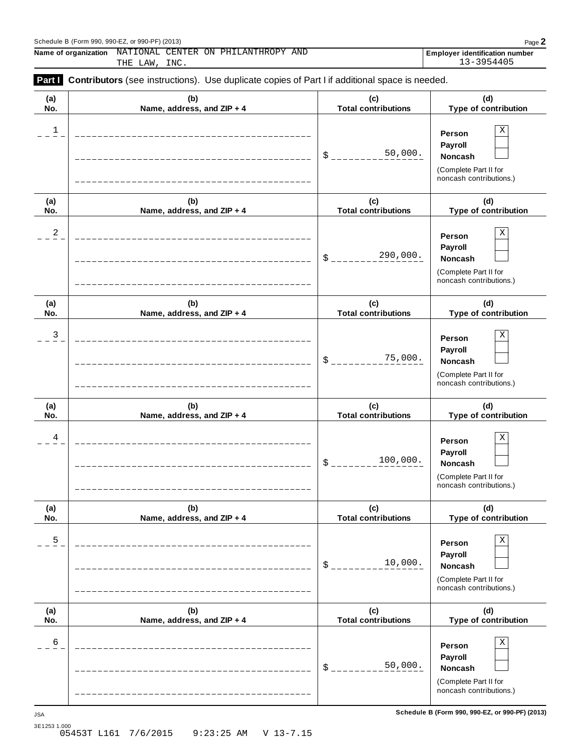#### Schedule <sup>B</sup> (Form 990, 990-EZ, or 990-PF) (2013) Page **2**

 $\overline{\phantom{a}}$ 

**Name of organization** NATIONAL CENTER ON PHILANTHROPY AND **FULLANDIES EMPLOYER Employer** identification number

THE LAW, INC. 13-3954405

|            | Part Contributors (see instructions). Use duplicate copies of Part I if additional space is needed. |                                   |                                                                                       |
|------------|-----------------------------------------------------------------------------------------------------|-----------------------------------|---------------------------------------------------------------------------------------|
| (a)<br>No. | (b)<br>Name, address, and ZIP + 4                                                                   | (c)<br><b>Total contributions</b> | (d)<br>Type of contribution                                                           |
| 1          |                                                                                                     | 50,000.<br>\$                     | X<br>Person<br>Payroll<br>Noncash<br>(Complete Part II for<br>noncash contributions.) |
| (a)<br>No. | (b)<br>Name, address, and ZIP + 4                                                                   | (c)<br><b>Total contributions</b> | (d)<br>Type of contribution                                                           |
| 2          |                                                                                                     | 290,000.<br>\$                    | X<br>Person<br>Payroll<br>Noncash<br>(Complete Part II for<br>noncash contributions.) |
| (a)<br>No. | (b)<br>Name, address, and ZIP + 4                                                                   | (c)<br><b>Total contributions</b> | (d)<br>Type of contribution                                                           |
| 3          |                                                                                                     | 75,000.<br>\$                     | X<br>Person<br>Payroll<br>Noncash<br>(Complete Part II for<br>noncash contributions.) |
| (a)<br>No. | (b)<br>Name, address, and ZIP + 4                                                                   | (c)<br><b>Total contributions</b> | (d)<br>Type of contribution                                                           |
| 4          |                                                                                                     | 100,000.<br>\$                    | X<br>Person<br>Payroll<br>Noncash<br>(Complete Part II for<br>noncash contributions.) |
| (a)<br>No. | (b)<br>Name, address, and ZIP + 4                                                                   | (c)<br><b>Total contributions</b> | (d)<br>Type of contribution                                                           |
| 5          |                                                                                                     | 10,000.<br>\$                     | Χ<br>Person<br>Payroll<br>Noncash<br>(Complete Part II for<br>noncash contributions.) |
| (a)<br>No. | (b)<br>Name, address, and ZIP + 4                                                                   | (c)<br><b>Total contributions</b> | (d)<br>Type of contribution                                                           |
| 6          |                                                                                                     | 50,000.<br>\$                     | Χ<br>Person<br>Payroll<br>Noncash<br>(Complete Part II for<br>noncash contributions.) |

**Schedule B (Form 990, 990-EZ, or 990-PF) (2013)** JSA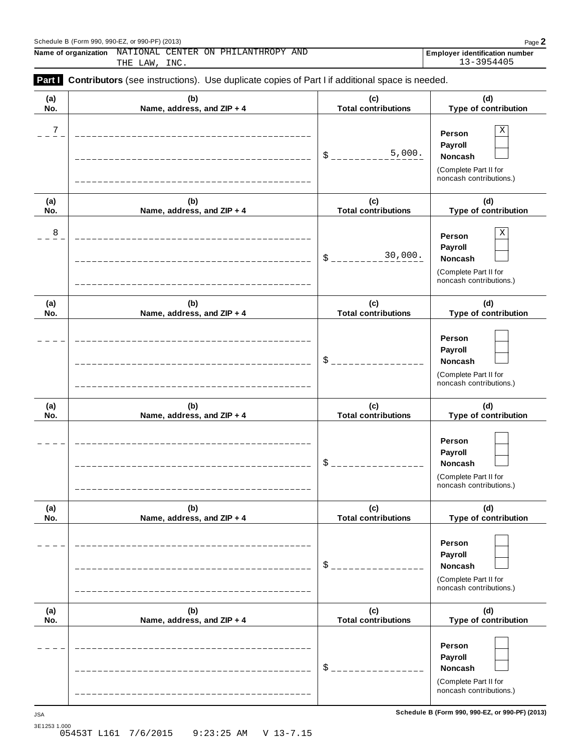Schedule <sup>B</sup> (Form 990, 990-EZ, or 990-PF) (2013) Page **2 Name of organization** NATIONAL CENTER ON PHILANTHROPY AND **FULLANDIES EMPLOYER Employer** identification number

THE LAW, INC. 13-3954405

| (a)        | (b)                               | (c)                               | (d)                                                                                             |
|------------|-----------------------------------|-----------------------------------|-------------------------------------------------------------------------------------------------|
| No.        | Name, address, and ZIP + 4        | <b>Total contributions</b>        | Type of contribution                                                                            |
| 7          |                                   | 5,000.<br>\$                      | $\mathbf X$<br>Person<br>Payroll<br>Noncash<br>(Complete Part II for<br>noncash contributions.) |
| (a)<br>No. | (b)<br>Name, address, and ZIP + 4 | (c)<br><b>Total contributions</b> | (d)<br>Type of contribution                                                                     |
| 8          |                                   | 30,000.<br>\$                     | $\mathbf X$<br>Person<br>Payroll<br>Noncash<br>(Complete Part II for<br>noncash contributions.) |
| (a)<br>No. | (b)<br>Name, address, and ZIP + 4 | (c)<br><b>Total contributions</b> | (d)<br>Type of contribution                                                                     |
|            |                                   | \$                                | Person<br>Payroll<br>Noncash<br>(Complete Part II for<br>noncash contributions.)                |
| (a)<br>No. | (b)<br>Name, address, and ZIP + 4 | (c)<br><b>Total contributions</b> | (d)<br>Type of contribution                                                                     |
|            |                                   | \$                                | Person<br>Payroll<br>Noncash<br>(Complete Part II for<br>noncash contributions.)                |
| (a)<br>No. | (b)<br>Name, address, and ZIP + 4 | (c)<br><b>Total contributions</b> | (d)<br>Type of contribution                                                                     |
|            |                                   | \$                                | Person<br>Payroll<br><b>Noncash</b><br>(Complete Part II for<br>noncash contributions.)         |
| (a)<br>No. | (b)<br>Name, address, and ZIP + 4 | (c)<br><b>Total contributions</b> | (d)<br>Type of contribution                                                                     |
|            |                                   | \$                                | Person<br>Payroll<br><b>Noncash</b><br>(Complete Part II for<br>noncash contributions.)         |

**Schedule B (Form 990, 990-EZ, or 990-PF) (2013)** JSA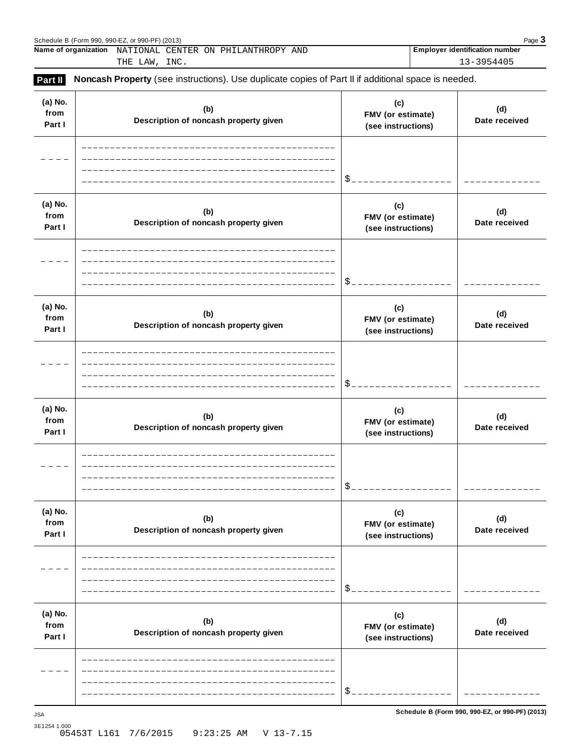| Schedule B (Form 990, 990-EZ, or 990-PF) (2013)                                                                              |                                     | Page 3                                |  |  |  |  |
|------------------------------------------------------------------------------------------------------------------------------|-------------------------------------|---------------------------------------|--|--|--|--|
| Name of organization                                                                                                         | NATIONAL CENTER ON PHILANTHROPY AND | <b>Employer identification number</b> |  |  |  |  |
|                                                                                                                              | THE LAW, INC.                       | 13-3954405                            |  |  |  |  |
| <b>Part II</b><br><b>Noncash Property</b> (see instructions). Use duplicate copies of Part II if additional space is needed. |                                     |                                       |  |  |  |  |

| (a) No.<br>from<br>Part I | (b)<br>Description of noncash property given | (c)<br>FMV (or estimate)<br>(see instructions) | (d)<br>Date received                            |
|---------------------------|----------------------------------------------|------------------------------------------------|-------------------------------------------------|
|                           |                                              | \$                                             |                                                 |
| (a) No.<br>from<br>Part I | (b)<br>Description of noncash property given | (c)<br>FMV (or estimate)<br>(see instructions) | (d)<br>Date received                            |
|                           |                                              | \$                                             |                                                 |
| (a) No.<br>from<br>Part I | (b)<br>Description of noncash property given | (c)<br>FMV (or estimate)<br>(see instructions) | (d)<br>Date received                            |
|                           |                                              | \$                                             |                                                 |
| (a) No.<br>from<br>Part I | (b)<br>Description of noncash property given | (c)<br>FMV (or estimate)<br>(see instructions) | (d)<br>Date received                            |
|                           |                                              | \$                                             |                                                 |
| (a) No.<br>from<br>Part I | (b)<br>Description of noncash property given | (c)<br>FMV (or estimate)<br>(see instructions) | (d)<br>Date received                            |
|                           |                                              | \$                                             |                                                 |
| (a) No.<br>from<br>Part I | (b)<br>Description of noncash property given | (c)<br>FMV (or estimate)<br>(see instructions) | (d)<br>Date received                            |
|                           |                                              | \$                                             |                                                 |
| <b>JSA</b>                |                                              |                                                | Schedule B (Form 990, 990-EZ, or 990-PF) (2013) |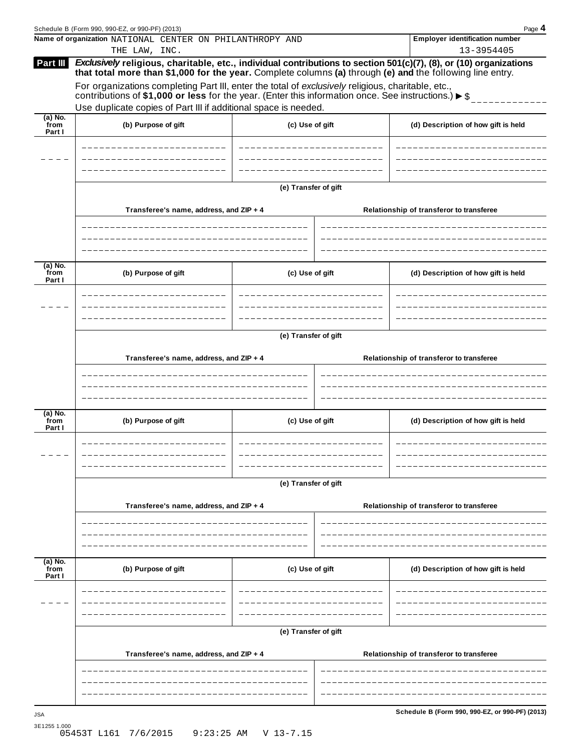|                             | Schedule B (Form 990, 990-EZ, or 990-PF) (2013)                                                                                                                                                                                                  |                      |                                          | Page 4                                          |  |  |  |  |  |
|-----------------------------|--------------------------------------------------------------------------------------------------------------------------------------------------------------------------------------------------------------------------------------------------|----------------------|------------------------------------------|-------------------------------------------------|--|--|--|--|--|
|                             | Name of organization NATIONAL CENTER ON PHILANTHROPY AND                                                                                                                                                                                         |                      |                                          | <b>Employer identification number</b>           |  |  |  |  |  |
| Part III                    | THE LAW, INC.<br>Exclusively religious, charitable, etc., individual contributions to section 501(c)(7), (8), or (10) organizations<br>that total more than \$1,000 for the year. Complete columns (a) through (e) and the following line entry. |                      |                                          | 13-3954405                                      |  |  |  |  |  |
|                             | For organizations completing Part III, enter the total of exclusively religious, charitable, etc.,<br>contributions of \$1,000 or less for the year. (Enter this information once. See instructions.) $\triangleright$ \$                        |                      |                                          |                                                 |  |  |  |  |  |
|                             | Use duplicate copies of Part III if additional space is needed.                                                                                                                                                                                  |                      |                                          |                                                 |  |  |  |  |  |
| $(a)$ No.<br>from<br>Part I | (b) Purpose of gift                                                                                                                                                                                                                              | (c) Use of gift      |                                          | (d) Description of how gift is held             |  |  |  |  |  |
|                             |                                                                                                                                                                                                                                                  |                      |                                          |                                                 |  |  |  |  |  |
|                             |                                                                                                                                                                                                                                                  | (e) Transfer of gift |                                          |                                                 |  |  |  |  |  |
|                             | Transferee's name, address, and ZIP + 4                                                                                                                                                                                                          |                      |                                          | Relationship of transferor to transferee        |  |  |  |  |  |
|                             |                                                                                                                                                                                                                                                  |                      |                                          |                                                 |  |  |  |  |  |
| $(a)$ No.<br>from<br>Part I | (b) Purpose of gift                                                                                                                                                                                                                              | (c) Use of gift      |                                          | (d) Description of how gift is held             |  |  |  |  |  |
|                             |                                                                                                                                                                                                                                                  |                      |                                          |                                                 |  |  |  |  |  |
|                             |                                                                                                                                                                                                                                                  | (e) Transfer of gift |                                          |                                                 |  |  |  |  |  |
|                             |                                                                                                                                                                                                                                                  |                      |                                          |                                                 |  |  |  |  |  |
|                             | Transferee's name, address, and ZIP + 4                                                                                                                                                                                                          |                      |                                          | Relationship of transferor to transferee        |  |  |  |  |  |
|                             |                                                                                                                                                                                                                                                  |                      |                                          |                                                 |  |  |  |  |  |
|                             |                                                                                                                                                                                                                                                  |                      |                                          |                                                 |  |  |  |  |  |
| $(a)$ No.<br>from<br>Part I | (b) Purpose of gift                                                                                                                                                                                                                              | (c) Use of gift      |                                          | (d) Description of how gift is held             |  |  |  |  |  |
|                             |                                                                                                                                                                                                                                                  |                      |                                          |                                                 |  |  |  |  |  |
|                             | (e) Transfer of gift                                                                                                                                                                                                                             |                      |                                          |                                                 |  |  |  |  |  |
|                             | Transferee's name, address, and ZIP + 4                                                                                                                                                                                                          |                      | Relationship of transferor to transferee |                                                 |  |  |  |  |  |
|                             |                                                                                                                                                                                                                                                  |                      |                                          |                                                 |  |  |  |  |  |
| (a) No.<br>from<br>Part I   | (b) Purpose of gift                                                                                                                                                                                                                              | (c) Use of gift      |                                          | (d) Description of how gift is held             |  |  |  |  |  |
|                             |                                                                                                                                                                                                                                                  |                      |                                          |                                                 |  |  |  |  |  |
|                             |                                                                                                                                                                                                                                                  |                      |                                          |                                                 |  |  |  |  |  |
|                             |                                                                                                                                                                                                                                                  | (e) Transfer of gift |                                          |                                                 |  |  |  |  |  |
|                             | Transferee's name, address, and ZIP + 4                                                                                                                                                                                                          |                      |                                          | Relationship of transferor to transferee        |  |  |  |  |  |
|                             |                                                                                                                                                                                                                                                  |                      |                                          |                                                 |  |  |  |  |  |
|                             |                                                                                                                                                                                                                                                  |                      |                                          |                                                 |  |  |  |  |  |
| <b>JSA</b>                  |                                                                                                                                                                                                                                                  |                      |                                          | Schedule B (Form 990, 990-EZ, or 990-PF) (2013) |  |  |  |  |  |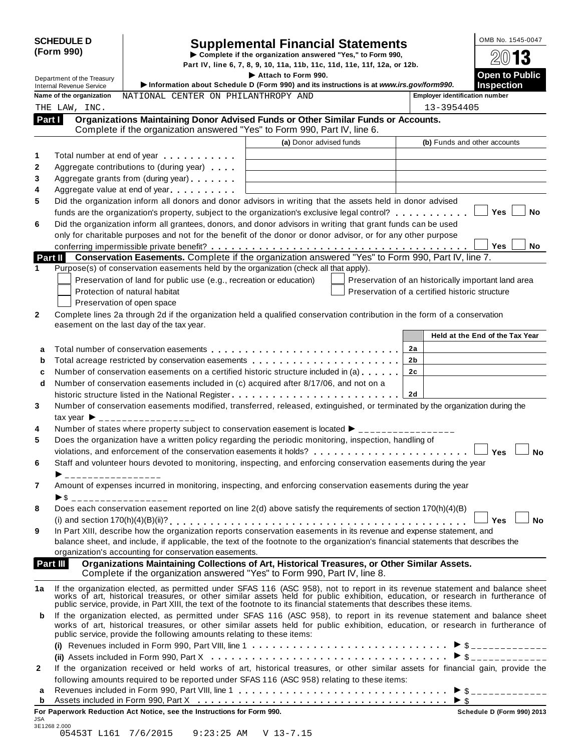| <b>SCHEDULE D</b> |  |
|-------------------|--|
| (Form 990)        |  |

# SCHEDULE D<br>
Supplemental Financial Statements<br>
Form 990) Part IV, line 6, 7, 8, 9, 10, 11a, 11b, 11c, 11d, 11e, 11f, 12a, or 12b.

|              |                                                               |                                                                                                                                                                                                                                | Part IV, line 6, 7, 8, 9, 10, 11a, 11b, 11c, 11d, 11e, 11f, 12a, or 12b. |                                                |            | <b>Open to Public</b>                               |           |
|--------------|---------------------------------------------------------------|--------------------------------------------------------------------------------------------------------------------------------------------------------------------------------------------------------------------------------|--------------------------------------------------------------------------|------------------------------------------------|------------|-----------------------------------------------------|-----------|
|              | Department of the Treasury<br><b>Internal Revenue Service</b> | Information about Schedule D (Form 990) and its instructions is at www.irs.gov/form990.                                                                                                                                        | Attach to Form 990.                                                      |                                                |            | <b>Inspection</b>                                   |           |
|              | Name of the organization                                      | NATIONAL CENTER ON PHILANTHROPY AND                                                                                                                                                                                            |                                                                          |                                                |            | <b>Employer identification number</b>               |           |
|              | THE LAW, INC.                                                 |                                                                                                                                                                                                                                |                                                                          |                                                | 13-3954405 |                                                     |           |
| Part I       |                                                               | Organizations Maintaining Donor Advised Funds or Other Similar Funds or Accounts.<br>Complete if the organization answered "Yes" to Form 990, Part IV, line 6.                                                                 |                                                                          |                                                |            |                                                     |           |
|              |                                                               |                                                                                                                                                                                                                                | (a) Donor advised funds                                                  |                                                |            | (b) Funds and other accounts                        |           |
|              |                                                               | Total number at end of year example.                                                                                                                                                                                           |                                                                          |                                                |            |                                                     |           |
|              |                                                               | Aggregate contributions to (during year)                                                                                                                                                                                       |                                                                          |                                                |            |                                                     |           |
|              |                                                               | Aggregate grants from (during year)                                                                                                                                                                                            |                                                                          |                                                |            |                                                     |           |
|              |                                                               | Aggregate value at end of year                                                                                                                                                                                                 |                                                                          |                                                |            |                                                     |           |
|              |                                                               | Did the organization inform all donors and donor advisors in writing that the assets held in donor advised                                                                                                                     |                                                                          |                                                |            |                                                     |           |
|              |                                                               | funds are the organization's property, subject to the organization's exclusive legal control?<br>                                                                                                                              |                                                                          |                                                |            | Yes                                                 | <b>No</b> |
|              |                                                               | Did the organization inform all grantees, donors, and donor advisors in writing that grant funds can be used                                                                                                                   |                                                                          |                                                |            |                                                     |           |
|              |                                                               | only for charitable purposes and not for the benefit of the donor or donor advisor, or for any other purpose                                                                                                                   |                                                                          |                                                |            |                                                     |           |
|              |                                                               |                                                                                                                                                                                                                                |                                                                          |                                                |            | <b>Yes</b>                                          | No        |
| Part II      |                                                               | Conservation Easements. Complete if the organization answered "Yes" to Form 990, Part IV, line 7.                                                                                                                              |                                                                          |                                                |            |                                                     |           |
|              |                                                               | Purpose(s) of conservation easements held by the organization (check all that apply).                                                                                                                                          |                                                                          |                                                |            |                                                     |           |
|              |                                                               | Preservation of land for public use (e.g., recreation or education)                                                                                                                                                            |                                                                          |                                                |            | Preservation of an historically important land area |           |
|              |                                                               | Protection of natural habitat                                                                                                                                                                                                  |                                                                          | Preservation of a certified historic structure |            |                                                     |           |
|              |                                                               | Preservation of open space                                                                                                                                                                                                     |                                                                          |                                                |            |                                                     |           |
|              |                                                               | Complete lines 2a through 2d if the organization held a qualified conservation contribution in the form of a conservation<br>easement on the last day of the tax year.                                                         |                                                                          |                                                |            |                                                     |           |
|              |                                                               |                                                                                                                                                                                                                                |                                                                          |                                                |            | Held at the End of the Tax Year                     |           |
|              |                                                               |                                                                                                                                                                                                                                |                                                                          |                                                |            |                                                     |           |
| a            |                                                               |                                                                                                                                                                                                                                |                                                                          |                                                | 2a<br>2b   |                                                     |           |
| b            |                                                               | Number of conservation easements on a certified historic structure included in (a)                                                                                                                                             |                                                                          |                                                | 2c         |                                                     |           |
| c<br>d       |                                                               | Number of conservation easements included in (c) acquired after 8/17/06, and not on a                                                                                                                                          |                                                                          |                                                |            |                                                     |           |
|              |                                                               | historic structure listed in the National Register                                                                                                                                                                             |                                                                          |                                                | 2d         |                                                     |           |
|              |                                                               | Number of conservation easements modified, transferred, released, extinguished, or terminated by the organization during the                                                                                                   |                                                                          |                                                |            |                                                     |           |
|              |                                                               | tax year $\triangleright$ _________________                                                                                                                                                                                    |                                                                          |                                                |            |                                                     |           |
|              |                                                               | Number of states where property subject to conservation easement is located ► _______________                                                                                                                                  |                                                                          |                                                |            |                                                     |           |
|              |                                                               | Does the organization have a written policy regarding the periodic monitoring, inspection, handling of                                                                                                                         |                                                                          |                                                |            |                                                     |           |
|              |                                                               | violations, and enforcement of the conservation easements it holds?                                                                                                                                                            |                                                                          |                                                |            | Yes                                                 | <b>No</b> |
|              |                                                               | Staff and volunteer hours devoted to monitoring, inspecting, and enforcing conservation easements during the year                                                                                                              |                                                                          |                                                |            |                                                     |           |
|              |                                                               |                                                                                                                                                                                                                                |                                                                          |                                                |            |                                                     |           |
|              |                                                               | Amount of expenses incurred in monitoring, inspecting, and enforcing conservation easements during the year                                                                                                                    |                                                                          |                                                |            |                                                     |           |
|              | $\triangleright$ \$ ___________________                       |                                                                                                                                                                                                                                |                                                                          |                                                |            |                                                     |           |
|              |                                                               | Does each conservation easement reported on line 2(d) above satisfy the requirements of section 170(h)(4)(B)                                                                                                                   |                                                                          |                                                |            |                                                     |           |
|              |                                                               |                                                                                                                                                                                                                                |                                                                          |                                                |            | Yes                                                 | <b>No</b> |
|              |                                                               | In Part XIII, describe how the organization reports conservation easements in its revenue and expense statement, and                                                                                                           |                                                                          |                                                |            |                                                     |           |
|              |                                                               | balance sheet, and include, if applicable, the text of the footnote to the organization's financial statements that describes the                                                                                              |                                                                          |                                                |            |                                                     |           |
|              |                                                               | organization's accounting for conservation easements.                                                                                                                                                                          |                                                                          |                                                |            |                                                     |           |
| Part III     |                                                               | Organizations Maintaining Collections of Art, Historical Treasures, or Other Similar Assets.<br>Complete if the organization answered "Yes" to Form 990, Part IV, line 8.                                                      |                                                                          |                                                |            |                                                     |           |
| 1a           |                                                               |                                                                                                                                                                                                                                |                                                                          |                                                |            |                                                     |           |
|              |                                                               | If the organization elected, as permitted under SFAS 116 (ASC 958), not to report in its revenue statement and balance sheet works of art, historical treasures, or other similar assets held for public exhibition, education |                                                                          |                                                |            |                                                     |           |
|              |                                                               | public service, provide, in Part XIII, the text of the footnote to its financial statements that describes these items.                                                                                                        |                                                                          |                                                |            |                                                     |           |
| b            |                                                               | If the organization elected, as permitted under SFAS 116 (ASC 958), to report in its revenue statement and balance sheet                                                                                                       |                                                                          |                                                |            |                                                     |           |
|              |                                                               | works of art, historical treasures, or other similar assets held for public exhibition, education, or research in furtherance of<br>public service, provide the following amounts relating to these items:                     |                                                                          |                                                |            |                                                     |           |
|              |                                                               |                                                                                                                                                                                                                                |                                                                          |                                                |            |                                                     |           |
|              |                                                               |                                                                                                                                                                                                                                |                                                                          |                                                |            |                                                     |           |
|              |                                                               | If the organization received or held works of art, historical treasures, or other similar assets for financial gain, provide the                                                                                               |                                                                          |                                                |            |                                                     |           |
| $\mathbf{2}$ |                                                               | following amounts required to be reported under SFAS 116 (ASC 958) relating to these items:                                                                                                                                    |                                                                          |                                                |            |                                                     |           |
| а            |                                                               |                                                                                                                                                                                                                                |                                                                          |                                                |            |                                                     |           |
| b            |                                                               |                                                                                                                                                                                                                                |                                                                          |                                                |            | $\triangleright$ \$                                 |           |
|              |                                                               | For Paperwork Reduction Act Notice, see the Instructions for Form 990.                                                                                                                                                         |                                                                          |                                                |            | Schedule D (Form 990) 2013                          |           |

| JSA          |                      |                      |  |
|--------------|----------------------|----------------------|--|
| 3E1268 2.000 |                      |                      |  |
|              | 05453T L161 7/6/2015 | 9:23:25 AM V 13-7.15 |  |
|              |                      |                      |  |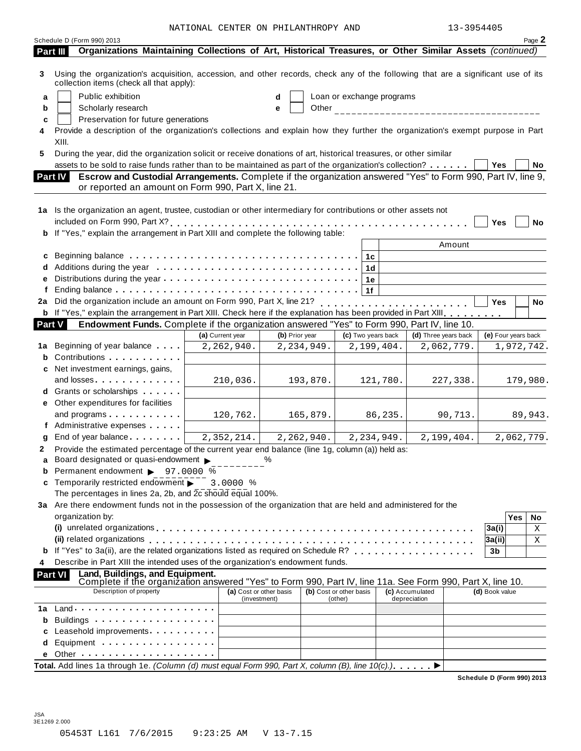NATIONAL CENTER ON PHILANTHROPY AND 13-3954405

|    | Schedule D (Form 990) 2013                                                                                                                                                                                                    |                  |                         |              |                           |            |                      |            |                     |            | Page 2     |
|----|-------------------------------------------------------------------------------------------------------------------------------------------------------------------------------------------------------------------------------|------------------|-------------------------|--------------|---------------------------|------------|----------------------|------------|---------------------|------------|------------|
|    | Organizations Maintaining Collections of Art, Historical Treasures, or Other Similar Assets (continued)<br>Part III                                                                                                           |                  |                         |              |                           |            |                      |            |                     |            |            |
| 3  | Using the organization's acquisition, accession, and other records, check any of the following that are a significant use of its<br>collection items (check all that apply):                                                  |                  |                         |              |                           |            |                      |            |                     |            |            |
| a  | Public exhibition                                                                                                                                                                                                             |                  |                         |              | Loan or exchange programs |            |                      |            |                     |            |            |
| b  | Scholarly research                                                                                                                                                                                                            |                  | e                       |              |                           |            |                      |            |                     |            |            |
| c  | Preservation for future generations                                                                                                                                                                                           |                  |                         |              |                           |            |                      |            |                     |            |            |
|    | Provide a description of the organization's collections and explain how they further the organization's exempt purpose in Part                                                                                                |                  |                         |              |                           |            |                      |            |                     |            |            |
|    | XIII.                                                                                                                                                                                                                         |                  |                         |              |                           |            |                      |            |                     |            |            |
| 5  | During the year, did the organization solicit or receive donations of art, historical treasures, or other similar                                                                                                             |                  |                         |              |                           |            |                      |            |                     |            |            |
|    | assets to be sold to raise funds rather than to be maintained as part of the organization's collection?                                                                                                                       |                  |                         |              |                           |            |                      |            | Yes                 |            | No         |
|    | Escrow and Custodial Arrangements. Complete if the organization answered "Yes" to Form 990, Part IV, line 9,<br><b>Part IV</b><br>or reported an amount on Form 990, Part X, line 21.                                         |                  |                         |              |                           |            |                      |            |                     |            |            |
|    |                                                                                                                                                                                                                               |                  |                         |              |                           |            |                      |            |                     |            |            |
|    | 1a Is the organization an agent, trustee, custodian or other intermediary for contributions or other assets not                                                                                                               |                  |                         |              |                           |            |                      |            |                     |            |            |
|    |                                                                                                                                                                                                                               |                  |                         |              |                           |            |                      |            | Yes                 |            | <b>No</b>  |
|    | b If "Yes," explain the arrangement in Part XIII and complete the following table:                                                                                                                                            |                  |                         |              |                           |            |                      |            |                     |            |            |
|    |                                                                                                                                                                                                                               |                  |                         |              |                           |            |                      | Amount     |                     |            |            |
| C  |                                                                                                                                                                                                                               |                  |                         |              | l 1c                      |            |                      |            |                     |            |            |
|    |                                                                                                                                                                                                                               |                  |                         |              | 1 <sub>d</sub>            |            |                      |            |                     |            |            |
| е  |                                                                                                                                                                                                                               |                  |                         |              | 1e                        |            |                      |            |                     |            |            |
| f  |                                                                                                                                                                                                                               |                  |                         |              | ∣ 1f                      |            |                      |            |                     |            |            |
| 2a | Did the organization include an amount on Form 990, Part X, line 21? [10, 21] [20, 21] [20, 21] [20, 21] [20, 21] [20, 21] [20, 21] [20, 21] [20, 21] [20, 21] [20, 21] [20, 21] [20, 21] [20, 21] [20, 21] [20, 21] [20, 21] |                  |                         |              |                           |            |                      |            | <b>Yes</b>          |            | No         |
|    | b If "Yes," explain the arrangement in Part XIII. Check here if the explanation has been provided in Part XIII                                                                                                                |                  |                         |              |                           |            |                      |            |                     |            |            |
|    | Endowment Funds. Complete if the organization answered "Yes" to Form 990, Part IV, line 10.<br><b>Part V</b>                                                                                                                  |                  |                         |              |                           |            |                      |            |                     |            |            |
|    |                                                                                                                                                                                                                               | (a) Current year | (b) Prior year          |              | (c) Two years back        |            | (d) Three years back |            | (e) Four years back |            |            |
| 1a | Beginning of year balance                                                                                                                                                                                                     | 2,262,940.       |                         | 2, 234, 949. |                           | 2,199,404. |                      | 2,062,779. |                     |            | 1,972,742. |
|    | b Contributions                                                                                                                                                                                                               |                  |                         |              |                           |            |                      |            |                     |            |            |
|    | c Net investment earnings, gains,                                                                                                                                                                                             |                  |                         |              |                           |            |                      |            |                     |            |            |
|    | and losses                                                                                                                                                                                                                    | 210,036.         |                         | 193,870.     |                           | 121,780.   |                      | 227,338.   |                     |            | 179,980.   |
|    | d Grants or scholarships                                                                                                                                                                                                      |                  |                         |              |                           |            |                      |            |                     |            |            |
|    | e Other expenditures for facilities                                                                                                                                                                                           |                  |                         |              |                           |            |                      |            |                     |            |            |
|    | and programs                                                                                                                                                                                                                  | 120,762.         |                         | 165,879.     |                           | 86,235.    |                      | 90,713.    |                     |            | 89,943.    |
|    | f Administrative expenses                                                                                                                                                                                                     |                  |                         |              |                           |            |                      |            |                     |            |            |
| g  | End of year balance example.                                                                                                                                                                                                  | 2,352,214.       |                         | 2,262,940.   |                           | 2,234,949. |                      | 2,199,404. |                     |            | 2,062,779. |
| 2  | Provide the estimated percentage of the current year end balance (line 1g, column (a)) held as:                                                                                                                               |                  |                         |              |                           |            |                      |            |                     |            |            |
|    | Board designated or quasi-endowment                                                                                                                                                                                           |                  | %                       |              |                           |            |                      |            |                     |            |            |
|    | <b>b</b> Permanent endowment $\triangleright$ 97.0000 $\%$                                                                                                                                                                    |                  |                         |              |                           |            |                      |            |                     |            |            |
|    | <b>c</b> Temporarily restricted endowment $\blacktriangleright$                                                                                                                                                               | 3.0000 %         |                         |              |                           |            |                      |            |                     |            |            |
|    | The percentages in lines 2a, 2b, and $2c$ should equal 100%.                                                                                                                                                                  |                  |                         |              |                           |            |                      |            |                     |            |            |
|    | 3a Are there endowment funds not in the possession of the organization that are held and administered for the                                                                                                                 |                  |                         |              |                           |            |                      |            |                     |            |            |
|    | organization by:                                                                                                                                                                                                              |                  |                         |              |                           |            |                      |            |                     | <b>Yes</b> | No         |
|    |                                                                                                                                                                                                                               |                  |                         |              |                           |            |                      |            | 3a(i)               |            | Χ          |
|    | (ii) related organizations enterpresent respectively related organizations of the contract respectively related organizations                                                                                                 |                  |                         |              |                           |            |                      |            | 3a(ii)              |            | Χ          |
|    |                                                                                                                                                                                                                               |                  |                         |              |                           |            |                      |            | 3b                  |            |            |
|    | Describe in Part XIII the intended uses of the organization's endowment funds.                                                                                                                                                |                  |                         |              |                           |            |                      |            |                     |            |            |
|    | Land, Buildings, and Equipment.<br><b>Part VI</b><br>Complete if the organization answered "Yes" to Form 990, Part IV, line 11a. See Form 990, Part X, line 10.                                                               |                  |                         |              |                           |            |                      |            |                     |            |            |
|    | Description of property                                                                                                                                                                                                       |                  | (a) Cost or other basis |              | (b) Cost or other basis   |            | (c) Accumulated      |            | (d) Book value      |            |            |
|    |                                                                                                                                                                                                                               |                  | (investment)            |              | (other)                   |            | depreciation         |            |                     |            |            |
| 1а |                                                                                                                                                                                                                               |                  |                         |              |                           |            |                      |            |                     |            |            |
| b  |                                                                                                                                                                                                                               |                  |                         |              |                           |            |                      |            |                     |            |            |
| с  | Leasehold improvements <b>Leasehold</b> improvements                                                                                                                                                                          |                  |                         |              |                           |            |                      |            |                     |            |            |
| d  | Equipment                                                                                                                                                                                                                     |                  |                         |              |                           |            |                      |            |                     |            |            |
|    |                                                                                                                                                                                                                               |                  |                         |              |                           |            |                      |            |                     |            |            |
|    | Total. Add lines 1a through 1e. (Column (d) must equal Form 990, Part X, column (B), line $10(c)$ .)                                                                                                                          |                  |                         |              |                           |            |                      |            |                     |            |            |

**Schedule D (Form 990) 2013**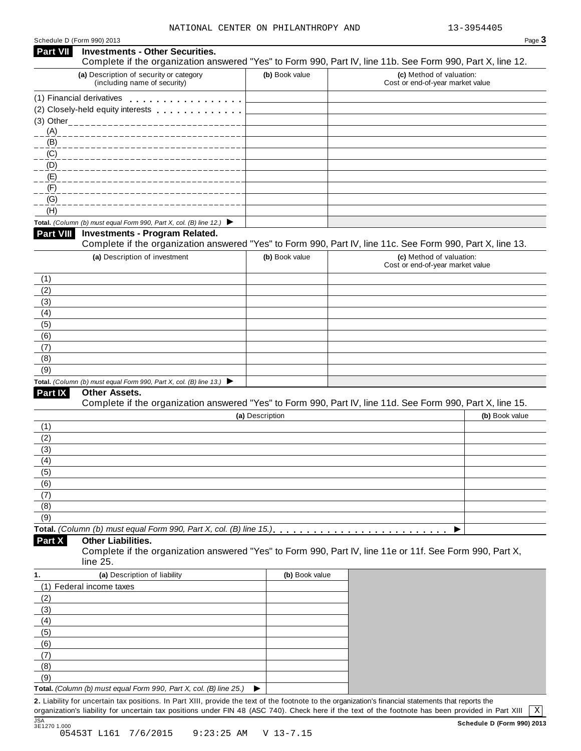| <b>Part VII</b>                                                                                                               | <b>Investments - Other Securities.</b>                                                                                                                                                                                         |                 | Complete if the organization answered "Yes" to Form 990, Part IV, line 11b. See Form 990, Part X, line 12.                   |
|-------------------------------------------------------------------------------------------------------------------------------|--------------------------------------------------------------------------------------------------------------------------------------------------------------------------------------------------------------------------------|-----------------|------------------------------------------------------------------------------------------------------------------------------|
|                                                                                                                               | (a) Description of security or category<br>(including name of security)                                                                                                                                                        | (b) Book value  | (c) Method of valuation:<br>Cost or end-of-year market value                                                                 |
|                                                                                                                               | (1) Financial derivatives                                                                                                                                                                                                      |                 |                                                                                                                              |
|                                                                                                                               | (2) Closely-held equity interests entitled as a set of the control of the control of the control of the control of the control of the control of the control of the control of the control of the control of the control of th |                 |                                                                                                                              |
|                                                                                                                               |                                                                                                                                                                                                                                |                 |                                                                                                                              |
| (A)                                                                                                                           |                                                                                                                                                                                                                                |                 |                                                                                                                              |
| (B)                                                                                                                           |                                                                                                                                                                                                                                |                 |                                                                                                                              |
| (C)                                                                                                                           |                                                                                                                                                                                                                                |                 |                                                                                                                              |
| (D)                                                                                                                           |                                                                                                                                                                                                                                |                 |                                                                                                                              |
| (E)                                                                                                                           |                                                                                                                                                                                                                                |                 |                                                                                                                              |
| (F)<br>(G)                                                                                                                    |                                                                                                                                                                                                                                |                 |                                                                                                                              |
| (H)                                                                                                                           |                                                                                                                                                                                                                                |                 |                                                                                                                              |
|                                                                                                                               | Total. (Column (b) must equal Form 990, Part X, col. (B) line 12.) $\blacktriangleright$                                                                                                                                       |                 |                                                                                                                              |
| Part VIII                                                                                                                     | <b>Investments - Program Related.</b>                                                                                                                                                                                          |                 |                                                                                                                              |
|                                                                                                                               |                                                                                                                                                                                                                                |                 | Complete if the organization answered "Yes" to Form 990, Part IV, line 11c. See Form 990, Part X, line 13.                   |
|                                                                                                                               | (a) Description of investment                                                                                                                                                                                                  | (b) Book value  | (c) Method of valuation:                                                                                                     |
|                                                                                                                               |                                                                                                                                                                                                                                |                 | Cost or end-of-year market value                                                                                             |
| (1)                                                                                                                           |                                                                                                                                                                                                                                |                 |                                                                                                                              |
| (2)                                                                                                                           |                                                                                                                                                                                                                                |                 |                                                                                                                              |
| (3)                                                                                                                           |                                                                                                                                                                                                                                |                 |                                                                                                                              |
| (4)                                                                                                                           |                                                                                                                                                                                                                                |                 |                                                                                                                              |
| (5)                                                                                                                           |                                                                                                                                                                                                                                |                 |                                                                                                                              |
| (6)                                                                                                                           |                                                                                                                                                                                                                                |                 |                                                                                                                              |
| (7)                                                                                                                           |                                                                                                                                                                                                                                |                 |                                                                                                                              |
| (8)<br>(9)                                                                                                                    |                                                                                                                                                                                                                                |                 |                                                                                                                              |
|                                                                                                                               |                                                                                                                                                                                                                                |                 |                                                                                                                              |
|                                                                                                                               |                                                                                                                                                                                                                                |                 |                                                                                                                              |
|                                                                                                                               | Total. (Column (b) must equal Form 990, Part X, col. (B) line 13.) $\blacktriangleright$                                                                                                                                       |                 |                                                                                                                              |
| Part IX                                                                                                                       | Other Assets.                                                                                                                                                                                                                  |                 |                                                                                                                              |
|                                                                                                                               |                                                                                                                                                                                                                                | (a) Description | Complete if the organization answered "Yes" to Form 990, Part IV, line 11d. See Form 990, Part X, line 15.<br>(b) Book value |
|                                                                                                                               |                                                                                                                                                                                                                                |                 |                                                                                                                              |
|                                                                                                                               |                                                                                                                                                                                                                                |                 |                                                                                                                              |
|                                                                                                                               |                                                                                                                                                                                                                                |                 |                                                                                                                              |
|                                                                                                                               |                                                                                                                                                                                                                                |                 |                                                                                                                              |
|                                                                                                                               |                                                                                                                                                                                                                                |                 |                                                                                                                              |
|                                                                                                                               |                                                                                                                                                                                                                                |                 |                                                                                                                              |
|                                                                                                                               |                                                                                                                                                                                                                                |                 |                                                                                                                              |
|                                                                                                                               |                                                                                                                                                                                                                                |                 |                                                                                                                              |
|                                                                                                                               |                                                                                                                                                                                                                                |                 |                                                                                                                              |
|                                                                                                                               |                                                                                                                                                                                                                                |                 |                                                                                                                              |
|                                                                                                                               | <b>Other Liabilities.</b><br>line 25.                                                                                                                                                                                          |                 | Complete if the organization answered "Yes" to Form 990, Part IV, line 11e or 11f. See Form 990, Part X,                     |
|                                                                                                                               | (a) Description of liability                                                                                                                                                                                                   | (b) Book value  |                                                                                                                              |
|                                                                                                                               | (1) Federal income taxes                                                                                                                                                                                                       |                 |                                                                                                                              |
|                                                                                                                               |                                                                                                                                                                                                                                |                 |                                                                                                                              |
|                                                                                                                               |                                                                                                                                                                                                                                |                 |                                                                                                                              |
|                                                                                                                               |                                                                                                                                                                                                                                |                 |                                                                                                                              |
|                                                                                                                               |                                                                                                                                                                                                                                |                 |                                                                                                                              |
|                                                                                                                               |                                                                                                                                                                                                                                |                 |                                                                                                                              |
|                                                                                                                               |                                                                                                                                                                                                                                |                 |                                                                                                                              |
|                                                                                                                               |                                                                                                                                                                                                                                |                 |                                                                                                                              |
| (1)<br>(2)<br>(3)<br>(4)<br>(5)<br>(6)<br>(7)<br>(8)<br>(9)<br>Part X<br>(2)<br>(3)<br>(4)<br>(5)<br>(6)<br>(7)<br>(8)<br>(9) | Total. (Column (b) must equal Form 990, Part X, col. (B) line 25.)                                                                                                                                                             |                 |                                                                                                                              |

JSA **Schedule D (Form 990) 2013** 3E1270 1.000 05453T L161 7/6/2015 9:23:25 AM V 13-7.15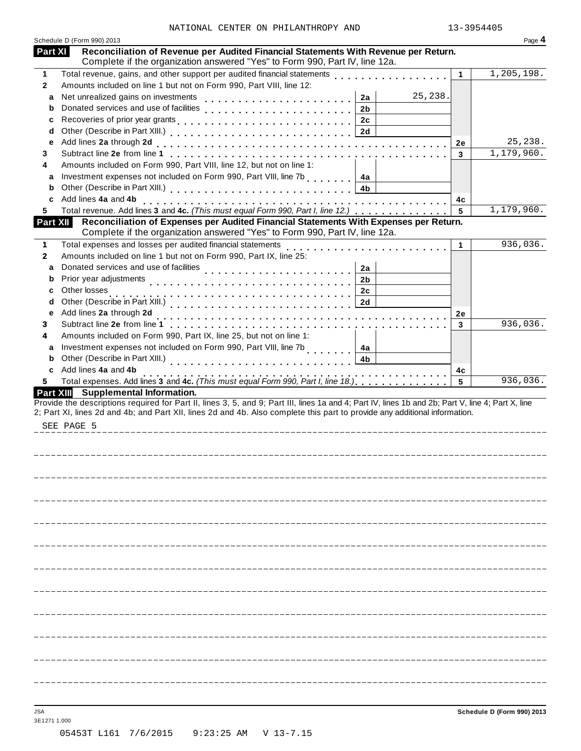|              | Schedule D (Form 990) 2013                                                                                                                                                                                                                                                                     |           | Page 4     |
|--------------|------------------------------------------------------------------------------------------------------------------------------------------------------------------------------------------------------------------------------------------------------------------------------------------------|-----------|------------|
| Part XI      | Reconciliation of Revenue per Audited Financial Statements With Revenue per Return.<br>Complete if the organization answered "Yes" to Form 990, Part IV, line 12a.                                                                                                                             |           |            |
| $\mathbf 1$  | Total revenue, gains, and other support per audited financial statements                                                                                                                                                                                                                       | 1         | 1,205,198. |
| $\mathbf{2}$ | Amounts included on line 1 but not on Form 990, Part VIII, line 12:                                                                                                                                                                                                                            |           |            |
| a            | 25,238.<br>2a                                                                                                                                                                                                                                                                                  |           |            |
| b            | Donated services and use of facilities<br>2 <sub>b</sub>                                                                                                                                                                                                                                       |           |            |
| c            | 2c                                                                                                                                                                                                                                                                                             |           |            |
| d            | 2d                                                                                                                                                                                                                                                                                             |           |            |
| e            |                                                                                                                                                                                                                                                                                                | <b>2e</b> | 25,238.    |
| 3            |                                                                                                                                                                                                                                                                                                | 3         | 1,179,960. |
| 4            | Amounts included on Form 990, Part VIII, line 12, but not on line 1:                                                                                                                                                                                                                           |           |            |
| a            | Investment expenses not included on Form 990, Part VIII, line 7b<br>4a                                                                                                                                                                                                                         |           |            |
| b            | 4b                                                                                                                                                                                                                                                                                             |           |            |
| c            | Add lines 4a and 4b                                                                                                                                                                                                                                                                            | 4c        |            |
| 5.           | Total revenue. Add lines 3 and 4c. (This must equal Form 990, Part I, line 12.)                                                                                                                                                                                                                | 5         | 1,179,960. |
| Part XII     | Reconciliation of Expenses per Audited Financial Statements With Expenses per Return.<br>Complete if the organization answered "Yes" to Form 990, Part IV, line 12a.                                                                                                                           |           |            |
| $\mathbf{1}$ | Total expenses and losses per audited financial statements                                                                                                                                                                                                                                     | 1         | 936,036.   |
| $\mathbf{2}$ | Amounts included on line 1 but not on Form 990, Part IX, line 25:                                                                                                                                                                                                                              |           |            |
| a            | Donated services and use of facilities<br>2a                                                                                                                                                                                                                                                   |           |            |
| b            | Prior year adjustments<br>2 <sub>b</sub>                                                                                                                                                                                                                                                       |           |            |
| c            | Other losses<br>2c                                                                                                                                                                                                                                                                             |           |            |
| d            | 2d                                                                                                                                                                                                                                                                                             |           |            |
| е            | Add lines 2a through 2d                                                                                                                                                                                                                                                                        | 2e        |            |
| 3            |                                                                                                                                                                                                                                                                                                | 3         | 936,036.   |
| 4            | Amounts included on Form 990, Part IX, line 25, but not on line 1:                                                                                                                                                                                                                             |           |            |
| a            | Investment expenses not included on Form 990, Part VIII, line 7b<br>4a                                                                                                                                                                                                                         |           |            |
| b            | Other (Describe in Part XIII.)<br>4b                                                                                                                                                                                                                                                           |           |            |
| c            | Add lines 4a and 4b<br>Total expenses. Add lines 3 and 4c. (This must equal Form 990, Part I, line 18.)                                                                                                                                                                                        | 4c        |            |
| 5.           | Part XIII Supplemental Information.                                                                                                                                                                                                                                                            | 5         | 936,036.   |
|              | Provide the descriptions required for Part II, lines 3, 5, and 9; Part III, lines 1a and 4; Part IV, lines 1b and 2b; Part V, line 4; Part X, line<br>2; Part XI, lines 2d and 4b; and Part XII, lines 2d and 4b. Also complete this part to provide any additional information.<br>SEE PAGE 5 |           |            |
|              |                                                                                                                                                                                                                                                                                                |           |            |
|              |                                                                                                                                                                                                                                                                                                |           |            |
|              |                                                                                                                                                                                                                                                                                                |           |            |
|              |                                                                                                                                                                                                                                                                                                |           |            |
|              |                                                                                                                                                                                                                                                                                                |           |            |
|              |                                                                                                                                                                                                                                                                                                |           |            |
|              |                                                                                                                                                                                                                                                                                                |           |            |
|              |                                                                                                                                                                                                                                                                                                |           |            |
|              |                                                                                                                                                                                                                                                                                                |           |            |
|              |                                                                                                                                                                                                                                                                                                |           |            |
|              |                                                                                                                                                                                                                                                                                                |           |            |
|              |                                                                                                                                                                                                                                                                                                |           |            |

3E1271 1.000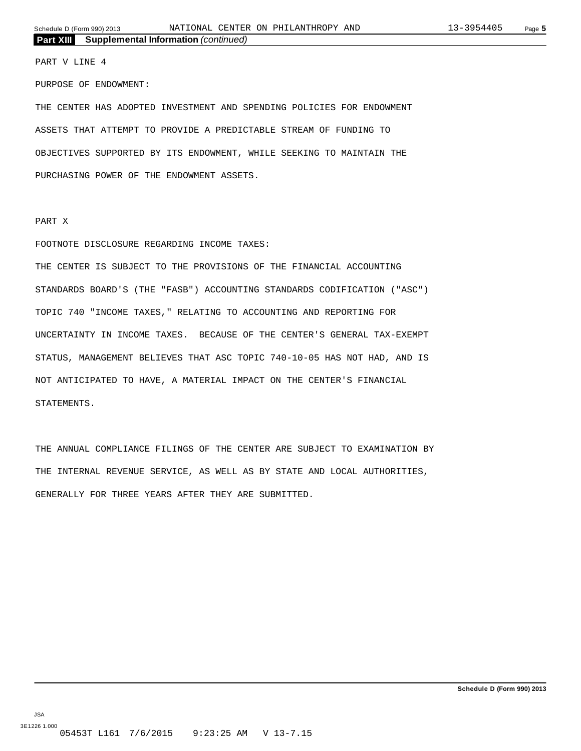#### PART V LINE 4

PURPOSE OF ENDOWMENT:

THE CENTER HAS ADOPTED INVESTMENT AND SPENDING POLICIES FOR ENDOWMENT ASSETS THAT ATTEMPT TO PROVIDE A PREDICTABLE STREAM OF FUNDING TO OBJECTIVES SUPPORTED BY ITS ENDOWMENT, WHILE SEEKING TO MAINTAIN THE PURCHASING POWER OF THE ENDOWMENT ASSETS.

#### PART X

#### FOOTNOTE DISCLOSURE REGARDING INCOME TAXES:

THE CENTER IS SUBJECT TO THE PROVISIONS OF THE FINANCIAL ACCOUNTING STANDARDS BOARD'S (THE "FASB") ACCOUNTING STANDARDS CODIFICATION ("ASC") TOPIC 740 "INCOME TAXES," RELATING TO ACCOUNTING AND REPORTING FOR UNCERTAINTY IN INCOME TAXES. BECAUSE OF THE CENTER'S GENERAL TAX-EXEMPT STATUS, MANAGEMENT BELIEVES THAT ASC TOPIC 740-10-05 HAS NOT HAD, AND IS NOT ANTICIPATED TO HAVE, A MATERIAL IMPACT ON THE CENTER'S FINANCIAL STATEMENTS.

THE ANNUAL COMPLIANCE FILINGS OF THE CENTER ARE SUBJECT TO EXAMINATION BY THE INTERNAL REVENUE SERVICE, AS WELL AS BY STATE AND LOCAL AUTHORITIES, GENERALLY FOR THREE YEARS AFTER THEY ARE SUBMITTED.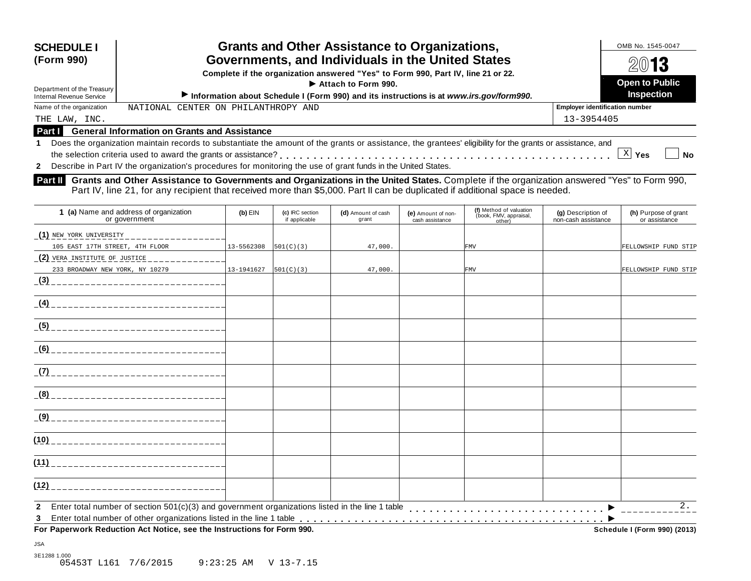| <b>SCHEDULE I</b><br>(Form 990)                        | <b>Grants and Other Assistance to Organizations,</b><br>Governments, and Individuals in the United States<br>Complete if the organization answered "Yes" to Form 990, Part IV, line 21 or 22.<br>$\blacktriangleright$ Attach to Form 990.                                    | OMB No. 1545-0047<br>2013<br><b>Open to Public</b> |
|--------------------------------------------------------|-------------------------------------------------------------------------------------------------------------------------------------------------------------------------------------------------------------------------------------------------------------------------------|----------------------------------------------------|
| Department of the Treasury<br>Internal Revenue Service | Information about Schedule I (Form 990) and its instructions is at www.irs.gov/form990.                                                                                                                                                                                       | <b>Inspection</b>                                  |
| Name of the organization                               | NATIONAL CENTER ON PHILANTHROPY AND                                                                                                                                                                                                                                           | <b>Employer identification number</b>              |
| THE LAW, INC.                                          |                                                                                                                                                                                                                                                                               | 13-3954405                                         |
| <b>Part I</b>                                          | <b>General Information on Grants and Assistance</b>                                                                                                                                                                                                                           |                                                    |
|                                                        | Does the organization maintain records to substantiate the amount of the grants or assistance, the grantees' eligibility for the grants or assistance, and<br>2 Describe in Part IV the organization's procedures for monitoring the use of grant funds in the United States. | Yes<br><b>No</b>                                   |

**Part II** Grants and Other Assistance to Governments and Organizations in the United States. Complete if the organization answered "Yes" to Form 990,<br>Part IV, line 21, for any recipient that received more than \$5,000. Part

| 1 (a) Name and address of organization<br>or government                | $(b)$ EIN      | (c) IRC section<br>if applicable | (d) Amount of cash<br>grant | (e) Amount of non-<br>cash assistance | (f) Method of valuation<br>(book, FMV, appraisal,<br>other) | (g) Description of<br>non-cash assistance | (h) Purpose of grant<br>or assistance |
|------------------------------------------------------------------------|----------------|----------------------------------|-----------------------------|---------------------------------------|-------------------------------------------------------------|-------------------------------------------|---------------------------------------|
| (1) NEW YORK UNIVERSITY<br>________________                            |                |                                  |                             |                                       |                                                             |                                           |                                       |
| 105 EAST 17TH STREET, 4TH FLOOR                                        | $13 - 5562308$ | 501(C)(3)                        | 47,000.                     |                                       | <b>FMV</b>                                                  |                                           | FELLOWSHIP FUND STIP                  |
|                                                                        |                |                                  |                             |                                       |                                                             |                                           |                                       |
| 233 BROADWAY NEW YORK, NY 10279                                        | 13-1941627     | 501(C)(3)                        | 47,000.                     |                                       | <b>FMV</b>                                                  |                                           | FELLOWSHIP FUND STIP                  |
|                                                                        |                |                                  |                             |                                       |                                                             |                                           |                                       |
|                                                                        |                |                                  |                             |                                       |                                                             |                                           |                                       |
|                                                                        |                |                                  |                             |                                       |                                                             |                                           |                                       |
|                                                                        |                |                                  |                             |                                       |                                                             |                                           |                                       |
|                                                                        |                |                                  |                             |                                       |                                                             |                                           |                                       |
|                                                                        |                |                                  |                             |                                       |                                                             |                                           |                                       |
|                                                                        |                |                                  |                             |                                       |                                                             |                                           |                                       |
|                                                                        |                |                                  |                             |                                       |                                                             |                                           |                                       |
|                                                                        |                |                                  |                             |                                       |                                                             |                                           |                                       |
|                                                                        |                |                                  |                             |                                       |                                                             |                                           |                                       |
| $\mathbf{2}$<br>3                                                      |                |                                  |                             |                                       |                                                             |                                           | 2.                                    |
| For Paperwork Reduction Act Notice, see the Instructions for Form 990. |                |                                  |                             |                                       |                                                             |                                           | Schedule I (Form 990) (2013)          |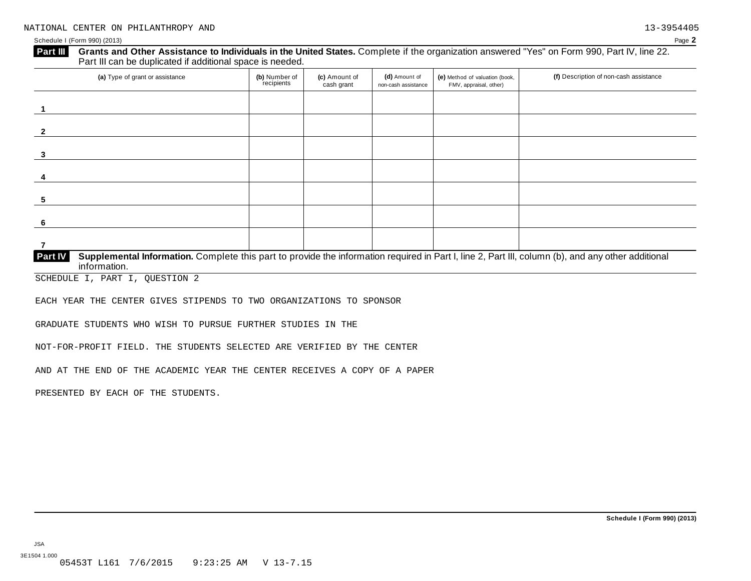#### Schedule I (Form 990) (2013) Page **2**

| (a) Type of grant or assistance | (b) Number of<br>recipients | (c) Amount of<br>cash grant | (d) Amount of<br>non-cash assistance | (e) Method of valuation (book,<br>FMV, appraisal, other) | (f) Description of non-cash assistance |
|---------------------------------|-----------------------------|-----------------------------|--------------------------------------|----------------------------------------------------------|----------------------------------------|
|                                 |                             |                             |                                      |                                                          |                                        |
|                                 |                             |                             |                                      |                                                          |                                        |
|                                 |                             |                             |                                      |                                                          |                                        |
|                                 |                             |                             |                                      |                                                          |                                        |
|                                 |                             |                             |                                      |                                                          |                                        |
|                                 |                             |                             |                                      |                                                          |                                        |
|                                 |                             |                             |                                      |                                                          |                                        |

SCHEDULE I, PART I, QUESTION 2

EACH YEAR THE CENTER GIVES STIPENDS TO TWO ORGANIZATIONS TO SPONSOR

GRADUATE STUDENTS WHO WISH TO PURSUE FURTHER STUDIES IN THE

NOT-FOR-PROFIT FIELD. THE STUDENTS SELECTED ARE VERIFIED BY THE CENTER

AND AT THE END OF THE ACADEMIC YEAR THE CENTER RECEIVES A COPY OF A PAPER

PRESENTED BY EACH OF THE STUDENTS.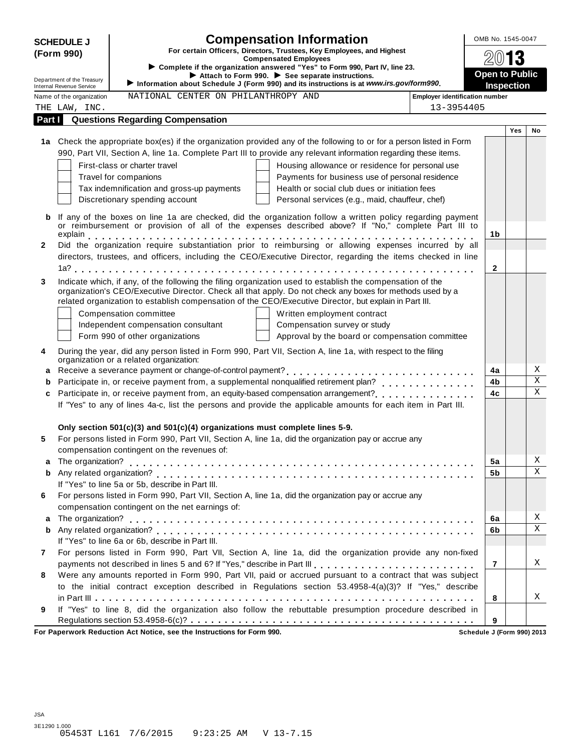| <b>SCHEDULE J</b><br>For certain Officers, Directors, Trustees, Key Employees, and Highest<br>(Form 990)<br><b>Compensated Employees</b><br>► Complete if the organization answered "Yes" to Form 990, Part IV, line 23.<br>Attach to Form 990. See separate instructions.<br>Department of the Treasury<br>Information about Schedule J (Form 990) and its instructions is at www.irs.gov/form990.<br>Internal Revenue Service<br>NATIONAL CENTER ON PHILANTHROPY AND<br>Name of the organization<br><b>Employer identification number</b><br>13-3954405<br>THE LAW, INC.<br><b>Questions Regarding Compensation</b><br>Part I | <b>Open to Public</b><br><b>Inspection</b>                                                                                                                                                                                                                                                                                                                                                                                                                                                                                                                                                                                                                                                                                                                                                                                                                                                                                                                                                                                                                                                                                                                                                                                                                                                                                                                                                                                                                                                                                                                                                                                                                                                                                                                                                                                                                                                                | 13                               |                  |
|---------------------------------------------------------------------------------------------------------------------------------------------------------------------------------------------------------------------------------------------------------------------------------------------------------------------------------------------------------------------------------------------------------------------------------------------------------------------------------------------------------------------------------------------------------------------------------------------------------------------------------|-----------------------------------------------------------------------------------------------------------------------------------------------------------------------------------------------------------------------------------------------------------------------------------------------------------------------------------------------------------------------------------------------------------------------------------------------------------------------------------------------------------------------------------------------------------------------------------------------------------------------------------------------------------------------------------------------------------------------------------------------------------------------------------------------------------------------------------------------------------------------------------------------------------------------------------------------------------------------------------------------------------------------------------------------------------------------------------------------------------------------------------------------------------------------------------------------------------------------------------------------------------------------------------------------------------------------------------------------------------------------------------------------------------------------------------------------------------------------------------------------------------------------------------------------------------------------------------------------------------------------------------------------------------------------------------------------------------------------------------------------------------------------------------------------------------------------------------------------------------------------------------------------------------|----------------------------------|------------------|
|                                                                                                                                                                                                                                                                                                                                                                                                                                                                                                                                                                                                                                 |                                                                                                                                                                                                                                                                                                                                                                                                                                                                                                                                                                                                                                                                                                                                                                                                                                                                                                                                                                                                                                                                                                                                                                                                                                                                                                                                                                                                                                                                                                                                                                                                                                                                                                                                                                                                                                                                                                           |                                  |                  |
|                                                                                                                                                                                                                                                                                                                                                                                                                                                                                                                                                                                                                                 |                                                                                                                                                                                                                                                                                                                                                                                                                                                                                                                                                                                                                                                                                                                                                                                                                                                                                                                                                                                                                                                                                                                                                                                                                                                                                                                                                                                                                                                                                                                                                                                                                                                                                                                                                                                                                                                                                                           |                                  |                  |
|                                                                                                                                                                                                                                                                                                                                                                                                                                                                                                                                                                                                                                 |                                                                                                                                                                                                                                                                                                                                                                                                                                                                                                                                                                                                                                                                                                                                                                                                                                                                                                                                                                                                                                                                                                                                                                                                                                                                                                                                                                                                                                                                                                                                                                                                                                                                                                                                                                                                                                                                                                           |                                  |                  |
|                                                                                                                                                                                                                                                                                                                                                                                                                                                                                                                                                                                                                                 |                                                                                                                                                                                                                                                                                                                                                                                                                                                                                                                                                                                                                                                                                                                                                                                                                                                                                                                                                                                                                                                                                                                                                                                                                                                                                                                                                                                                                                                                                                                                                                                                                                                                                                                                                                                                                                                                                                           |                                  |                  |
|                                                                                                                                                                                                                                                                                                                                                                                                                                                                                                                                                                                                                                 |                                                                                                                                                                                                                                                                                                                                                                                                                                                                                                                                                                                                                                                                                                                                                                                                                                                                                                                                                                                                                                                                                                                                                                                                                                                                                                                                                                                                                                                                                                                                                                                                                                                                                                                                                                                                                                                                                                           |                                  |                  |
|                                                                                                                                                                                                                                                                                                                                                                                                                                                                                                                                                                                                                                 |                                                                                                                                                                                                                                                                                                                                                                                                                                                                                                                                                                                                                                                                                                                                                                                                                                                                                                                                                                                                                                                                                                                                                                                                                                                                                                                                                                                                                                                                                                                                                                                                                                                                                                                                                                                                                                                                                                           |                                  |                  |
|                                                                                                                                                                                                                                                                                                                                                                                                                                                                                                                                                                                                                                 |                                                                                                                                                                                                                                                                                                                                                                                                                                                                                                                                                                                                                                                                                                                                                                                                                                                                                                                                                                                                                                                                                                                                                                                                                                                                                                                                                                                                                                                                                                                                                                                                                                                                                                                                                                                                                                                                                                           | Yes                              | No               |
| 1a Check the appropriate box(es) if the organization provided any of the following to or for a person listed in Form                                                                                                                                                                                                                                                                                                                                                                                                                                                                                                            |                                                                                                                                                                                                                                                                                                                                                                                                                                                                                                                                                                                                                                                                                                                                                                                                                                                                                                                                                                                                                                                                                                                                                                                                                                                                                                                                                                                                                                                                                                                                                                                                                                                                                                                                                                                                                                                                                                           |                                  |                  |
| 990, Part VII, Section A, line 1a. Complete Part III to provide any relevant information regarding these items.                                                                                                                                                                                                                                                                                                                                                                                                                                                                                                                 |                                                                                                                                                                                                                                                                                                                                                                                                                                                                                                                                                                                                                                                                                                                                                                                                                                                                                                                                                                                                                                                                                                                                                                                                                                                                                                                                                                                                                                                                                                                                                                                                                                                                                                                                                                                                                                                                                                           |                                  |                  |
| First-class or charter travel<br>Housing allowance or residence for personal use                                                                                                                                                                                                                                                                                                                                                                                                                                                                                                                                                |                                                                                                                                                                                                                                                                                                                                                                                                                                                                                                                                                                                                                                                                                                                                                                                                                                                                                                                                                                                                                                                                                                                                                                                                                                                                                                                                                                                                                                                                                                                                                                                                                                                                                                                                                                                                                                                                                                           |                                  |                  |
| Travel for companions<br>Payments for business use of personal residence                                                                                                                                                                                                                                                                                                                                                                                                                                                                                                                                                        |                                                                                                                                                                                                                                                                                                                                                                                                                                                                                                                                                                                                                                                                                                                                                                                                                                                                                                                                                                                                                                                                                                                                                                                                                                                                                                                                                                                                                                                                                                                                                                                                                                                                                                                                                                                                                                                                                                           |                                  |                  |
| Tax indemnification and gross-up payments<br>Health or social club dues or initiation fees                                                                                                                                                                                                                                                                                                                                                                                                                                                                                                                                      |                                                                                                                                                                                                                                                                                                                                                                                                                                                                                                                                                                                                                                                                                                                                                                                                                                                                                                                                                                                                                                                                                                                                                                                                                                                                                                                                                                                                                                                                                                                                                                                                                                                                                                                                                                                                                                                                                                           |                                  |                  |
| Discretionary spending account<br>Personal services (e.g., maid, chauffeur, chef)                                                                                                                                                                                                                                                                                                                                                                                                                                                                                                                                               |                                                                                                                                                                                                                                                                                                                                                                                                                                                                                                                                                                                                                                                                                                                                                                                                                                                                                                                                                                                                                                                                                                                                                                                                                                                                                                                                                                                                                                                                                                                                                                                                                                                                                                                                                                                                                                                                                                           |                                  |                  |
|                                                                                                                                                                                                                                                                                                                                                                                                                                                                                                                                                                                                                                 |                                                                                                                                                                                                                                                                                                                                                                                                                                                                                                                                                                                                                                                                                                                                                                                                                                                                                                                                                                                                                                                                                                                                                                                                                                                                                                                                                                                                                                                                                                                                                                                                                                                                                                                                                                                                                                                                                                           |                                  |                  |
|                                                                                                                                                                                                                                                                                                                                                                                                                                                                                                                                                                                                                                 |                                                                                                                                                                                                                                                                                                                                                                                                                                                                                                                                                                                                                                                                                                                                                                                                                                                                                                                                                                                                                                                                                                                                                                                                                                                                                                                                                                                                                                                                                                                                                                                                                                                                                                                                                                                                                                                                                                           |                                  |                  |
|                                                                                                                                                                                                                                                                                                                                                                                                                                                                                                                                                                                                                                 | 1b                                                                                                                                                                                                                                                                                                                                                                                                                                                                                                                                                                                                                                                                                                                                                                                                                                                                                                                                                                                                                                                                                                                                                                                                                                                                                                                                                                                                                                                                                                                                                                                                                                                                                                                                                                                                                                                                                                        |                                  |                  |
|                                                                                                                                                                                                                                                                                                                                                                                                                                                                                                                                                                                                                                 |                                                                                                                                                                                                                                                                                                                                                                                                                                                                                                                                                                                                                                                                                                                                                                                                                                                                                                                                                                                                                                                                                                                                                                                                                                                                                                                                                                                                                                                                                                                                                                                                                                                                                                                                                                                                                                                                                                           |                                  |                  |
|                                                                                                                                                                                                                                                                                                                                                                                                                                                                                                                                                                                                                                 |                                                                                                                                                                                                                                                                                                                                                                                                                                                                                                                                                                                                                                                                                                                                                                                                                                                                                                                                                                                                                                                                                                                                                                                                                                                                                                                                                                                                                                                                                                                                                                                                                                                                                                                                                                                                                                                                                                           |                                  |                  |
|                                                                                                                                                                                                                                                                                                                                                                                                                                                                                                                                                                                                                                 | $\mathbf{2}$                                                                                                                                                                                                                                                                                                                                                                                                                                                                                                                                                                                                                                                                                                                                                                                                                                                                                                                                                                                                                                                                                                                                                                                                                                                                                                                                                                                                                                                                                                                                                                                                                                                                                                                                                                                                                                                                                              |                                  |                  |
|                                                                                                                                                                                                                                                                                                                                                                                                                                                                                                                                                                                                                                 |                                                                                                                                                                                                                                                                                                                                                                                                                                                                                                                                                                                                                                                                                                                                                                                                                                                                                                                                                                                                                                                                                                                                                                                                                                                                                                                                                                                                                                                                                                                                                                                                                                                                                                                                                                                                                                                                                                           |                                  |                  |
|                                                                                                                                                                                                                                                                                                                                                                                                                                                                                                                                                                                                                                 |                                                                                                                                                                                                                                                                                                                                                                                                                                                                                                                                                                                                                                                                                                                                                                                                                                                                                                                                                                                                                                                                                                                                                                                                                                                                                                                                                                                                                                                                                                                                                                                                                                                                                                                                                                                                                                                                                                           |                                  |                  |
|                                                                                                                                                                                                                                                                                                                                                                                                                                                                                                                                                                                                                                 |                                                                                                                                                                                                                                                                                                                                                                                                                                                                                                                                                                                                                                                                                                                                                                                                                                                                                                                                                                                                                                                                                                                                                                                                                                                                                                                                                                                                                                                                                                                                                                                                                                                                                                                                                                                                                                                                                                           |                                  |                  |
|                                                                                                                                                                                                                                                                                                                                                                                                                                                                                                                                                                                                                                 |                                                                                                                                                                                                                                                                                                                                                                                                                                                                                                                                                                                                                                                                                                                                                                                                                                                                                                                                                                                                                                                                                                                                                                                                                                                                                                                                                                                                                                                                                                                                                                                                                                                                                                                                                                                                                                                                                                           |                                  |                  |
|                                                                                                                                                                                                                                                                                                                                                                                                                                                                                                                                                                                                                                 |                                                                                                                                                                                                                                                                                                                                                                                                                                                                                                                                                                                                                                                                                                                                                                                                                                                                                                                                                                                                                                                                                                                                                                                                                                                                                                                                                                                                                                                                                                                                                                                                                                                                                                                                                                                                                                                                                                           |                                  |                  |
|                                                                                                                                                                                                                                                                                                                                                                                                                                                                                                                                                                                                                                 |                                                                                                                                                                                                                                                                                                                                                                                                                                                                                                                                                                                                                                                                                                                                                                                                                                                                                                                                                                                                                                                                                                                                                                                                                                                                                                                                                                                                                                                                                                                                                                                                                                                                                                                                                                                                                                                                                                           |                                  |                  |
|                                                                                                                                                                                                                                                                                                                                                                                                                                                                                                                                                                                                                                 |                                                                                                                                                                                                                                                                                                                                                                                                                                                                                                                                                                                                                                                                                                                                                                                                                                                                                                                                                                                                                                                                                                                                                                                                                                                                                                                                                                                                                                                                                                                                                                                                                                                                                                                                                                                                                                                                                                           |                                  |                  |
|                                                                                                                                                                                                                                                                                                                                                                                                                                                                                                                                                                                                                                 |                                                                                                                                                                                                                                                                                                                                                                                                                                                                                                                                                                                                                                                                                                                                                                                                                                                                                                                                                                                                                                                                                                                                                                                                                                                                                                                                                                                                                                                                                                                                                                                                                                                                                                                                                                                                                                                                                                           |                                  |                  |
|                                                                                                                                                                                                                                                                                                                                                                                                                                                                                                                                                                                                                                 |                                                                                                                                                                                                                                                                                                                                                                                                                                                                                                                                                                                                                                                                                                                                                                                                                                                                                                                                                                                                                                                                                                                                                                                                                                                                                                                                                                                                                                                                                                                                                                                                                                                                                                                                                                                                                                                                                                           |                                  | Χ<br>$\mathbf X$ |
|                                                                                                                                                                                                                                                                                                                                                                                                                                                                                                                                                                                                                                 |                                                                                                                                                                                                                                                                                                                                                                                                                                                                                                                                                                                                                                                                                                                                                                                                                                                                                                                                                                                                                                                                                                                                                                                                                                                                                                                                                                                                                                                                                                                                                                                                                                                                                                                                                                                                                                                                                                           |                                  | $\mathbf X$      |
|                                                                                                                                                                                                                                                                                                                                                                                                                                                                                                                                                                                                                                 |                                                                                                                                                                                                                                                                                                                                                                                                                                                                                                                                                                                                                                                                                                                                                                                                                                                                                                                                                                                                                                                                                                                                                                                                                                                                                                                                                                                                                                                                                                                                                                                                                                                                                                                                                                                                                                                                                                           |                                  |                  |
|                                                                                                                                                                                                                                                                                                                                                                                                                                                                                                                                                                                                                                 |                                                                                                                                                                                                                                                                                                                                                                                                                                                                                                                                                                                                                                                                                                                                                                                                                                                                                                                                                                                                                                                                                                                                                                                                                                                                                                                                                                                                                                                                                                                                                                                                                                                                                                                                                                                                                                                                                                           |                                  |                  |
|                                                                                                                                                                                                                                                                                                                                                                                                                                                                                                                                                                                                                                 |                                                                                                                                                                                                                                                                                                                                                                                                                                                                                                                                                                                                                                                                                                                                                                                                                                                                                                                                                                                                                                                                                                                                                                                                                                                                                                                                                                                                                                                                                                                                                                                                                                                                                                                                                                                                                                                                                                           |                                  |                  |
|                                                                                                                                                                                                                                                                                                                                                                                                                                                                                                                                                                                                                                 |                                                                                                                                                                                                                                                                                                                                                                                                                                                                                                                                                                                                                                                                                                                                                                                                                                                                                                                                                                                                                                                                                                                                                                                                                                                                                                                                                                                                                                                                                                                                                                                                                                                                                                                                                                                                                                                                                                           |                                  |                  |
|                                                                                                                                                                                                                                                                                                                                                                                                                                                                                                                                                                                                                                 |                                                                                                                                                                                                                                                                                                                                                                                                                                                                                                                                                                                                                                                                                                                                                                                                                                                                                                                                                                                                                                                                                                                                                                                                                                                                                                                                                                                                                                                                                                                                                                                                                                                                                                                                                                                                                                                                                                           |                                  |                  |
|                                                                                                                                                                                                                                                                                                                                                                                                                                                                                                                                                                                                                                 |                                                                                                                                                                                                                                                                                                                                                                                                                                                                                                                                                                                                                                                                                                                                                                                                                                                                                                                                                                                                                                                                                                                                                                                                                                                                                                                                                                                                                                                                                                                                                                                                                                                                                                                                                                                                                                                                                                           |                                  | X                |
|                                                                                                                                                                                                                                                                                                                                                                                                                                                                                                                                                                                                                                 |                                                                                                                                                                                                                                                                                                                                                                                                                                                                                                                                                                                                                                                                                                                                                                                                                                                                                                                                                                                                                                                                                                                                                                                                                                                                                                                                                                                                                                                                                                                                                                                                                                                                                                                                                                                                                                                                                                           |                                  | X                |
|                                                                                                                                                                                                                                                                                                                                                                                                                                                                                                                                                                                                                                 |                                                                                                                                                                                                                                                                                                                                                                                                                                                                                                                                                                                                                                                                                                                                                                                                                                                                                                                                                                                                                                                                                                                                                                                                                                                                                                                                                                                                                                                                                                                                                                                                                                                                                                                                                                                                                                                                                                           |                                  |                  |
|                                                                                                                                                                                                                                                                                                                                                                                                                                                                                                                                                                                                                                 |                                                                                                                                                                                                                                                                                                                                                                                                                                                                                                                                                                                                                                                                                                                                                                                                                                                                                                                                                                                                                                                                                                                                                                                                                                                                                                                                                                                                                                                                                                                                                                                                                                                                                                                                                                                                                                                                                                           |                                  |                  |
|                                                                                                                                                                                                                                                                                                                                                                                                                                                                                                                                                                                                                                 |                                                                                                                                                                                                                                                                                                                                                                                                                                                                                                                                                                                                                                                                                                                                                                                                                                                                                                                                                                                                                                                                                                                                                                                                                                                                                                                                                                                                                                                                                                                                                                                                                                                                                                                                                                                                                                                                                                           |                                  |                  |
|                                                                                                                                                                                                                                                                                                                                                                                                                                                                                                                                                                                                                                 |                                                                                                                                                                                                                                                                                                                                                                                                                                                                                                                                                                                                                                                                                                                                                                                                                                                                                                                                                                                                                                                                                                                                                                                                                                                                                                                                                                                                                                                                                                                                                                                                                                                                                                                                                                                                                                                                                                           |                                  | Χ                |
|                                                                                                                                                                                                                                                                                                                                                                                                                                                                                                                                                                                                                                 | 6b                                                                                                                                                                                                                                                                                                                                                                                                                                                                                                                                                                                                                                                                                                                                                                                                                                                                                                                                                                                                                                                                                                                                                                                                                                                                                                                                                                                                                                                                                                                                                                                                                                                                                                                                                                                                                                                                                                        |                                  | $\mathbf X$      |
|                                                                                                                                                                                                                                                                                                                                                                                                                                                                                                                                                                                                                                 |                                                                                                                                                                                                                                                                                                                                                                                                                                                                                                                                                                                                                                                                                                                                                                                                                                                                                                                                                                                                                                                                                                                                                                                                                                                                                                                                                                                                                                                                                                                                                                                                                                                                                                                                                                                                                                                                                                           |                                  |                  |
|                                                                                                                                                                                                                                                                                                                                                                                                                                                                                                                                                                                                                                 |                                                                                                                                                                                                                                                                                                                                                                                                                                                                                                                                                                                                                                                                                                                                                                                                                                                                                                                                                                                                                                                                                                                                                                                                                                                                                                                                                                                                                                                                                                                                                                                                                                                                                                                                                                                                                                                                                                           |                                  |                  |
|                                                                                                                                                                                                                                                                                                                                                                                                                                                                                                                                                                                                                                 | $\overline{7}$                                                                                                                                                                                                                                                                                                                                                                                                                                                                                                                                                                                                                                                                                                                                                                                                                                                                                                                                                                                                                                                                                                                                                                                                                                                                                                                                                                                                                                                                                                                                                                                                                                                                                                                                                                                                                                                                                            |                                  | Χ                |
|                                                                                                                                                                                                                                                                                                                                                                                                                                                                                                                                                                                                                                 |                                                                                                                                                                                                                                                                                                                                                                                                                                                                                                                                                                                                                                                                                                                                                                                                                                                                                                                                                                                                                                                                                                                                                                                                                                                                                                                                                                                                                                                                                                                                                                                                                                                                                                                                                                                                                                                                                                           |                                  |                  |
| to the initial contract exception described in Regulations section 53.4958-4(a)(3)? If "Yes," describe                                                                                                                                                                                                                                                                                                                                                                                                                                                                                                                          |                                                                                                                                                                                                                                                                                                                                                                                                                                                                                                                                                                                                                                                                                                                                                                                                                                                                                                                                                                                                                                                                                                                                                                                                                                                                                                                                                                                                                                                                                                                                                                                                                                                                                                                                                                                                                                                                                                           |                                  |                  |
|                                                                                                                                                                                                                                                                                                                                                                                                                                                                                                                                                                                                                                 | 8                                                                                                                                                                                                                                                                                                                                                                                                                                                                                                                                                                                                                                                                                                                                                                                                                                                                                                                                                                                                                                                                                                                                                                                                                                                                                                                                                                                                                                                                                                                                                                                                                                                                                                                                                                                                                                                                                                         |                                  | Χ                |
|                                                                                                                                                                                                                                                                                                                                                                                                                                                                                                                                                                                                                                 |                                                                                                                                                                                                                                                                                                                                                                                                                                                                                                                                                                                                                                                                                                                                                                                                                                                                                                                                                                                                                                                                                                                                                                                                                                                                                                                                                                                                                                                                                                                                                                                                                                                                                                                                                                                                                                                                                                           |                                  |                  |
| If "Yes" to line 8, did the organization also follow the rebuttable presumption procedure described in                                                                                                                                                                                                                                                                                                                                                                                                                                                                                                                          |                                                                                                                                                                                                                                                                                                                                                                                                                                                                                                                                                                                                                                                                                                                                                                                                                                                                                                                                                                                                                                                                                                                                                                                                                                                                                                                                                                                                                                                                                                                                                                                                                                                                                                                                                                                                                                                                                                           |                                  |                  |
|                                                                                                                                                                                                                                                                                                                                                                                                                                                                                                                                                                                                                                 | If any of the boxes on line 1a are checked, did the organization follow a written policy regarding payment<br>or reimbursement or provision of all of the expenses described above? If "No," complete Part III to<br>directors, trustees, and officers, including the CEO/Executive Director, regarding the items checked in line<br>Indicate which, if any, of the following the filing organization used to establish the compensation of the<br>organization's CEO/Executive Director. Check all that apply. Do not check any boxes for methods used by a<br>related organization to establish compensation of the CEO/Executive Director, but explain in Part III.<br>Compensation committee<br>Written employment contract<br>Independent compensation consultant<br>Compensation survey or study<br>Form 990 of other organizations<br>Approval by the board or compensation committee<br>During the year, did any person listed in Form 990, Part VII, Section A, line 1a, with respect to the filing<br>organization or a related organization:<br>If "Yes" to any of lines 4a-c, list the persons and provide the applicable amounts for each item in Part III.<br>Only section 501(c)(3) and 501(c)(4) organizations must complete lines 5-9.<br>For persons listed in Form 990, Part VII, Section A, line 1a, did the organization pay or accrue any<br>compensation contingent on the revenues of:<br>If "Yes" to line 5a or 5b, describe in Part III.<br>For persons listed in Form 990, Part VII, Section A, line 1a, did the organization pay or accrue any<br>compensation contingent on the net earnings of:<br>If "Yes" to line 6a or 6b, describe in Part III.<br>For persons listed in Form 990, Part VII, Section A, line 1a, did the organization provide any non-fixed<br>Were any amounts reported in Form 990, Part VII, paid or accrued pursuant to a contract that was subject | 4a<br>4b<br>4c<br>5a<br>5b<br>6a |                  |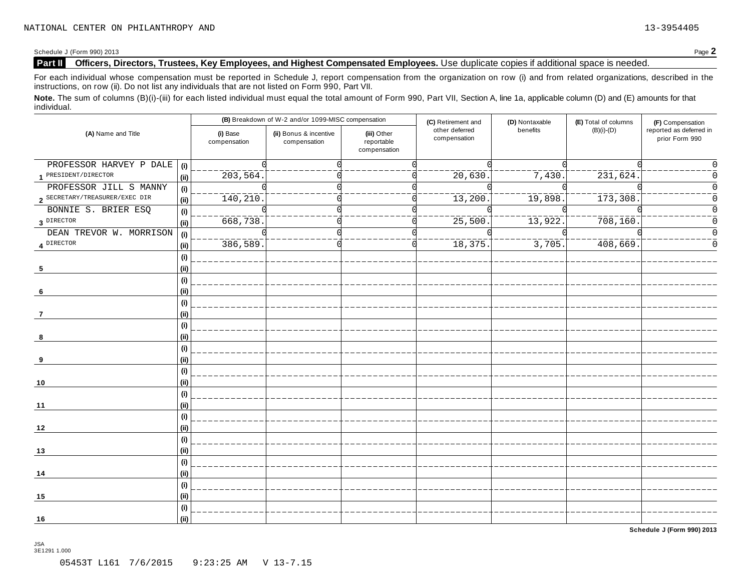Schedule <sup>J</sup> (Form 990) <sup>2013</sup> Page **2**

### **Part II Officers, Directors, Trustees, Key Employees, and Highest Compensated Employees.** Use duplicate copies ifadditional space is needed.

For each individual whose compensation must be reported in Schedule J, report compensation from the organization on row (i) and from related organizations, described in the instructions, on row (ii). Do not list any individuals that are not listed on Form 990, Part VII.

Note. The sum of columns (B)(i)-(iii) for each listed individual must equal the total amount of Form 990, Part VII, Section A, line 1a, applicable column (D) and (E) amounts for that individual.

| (A) Name and Title             |                              |                          | (B) Breakdown of W-2 and/or 1099-MISC compensation |                                           | (C) Retirement and             | (D) Nontaxable        | (E) Total of columns            | (F) Compensation                          |
|--------------------------------|------------------------------|--------------------------|----------------------------------------------------|-------------------------------------------|--------------------------------|-----------------------|---------------------------------|-------------------------------------------|
|                                |                              | (i) Base<br>compensation | (ii) Bonus & incentive<br>compensation             | (iii) Other<br>reportable<br>compensation | other deferred<br>compensation | benefits              | $(B)(i)-(D)$                    | reported as deferred in<br>prior Form 990 |
| PROFESSOR HARVEY P DALE        | (i)                          |                          |                                                    |                                           |                                |                       |                                 |                                           |
| 1 PRESIDENT/DIRECTOR           | (ii)                         | 203,564.                 |                                                    |                                           | 20,630.                        | 7,430.                | $\frac{1}{231}, \frac{1}{624}.$ |                                           |
| PROFESSOR JILL S MANNY         | (i)                          |                          |                                                    |                                           |                                |                       |                                 |                                           |
| 2 SECRETARY/TREASURER/EXEC DIR | (ii)                         | 140, 210.                |                                                    |                                           | ________<br>13,200             | $\overline{19,898}$ . | $\frac{1}{173}$ , 308.          | Ω                                         |
| BONNIE S. BRIER ESQ            | (i)                          |                          |                                                    |                                           |                                |                       |                                 | $\Omega$                                  |
| 3 DIRECTOR                     | (ii)                         | 668,738.                 |                                                    |                                           | 25,500                         | 13,922.               | 708,160.                        | 0                                         |
| DEAN TREVOR W. MORRISON        | (i)                          |                          |                                                    |                                           |                                |                       |                                 |                                           |
| 4 DIRECTOR                     | (ii)                         | $\frac{1}{386}$ , 589    |                                                    |                                           | ________<br>18,375             | $\frac{1}{3}$ , 705.  | $\frac{1}{408}$ , 669.          |                                           |
|                                | $\qquad \qquad \textbf{(i)}$ |                          |                                                    |                                           |                                |                       |                                 |                                           |
| 5                              | (i)                          |                          |                                                    |                                           |                                |                       |                                 |                                           |
|                                | $\qquad \qquad \textbf{(i)}$ |                          |                                                    |                                           |                                |                       |                                 |                                           |
| -6                             | (i)                          |                          |                                                    |                                           |                                |                       |                                 |                                           |
|                                | (i)                          |                          |                                                    |                                           |                                |                       |                                 |                                           |
| 7                              | (ii)<br>(i)                  |                          |                                                    |                                           |                                |                       |                                 |                                           |
| 8                              | (ii)                         |                          |                                                    |                                           |                                |                       |                                 |                                           |
|                                | (i)                          |                          |                                                    |                                           |                                |                       |                                 |                                           |
| 9                              | (i)                          |                          |                                                    |                                           |                                |                       |                                 |                                           |
|                                | (i)                          |                          |                                                    |                                           |                                |                       |                                 |                                           |
| 10                             | (ii)                         |                          |                                                    |                                           |                                |                       |                                 |                                           |
|                                | (i)                          |                          |                                                    |                                           |                                |                       |                                 |                                           |
| 11                             | (ii)                         |                          |                                                    |                                           |                                |                       |                                 |                                           |
|                                | (i)                          |                          |                                                    |                                           |                                |                       |                                 |                                           |
| 12                             | (ii)                         |                          |                                                    |                                           |                                |                       |                                 |                                           |
|                                | (i)                          |                          |                                                    |                                           |                                |                       |                                 |                                           |
| 13                             | (i)                          |                          |                                                    |                                           |                                |                       |                                 |                                           |
|                                | (i)                          |                          |                                                    |                                           |                                |                       |                                 |                                           |
| 14                             | (ii)                         |                          |                                                    |                                           |                                |                       |                                 |                                           |
|                                | (i)                          |                          |                                                    |                                           |                                |                       |                                 |                                           |
| 15                             | (ii)                         |                          |                                                    |                                           |                                |                       |                                 |                                           |
|                                | (i)                          |                          |                                                    |                                           |                                |                       |                                 |                                           |
| 16                             | (ii)                         |                          |                                                    |                                           |                                |                       |                                 |                                           |

**Schedule J (Form 990) 2013**

JSA 3E1291 1.000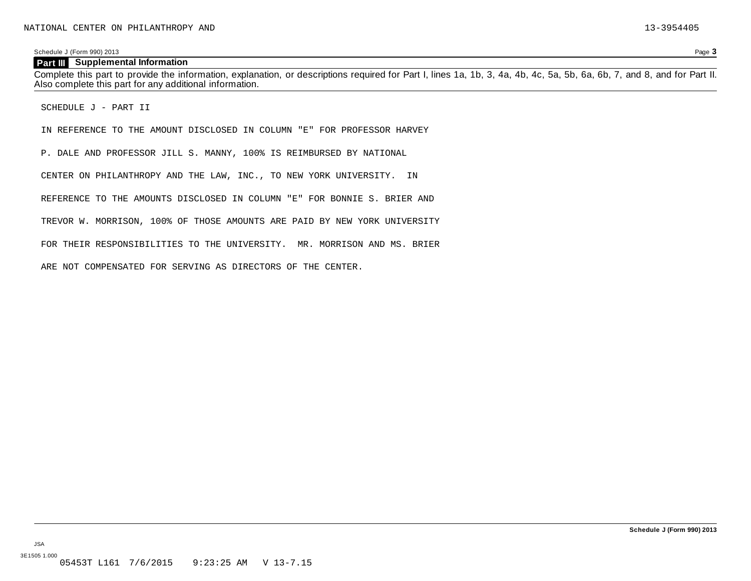#### **Part III Supplemental Information**

Complete this part to provide the information, explanation, or descriptions required for Part I, lines 1a, 1b, 3, 4a, 4b, 4c, 5a, 5b, 6a, 6b, 7, and 8, and for Part II. Also complete this part for any additional information.

SCHEDULE J - PART II

IN REFERENCE TO THE AMOUNT DISCLOSED IN COLUMN "E" FOR PROFESSOR HARVEY

P. DALE AND PROFESSOR JILL S. MANNY, 100% IS REIMBURSED BY NATIONAL

CENTER ON PHILANTHROPY AND THE LAW, INC., TO NEW YORK UNIVERSITY. IN

REFERENCE TO THE AMOUNTS DISCLOSED IN COLUMN "E" FOR BONNIE S. BRIER AND

TREVOR W. MORRISON, 100% OF THOSE AMOUNTS ARE PAID BY NEW YORK UNIVERSITY

FOR THEIR RESPONSIBILITIES TO THE UNIVERSITY. MR. MORRISON AND MS. BRIER

ARE NOT COMPENSATED FOR SERVING AS DIRECTORS OF THE CENTER.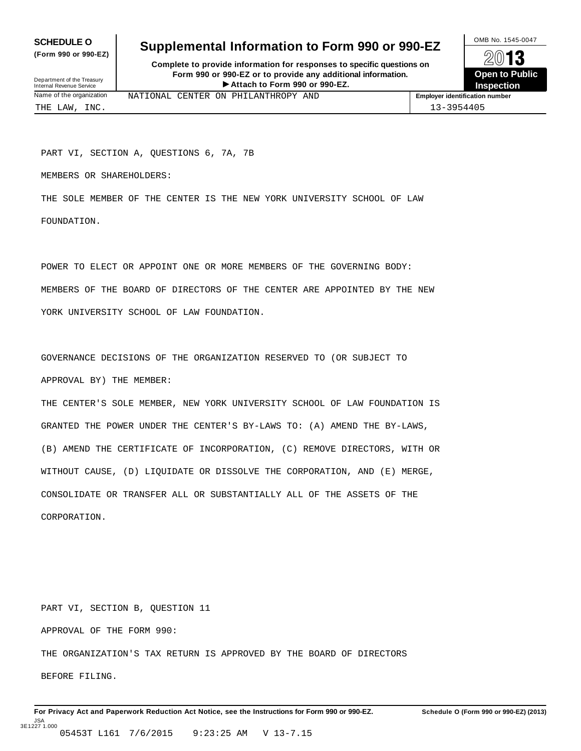**(Form 990 or 990-EZ)**

### **SCHEDULE O** Supplemental Information to Form 990 or 990-EZ  $\frac{100\text{dB No. }1545-0047}{\text{O}}$

**Complete to provide information for responses to specific questions on Form 990 or 990-EZ or to provide any additional information.** Fraction of the Proposes to specific questions on<br>
10-EZ or to provide any additional information.<br>
Attach to Form 990 or 990-EZ.<br>
Attach to Form 990 or 990-EZ. Department of the Treasury<br>Internal Revenue Service **Contract Contract Contract Contract Contract Contract Contract Contract Contract Contract**<br>Internal Revenue Service Contract Contract Contract Contract Contract Contract



Name of the organization **MATIONAL CENTER ON PHILANTHROPY AND Employer identification number** 

PART VI, SECTION A, QUESTIONS 6, 7A, 7B

MEMBERS OR SHAREHOLDERS:

THE SOLE MEMBER OF THE CENTER IS THE NEW YORK UNIVERSITY SCHOOL OF LAW FOUNDATION.

POWER TO ELECT OR APPOINT ONE OR MORE MEMBERS OF THE GOVERNING BODY: MEMBERS OF THE BOARD OF DIRECTORS OF THE CENTER ARE APPOINTED BY THE NEW YORK UNIVERSITY SCHOOL OF LAW FOUNDATION.

GOVERNANCE DECISIONS OF THE ORGANIZATION RESERVED TO (OR SUBJECT TO APPROVAL BY) THE MEMBER:

THE CENTER'S SOLE MEMBER, NEW YORK UNIVERSITY SCHOOL OF LAW FOUNDATION IS GRANTED THE POWER UNDER THE CENTER'S BY-LAWS TO: (A) AMEND THE BY-LAWS, (B) AMEND THE CERTIFICATE OF INCORPORATION, (C) REMOVE DIRECTORS, WITH OR WITHOUT CAUSE, (D) LIQUIDATE OR DISSOLVE THE CORPORATION, AND (E) MERGE, CONSOLIDATE OR TRANSFER ALL OR SUBSTANTIALLY ALL OF THE ASSETS OF THE CORPORATION.

PART VI, SECTION B, QUESTION 11 APPROVAL OF THE FORM 990: THE ORGANIZATION'S TAX RETURN IS APPROVED BY THE BOARD OF DIRECTORS BEFORE FILING.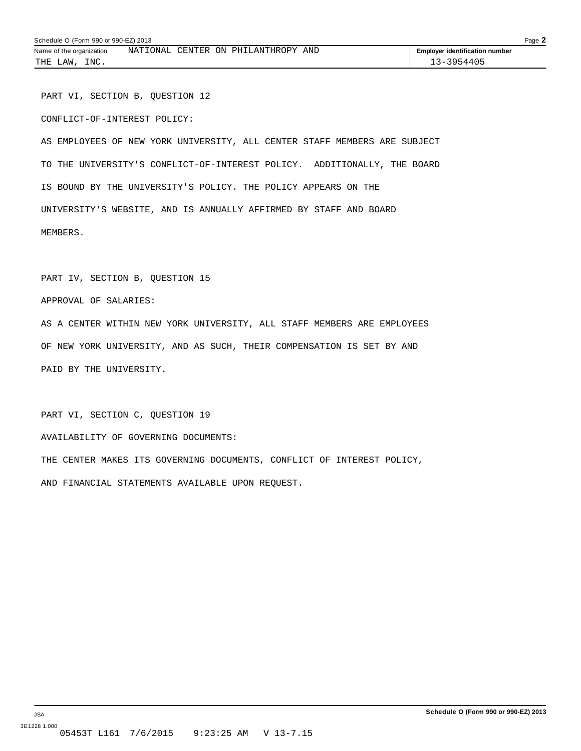PART VI, SECTION B, QUESTION 12 CONFLICT-OF-INTEREST POLICY:

AS EMPLOYEES OF NEW YORK UNIVERSITY, ALL CENTER STAFF MEMBERS ARE SUBJECT TO THE UNIVERSITY'S CONFLICT-OF-INTEREST POLICY. ADDITIONALLY, THE BOARD IS BOUND BY THE UNIVERSITY'S POLICY. THE POLICY APPEARS ON THE UNIVERSITY'S WEBSITE, AND IS ANNUALLY AFFIRMED BY STAFF AND BOARD MEMBERS.

PART IV, SECTION B, QUESTION 15

APPROVAL OF SALARIES:

AS A CENTER WITHIN NEW YORK UNIVERSITY, ALL STAFF MEMBERS ARE EMPLOYEES OF NEW YORK UNIVERSITY, AND AS SUCH, THEIR COMPENSATION IS SET BY AND PAID BY THE UNIVERSITY.

PART VI, SECTION C, QUESTION 19 AVAILABILITY OF GOVERNING DOCUMENTS: THE CENTER MAKES ITS GOVERNING DOCUMENTS, CONFLICT OF INTEREST POLICY, AND FINANCIAL STATEMENTS AVAILABLE UPON REQUEST.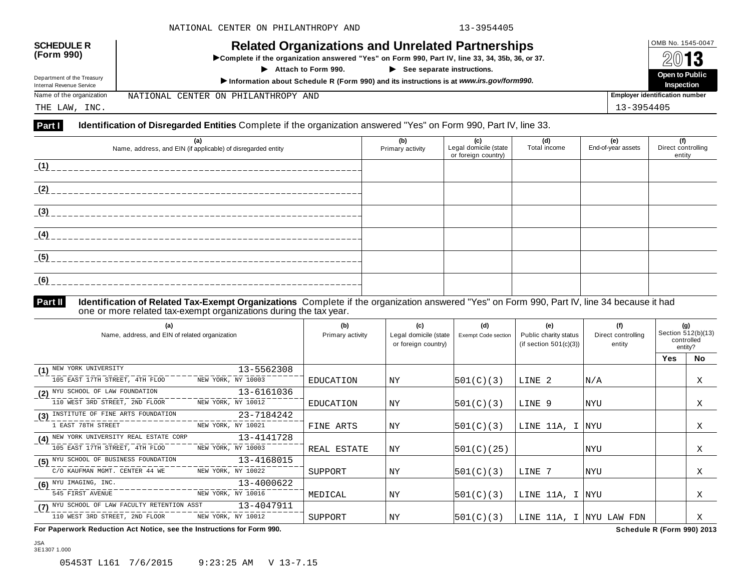| <b>SCHEDULE R</b><br>(Form 990)<br>Department of the Treasury | <b>Related Organizations and Unrelated Partnerships</b><br>>Complete if the organization answered "Yes" on Form 990, Part IV, line 33, 34, 35b, 36, or 37.<br>$\blacktriangleright$ See separate instructions.<br>$\blacktriangleright$ Attach to Form 990. | OMB No. 1545-0047<br>2013<br>Open to Public |
|---------------------------------------------------------------|-------------------------------------------------------------------------------------------------------------------------------------------------------------------------------------------------------------------------------------------------------------|---------------------------------------------|
| Internal Revenue Service                                      | Information about Schedule R (Form 990) and its instructions is at www.irs.gov/form990.                                                                                                                                                                     | Inspection                                  |
| Name of the organization                                      | NATIONAL CENTER ON PHILANTHROPY AND                                                                                                                                                                                                                         | <b>Employer identification number</b>       |
| THE LAW, INC.                                                 |                                                                                                                                                                                                                                                             | 13-3954405                                  |

| (a)<br>Name, address, and EIN (if applicable) of disregarded entity | (b)<br>Primary activity | (c)<br>Legal domicile (state<br>or foreign country) | (d)<br>Total income | (e)<br>End-of-year assets | (f)<br>Direct controlling<br>entity |
|---------------------------------------------------------------------|-------------------------|-----------------------------------------------------|---------------------|---------------------------|-------------------------------------|
| (1)                                                                 |                         |                                                     |                     |                           |                                     |
| (2)                                                                 |                         |                                                     |                     |                           |                                     |
| (3)                                                                 |                         |                                                     |                     |                           |                                     |
| (4)                                                                 |                         |                                                     |                     |                           |                                     |
| (5)                                                                 |                         |                                                     |                     |                           |                                     |
| (6)                                                                 |                         |                                                     |                     |                           |                                     |

## **Part II** Identification of Related Tax-Exempt Organizations Complete if the organization answered "Yes" on Form 990, Part IV, line 34 because it had<br>one or more related tax-exempt organizations during the tax year.

| (a)<br>Name, address, and EIN of related organization            |                    | (b)<br>Primary activity | (c)<br>Legal domicile (state<br>or foreign country) | (d)<br>Exempt Code section | (e)<br>Public charity status<br>(if section $501(c)(3)$ ) | (f)<br>Direct controlling<br>entity | (g)<br>Section 512(b)(13)<br>controlled | entity? |
|------------------------------------------------------------------|--------------------|-------------------------|-----------------------------------------------------|----------------------------|-----------------------------------------------------------|-------------------------------------|-----------------------------------------|---------|
|                                                                  |                    |                         |                                                     |                            |                                                           |                                     | <b>Yes</b>                              | No.     |
| (1) NEW YORK UNIVERSITY                                          | 13-5562308         |                         |                                                     |                            |                                                           |                                     |                                         |         |
| 105 EAST 17TH STREET, 4TH FLOO                                   | NEW YORK, NY 10003 | EDUCATION               | <b>NY</b>                                           | 501(C)(3)                  | LINE 2                                                    | N/A                                 |                                         | Χ       |
| (2) NYU SCHOOL OF LAW FOUNDATION $13-6161036$                    |                    |                         |                                                     |                            |                                                           |                                     |                                         |         |
| 110 WEST 3RD STREET, 2ND FLOOR NEW YORK, NY 10012                |                    | EDUCATION               | ΝY                                                  | 501(C)(3)                  | LINE 9                                                    | NYU                                 |                                         | X       |
| (3) INSTITUTE OF FINE ARTS FOUNDATION                            | 23-7184242         |                         |                                                     |                            |                                                           |                                     |                                         |         |
| 1 EAST 78TH STREET                                               | NEW YORK, NY 10021 | FINE ARTS               | ΝY                                                  | 501(C)(3)                  | LINE 11A, I NYU                                           |                                     |                                         | Χ       |
| (4) NEW YORK UNIVERSITY REAL ESTATE CORP $13-41\overline{41728}$ |                    |                         |                                                     |                            |                                                           |                                     |                                         |         |
| 105 EAST 17TH STREET, 4TH FLOO                                   | NEW YORK, NY 10003 | REAL ESTATE             | <b>NY</b>                                           | 501(C)(25)                 |                                                           | NYU                                 |                                         | X       |
| (5) NYU SCHOOL OF BUSINESS FOUNDATION                            | $13 - 4168015$     |                         |                                                     |                            |                                                           |                                     |                                         |         |
| C/O KAUFMAN MGMT. CENTER 44 WE                                   | NEW YORK, NY 10022 | SUPPORT                 | ΝY                                                  | 501(C)(3)                  | LINE 7                                                    | NYU                                 |                                         | Χ       |
| $(6)$ NYU IMAGING, INC.                                          | 13-4000622         |                         |                                                     |                            |                                                           |                                     |                                         |         |
| 545 FIRST AVENUE                                                 | NEW YORK, NY 10016 | MEDICAL                 | ΝY                                                  | 501(C)(3)                  | LINE 11A, I NYU                                           |                                     |                                         | Χ       |
| (7) NYU SCHOOL OF LAW FACULTY RETENTION ASST                     | 13-4047911         |                         |                                                     |                            |                                                           |                                     |                                         |         |
| 110 WEST 3RD STREET, 2ND FLOOR                                   | NEW YORK, NY 10012 | SUPPORT                 | <b>NY</b>                                           | 501(C)(3)                  | LINE 11A, I NYU LAW FDN                                   |                                     |                                         | X       |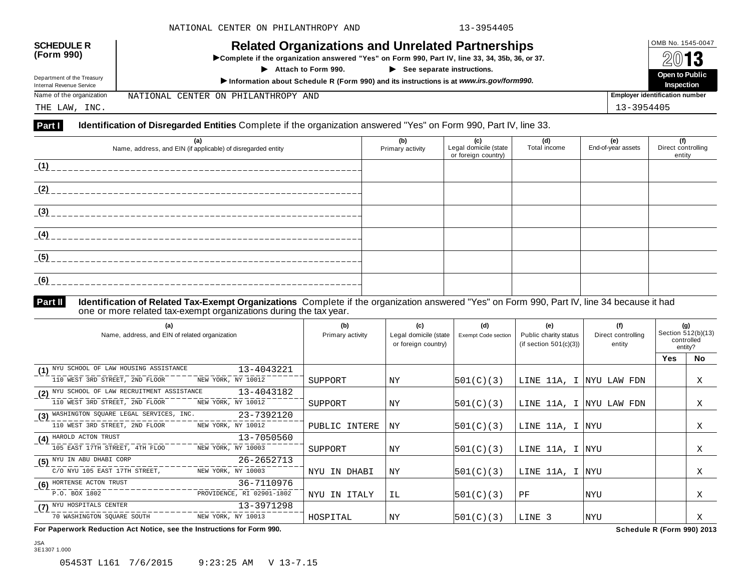| <b>SCHEDULE R</b><br>(Form 990)<br>Department of the Treasury | <b>Related Organizations and Unrelated Partnerships</b><br>>Complete if the organization answered "Yes" on Form 990, Part IV, line 33, 34, 35b, 36, or 37.<br>$\blacktriangleright$ See separate instructions.<br>$\blacktriangleright$ Attach to Form 990. | OMB No. 1545-0047<br>2013<br>Open to Public |
|---------------------------------------------------------------|-------------------------------------------------------------------------------------------------------------------------------------------------------------------------------------------------------------------------------------------------------------|---------------------------------------------|
| Internal Revenue Service                                      | Information about Schedule R (Form 990) and its instructions is at www.irs.gov/form990.                                                                                                                                                                     | Inspection                                  |
| Name of the organization                                      | NATIONAL CENTER ON PHILANTHROPY AND                                                                                                                                                                                                                         | <b>Employer identification number</b>       |
| THE LAW, INC.                                                 |                                                                                                                                                                                                                                                             | 13-3954405                                  |

| (a)<br>Name, address, and EIN (if applicable) of disregarded entity | (b)<br>Primary activity | (c)<br>Legal domicile (state<br>or foreign country) | (d)<br>Total income | (e)<br>End-of-year assets | (f)<br>Direct controlling<br>entity |
|---------------------------------------------------------------------|-------------------------|-----------------------------------------------------|---------------------|---------------------------|-------------------------------------|
| (1)                                                                 |                         |                                                     |                     |                           |                                     |
| (2)                                                                 |                         |                                                     |                     |                           |                                     |
| (3)                                                                 |                         |                                                     |                     |                           |                                     |
| (4)                                                                 |                         |                                                     |                     |                           |                                     |
| (5)                                                                 |                         |                                                     |                     |                           |                                     |
| (6)                                                                 |                         |                                                     |                     |                           |                                     |

JSA 3E1307 1.000

## **Part II** Identification of Related Tax-Exempt Organizations Complete if the organization answered "Yes" on Form 990, Part IV, line 34 because it had<br>one or more related tax-exempt organizations during the tax year.

| (a)<br>Name, address, and EIN of related organization      | (b)<br>Primary activity | (c)<br>Legal domicile (state<br>or foreign country) | (d)<br><b>Exempt Code section</b> | (e)<br>Public charity status<br>(if section $501(c)(3)$ ) | (f)<br>Direct controlling<br>entity | (g)<br>Section 512(b)(13)<br>controlled<br>entity? |           |
|------------------------------------------------------------|-------------------------|-----------------------------------------------------|-----------------------------------|-----------------------------------------------------------|-------------------------------------|----------------------------------------------------|-----------|
|                                                            |                         |                                                     |                                   |                                                           |                                     | <b>Yes</b>                                         | <b>No</b> |
| 13-4043221<br>(1) NYU SCHOOL OF LAW HOUSING ASSISTANCE     |                         |                                                     |                                   |                                                           |                                     |                                                    |           |
| NEW YORK, NY 10012<br>110 WEST 3RD STREET, 2ND FLOOR       | SUPPORT                 | ΝY                                                  | 501(C)(3)                         | LINE 11A, I NYU LAW FDN                                   |                                     |                                                    | Χ         |
| 13-4043182<br>(2) NYU SCHOOL OF LAW RECRUITMENT ASSISTANCE |                         |                                                     |                                   |                                                           |                                     |                                                    |           |
| NEW YORK, NY 10012<br>110 WEST 3RD STREET, 2ND FLOOR       | SUPPORT                 | ΝY                                                  | 501(C)(3)                         | LINE 11A, I NYU LAW FDN                                   |                                     |                                                    | Χ         |
| 23-7392120<br>(3) WASHINGTON SQUARE LEGAL SERVICES, INC.   |                         |                                                     |                                   |                                                           |                                     |                                                    |           |
| 110 WEST 3RD STREET, 2ND FLOOR<br>NEW YORK, NY 10012       | PUBLIC INTERE           | ΝY                                                  | 501(C)(3)                         | LINE 11A, I NYU                                           |                                     |                                                    | Χ         |
| 13-7050560<br>(4) HAROLD ACTON TRUST                       |                         |                                                     |                                   |                                                           |                                     |                                                    |           |
| 105 EAST 17TH STREET, 4TH FLOO<br>NEW YORK, NY 10003       | SUPPORT                 | ΝY                                                  | 501(C)(3)                         | LINE 11A, I NYU                                           |                                     |                                                    | Χ         |
| 26-2652713<br>(5) NYU IN ABU DHABI CORP                    |                         |                                                     |                                   |                                                           |                                     |                                                    |           |
| C/O NYU 105 EAST 17TH STREET,<br>NEW YORK, NY 10003        | NYU IN DHABI            | <b>NY</b>                                           | 501(C)(3)                         | LINE 11A, I NYU                                           |                                     |                                                    | Χ         |
| 36-7110976<br>(6) HORTENSE ACTON TRUST                     |                         |                                                     |                                   |                                                           |                                     |                                                    |           |
| P.O. BOX 1802<br>PROVIDENCE, RI 02901-1802                 | NYU IN ITALY            | IL                                                  | 501(C)(3)                         | PF                                                        | NYU                                 |                                                    | Χ         |
| 13-3971298<br>(7) NYU HOSPITALS CENTER                     |                         |                                                     |                                   |                                                           |                                     |                                                    |           |
| 70 WASHINGTON SQUARE SOUTH<br>NEW YORK, NY 10013           | HOSPITAL                | <b>NY</b>                                           | 501(C)(3)                         | LINE 3                                                    | NYU                                 |                                                    | X         |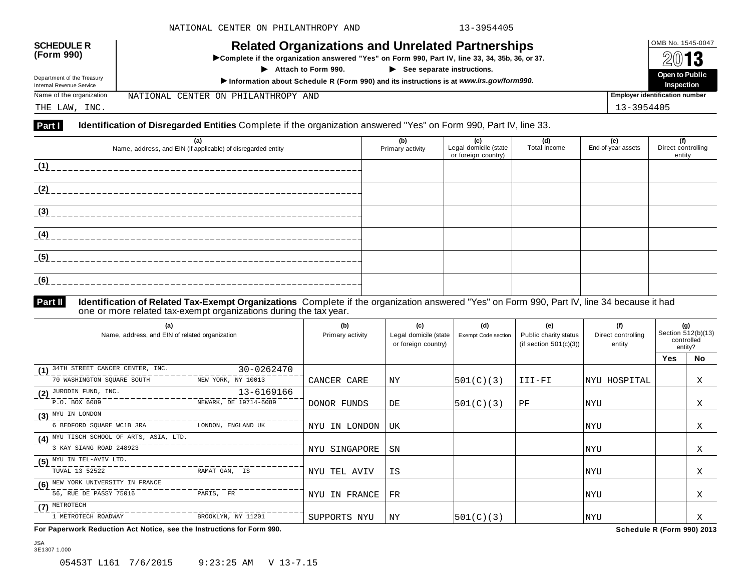| <b>SCHEDULE R</b><br>(Form 990)                        | <b>Related Organizations and Unrelated Partnerships</b><br>>Complete if the organization answered "Yes" on Form 990, Part IV, line 33, 34, 35b, 36, or 37.<br>$\blacktriangleright$ See separate instructions.<br>$\blacktriangleright$ Attach to Form 990. | OMB No. 1545-0047<br>2013<br>Open to Public |  |  |
|--------------------------------------------------------|-------------------------------------------------------------------------------------------------------------------------------------------------------------------------------------------------------------------------------------------------------------|---------------------------------------------|--|--|
| Department of the Treasury<br>Internal Revenue Service | Information about Schedule R (Form 990) and its instructions is at www.irs.gov/form990.                                                                                                                                                                     |                                             |  |  |
| Name of the organization                               | NATIONAL CENTER ON PHILANTHROPY AND                                                                                                                                                                                                                         | <b>Employer identification number</b>       |  |  |
| THE LAW, INC.                                          |                                                                                                                                                                                                                                                             | 13-3954405                                  |  |  |

| (a)<br>Name, address, and EIN (if applicable) of disregarded entity | (b)<br>Primary activity | (c)<br>Legal domicile (state<br>or foreign country) | (d)<br>Total income | (e)<br>End-of-year assets | (f)<br>Direct controlling<br>entity |
|---------------------------------------------------------------------|-------------------------|-----------------------------------------------------|---------------------|---------------------------|-------------------------------------|
| (1)                                                                 |                         |                                                     |                     |                           |                                     |
| (2)                                                                 |                         |                                                     |                     |                           |                                     |
| (3)                                                                 |                         |                                                     |                     |                           |                                     |
| (4)                                                                 |                         |                                                     |                     |                           |                                     |
| (5)                                                                 |                         |                                                     |                     |                           |                                     |
| (6)                                                                 |                         |                                                     |                     |                           |                                     |

JSA 3E1307 1.000

## **Part II** Identification of Related Tax-Exempt Organizations Complete if the organization answered "Yes" on Form 990, Part IV, line 34 because it had<br>one or more related tax-exempt organizations during the tax year.

| (a)<br>Name, address, and EIN of related organization |                       | (b)<br>Primary activity | (c)<br>Legal domicile (state<br>or foreign country) | (d)<br>Exempt Code section | (e)<br>Public charity status<br>(if section $501(c)(3)$ ) | (f)<br>Direct controlling<br>entity | (g)<br>Section 512(b)(13)<br>controlled<br>entity? |    |
|-------------------------------------------------------|-----------------------|-------------------------|-----------------------------------------------------|----------------------------|-----------------------------------------------------------|-------------------------------------|----------------------------------------------------|----|
|                                                       |                       |                         |                                                     |                            |                                                           |                                     | <b>Yes</b>                                         | No |
| (1) 34TH STREET CANCER CENTER, INC.                   | 30-0262470            |                         |                                                     |                            |                                                           |                                     |                                                    |    |
| 70 WASHINGTON SQUARE SOUTH                            | NEW YORK, NY 10013    | CANCER CARE             | ΝY                                                  | 501(C)(3)                  | III-FI                                                    | NYU HOSPITAL                        |                                                    | Χ  |
| $(2)$ JURODIN FUND, INC.                              | 13-6169166            |                         |                                                     |                            |                                                           |                                     |                                                    |    |
| P.O. BOX 6089                                         | NEWARK, DE 19714-6089 | DONOR FUNDS             | DE                                                  | 501(C)(3)                  | PF                                                        | NYU                                 |                                                    | X  |
| $(3)$ NYU IN LONDON                                   |                       |                         |                                                     |                            |                                                           |                                     |                                                    |    |
| 6 BEDFORD SQUARE WC1B 3RA                             | LONDON, ENGLAND UK    | NYU IN LONDON           | UK                                                  |                            |                                                           | NYU                                 |                                                    | Χ  |
| (4) NYU TISCH SCHOOL OF ARTS, ASIA, LTD.              |                       |                         |                                                     |                            |                                                           |                                     |                                                    |    |
| 3 KAY SIANG ROAD 248923                               |                       | NYU SINGAPORE           | SN                                                  |                            |                                                           | NYU                                 |                                                    | X  |
| $(5)$ NYU IN TEL-AVIV LTD.                            |                       |                         |                                                     |                            |                                                           |                                     |                                                    |    |
| TUVAL 13 52522                                        | RAMAT GAN, IS         | NYU TEL AVIV            | IS                                                  |                            |                                                           | NYU                                 |                                                    | Χ  |
| (6) NEW YORK UNIVERSITY IN FRANCE                     |                       |                         |                                                     |                            |                                                           |                                     |                                                    |    |
| 56, RUE DE PASSY 75016                                | PARIS, FR             | NYU IN FRANCE           | $_{\rm FR}$                                         |                            |                                                           | NYU                                 |                                                    | Χ  |
| $(7)$ METROTECH                                       |                       |                         |                                                     |                            |                                                           |                                     |                                                    |    |
| 1 METROTECH ROADWAY                                   | BROOKLYN, NY 11201    | SUPPORTS NYU            | ΝY                                                  | 501(C)(3)                  |                                                           | NYU                                 |                                                    | Χ  |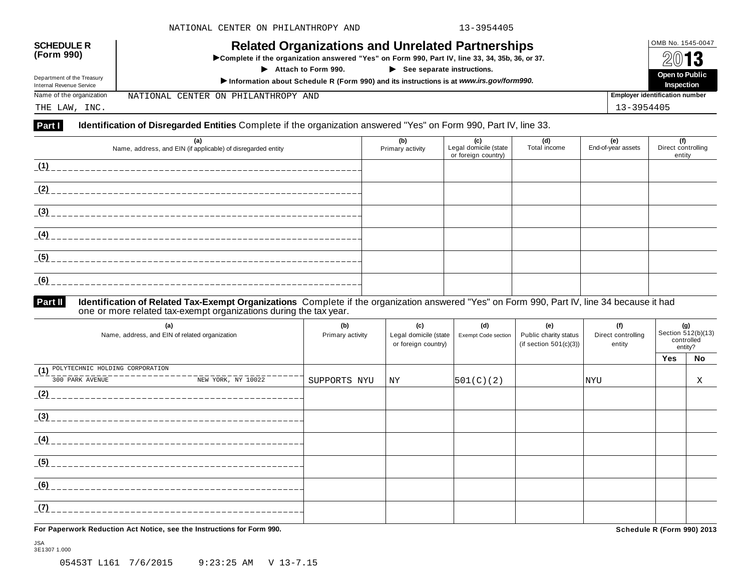| <b>SCHEDULE R</b><br>(Form 990)<br>Department of the Treasury<br>Internal Revenue Service | <b>Related Organizations and Unrelated Partnerships</b><br>▶ Complete if the organization answered "Yes" on Form 990, Part IV, line 33, 34, 35b, 36, or 37.<br>$\blacktriangleright$ See separate instructions.<br>Attach to Form 990.<br>Information about Schedule R (Form 990) and its instructions is at www.irs.gov/form990. | OMB No. 1545-0047<br>2013<br>Open to Public<br>Inspection |
|-------------------------------------------------------------------------------------------|-----------------------------------------------------------------------------------------------------------------------------------------------------------------------------------------------------------------------------------------------------------------------------------------------------------------------------------|-----------------------------------------------------------|
| Name of the organization                                                                  | NATIONAL CENTER ON PHILANTHROPY AND                                                                                                                                                                                                                                                                                               | <b>Employer identification number</b>                     |
| THE LAW, INC.                                                                             |                                                                                                                                                                                                                                                                                                                                   | 13-3954405                                                |

| (a)<br>Name, address, and EIN (if applicable) of disregarded entity | (b)<br>Primary activity | (c)<br>Legal domicile (state<br>or foreign country) | (d)<br>Total income | (e)<br>End-of-year assets | (f)<br>Direct controlling<br>entity |
|---------------------------------------------------------------------|-------------------------|-----------------------------------------------------|---------------------|---------------------------|-------------------------------------|
| (1)                                                                 |                         |                                                     |                     |                           |                                     |
| (2)                                                                 |                         |                                                     |                     |                           |                                     |
| (3)                                                                 |                         |                                                     |                     |                           |                                     |
| (4)                                                                 |                         |                                                     |                     |                           |                                     |
| (5)                                                                 |                         |                                                     |                     |                           |                                     |
| (6)                                                                 |                         |                                                     |                     |                           |                                     |

## **Part II** Identification of Related Tax-Exempt Organizations Complete if the organization answered "Yes" on Form 990, Part IV, line 34 because it had<br>one or more related tax-exempt organizations during the tax year.

| (a)<br>Name, address, and EIN of related organization | (b)<br>Primary activity | (c)<br>Legal domicile (state<br>or foreign country) | (d)<br>Exempt Code section | (e)<br>Public charity status<br>(if section $501(c)(3)$ ) | (f)<br>Direct controlling<br>entity | (g)<br>Section 512(b)(13)<br>controlled<br>entity? |    |
|-------------------------------------------------------|-------------------------|-----------------------------------------------------|----------------------------|-----------------------------------------------------------|-------------------------------------|----------------------------------------------------|----|
|                                                       |                         |                                                     |                            |                                                           |                                     | Yes                                                | No |
| (1) POLYTECHNIC HOLDING CORPORATION                   |                         |                                                     |                            |                                                           |                                     |                                                    |    |
| NEW YORK, NY 10022<br>300 PARK AVENUE                 | SUPPORTS NYU            | NY                                                  | 501(C)(2)                  |                                                           | NYU                                 |                                                    | Χ  |
| (2)                                                   |                         |                                                     |                            |                                                           |                                     |                                                    |    |
| (3)                                                   |                         |                                                     |                            |                                                           |                                     |                                                    |    |
| (4)                                                   |                         |                                                     |                            |                                                           |                                     |                                                    |    |
| (5)                                                   |                         |                                                     |                            |                                                           |                                     |                                                    |    |
| (6)                                                   |                         |                                                     |                            |                                                           |                                     |                                                    |    |
| (7)                                                   |                         |                                                     |                            |                                                           |                                     |                                                    |    |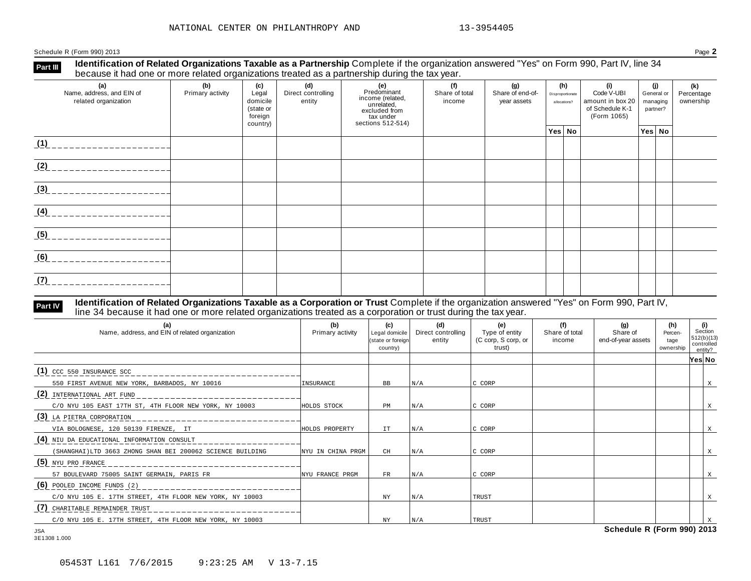Schedule R (Form 990) 2013 Page **2**

**Identification of Related Organizations Taxable as a Partnership** Complete if the organization answered "Yes" on Form 990, Part IV, line 34 **because it had one or more related organizations i axable as a Partnership** Complete if the organizations treated as a partnership during the tax year.

| (a)<br>Name, address, and EIN of<br>related organization | (b)<br>Primary activity | (c)<br>Legal<br>domicile<br>(state or<br>foreign<br>country) | (d)<br>Direct controlling<br>entity | (e)<br>Predominant<br>income (related,<br>unrelated,<br>excluded from<br>tax under<br>sections 512-514) | (f)<br>Share of total<br>income | (g)<br>Share of end-of-<br>year assets | (h)<br>Disproportionate<br>allocations? |  | (i)<br>Code V-UBI<br>amount in box 20<br>of Schedule K-1<br>(Form 1065) | (j)<br>General or<br>managing<br>partner? |        | (k)<br>Percentage<br>ownership |  |
|----------------------------------------------------------|-------------------------|--------------------------------------------------------------|-------------------------------------|---------------------------------------------------------------------------------------------------------|---------------------------------|----------------------------------------|-----------------------------------------|--|-------------------------------------------------------------------------|-------------------------------------------|--------|--------------------------------|--|
|                                                          |                         |                                                              |                                     |                                                                                                         |                                 |                                        | Yes No                                  |  |                                                                         |                                           | Yes No |                                |  |
| (1)                                                      |                         |                                                              |                                     |                                                                                                         |                                 |                                        |                                         |  |                                                                         |                                           |        |                                |  |
| (2)                                                      |                         |                                                              |                                     |                                                                                                         |                                 |                                        |                                         |  |                                                                         |                                           |        |                                |  |
| (3)                                                      |                         |                                                              |                                     |                                                                                                         |                                 |                                        |                                         |  |                                                                         |                                           |        |                                |  |
| (4)                                                      |                         |                                                              |                                     |                                                                                                         |                                 |                                        |                                         |  |                                                                         |                                           |        |                                |  |
| (5)                                                      |                         |                                                              |                                     |                                                                                                         |                                 |                                        |                                         |  |                                                                         |                                           |        |                                |  |
| (6)                                                      |                         |                                                              |                                     |                                                                                                         |                                 |                                        |                                         |  |                                                                         |                                           |        |                                |  |
| (7)                                                      |                         |                                                              |                                     |                                                                                                         |                                 |                                        |                                         |  |                                                                         |                                           |        |                                |  |

#### **Identification of Related Organizations Taxable as a Corporation or Trust** Complete if the organization answered "Yes" on Form 990, Part IV, **reart IV Identification of Related Organizations Taxable as a Corporation or Trust** Complete if the organization anses line 34 because it had one or more related organizations treated as a corporation or trust during th

| (a)<br>Name, address, and EIN of related organization                                                                                                                                                                                                       | (b)<br>Primary activity | (c)<br>Legal domicile<br>(state or foreign<br>country) | (d)<br>Direct controlling<br>entity | (e)<br>Type of entity<br>(C corp, S corp, or<br>trust) | (f)<br>Share of total<br>income | (g)<br>Share of<br>end-of-year assets | (h)<br>Percen-<br>tage<br>ownership | controlled | (i)<br>Section<br>512(b)(13)<br>entity? |
|-------------------------------------------------------------------------------------------------------------------------------------------------------------------------------------------------------------------------------------------------------------|-------------------------|--------------------------------------------------------|-------------------------------------|--------------------------------------------------------|---------------------------------|---------------------------------------|-------------------------------------|------------|-----------------------------------------|
|                                                                                                                                                                                                                                                             |                         |                                                        |                                     |                                                        |                                 |                                       |                                     | Yes∣ No    |                                         |
| $(1)$ CCC 550 INSURANCE SCC                                                                                                                                                                                                                                 |                         |                                                        |                                     |                                                        |                                 |                                       |                                     |            |                                         |
| 550 FIRST AVENUE NEW YORK, BARBADOS, NY 10016                                                                                                                                                                                                               | INSURANCE               | BB.                                                    | N/A                                 | IC CORP                                                |                                 |                                       |                                     |            | X                                       |
| (2) INTERNATIONAL ART FUND                                                                                                                                                                                                                                  |                         |                                                        |                                     |                                                        |                                 |                                       |                                     |            |                                         |
| C/O NYU 105 EAST 17TH ST, 4TH FLOOR NEW YORK, NY 10003                                                                                                                                                                                                      | HOLDS STOCK             | PM                                                     | N/A                                 | IC CORP                                                |                                 |                                       |                                     |            |                                         |
| (3) LA PIETRA CORPORATION<br>and the contract of the contract of the contract of the contract of the contract of the contract of the contract of the contract of the contract of the contract of the contract of the contract of the contract of the contra |                         |                                                        |                                     |                                                        |                                 |                                       |                                     |            |                                         |
| VIA BOLOGNESE, 120 50139 FIRENZE, IT                                                                                                                                                                                                                        | HOLDS PROPERTY          | IT.                                                    | N/A                                 | IC CORP                                                |                                 |                                       |                                     |            |                                         |
| (4) NIU DA EDUCATIONAL INFORMATION CONSULT                                                                                                                                                                                                                  |                         |                                                        |                                     |                                                        |                                 |                                       |                                     |            |                                         |
| (SHANGHAI)LTD 3663 ZHONG SHAN BEI 200062 SCIENCE BUILDING                                                                                                                                                                                                   | NYU IN CHINA PRGM       | CH                                                     | N/A                                 | IC CORP                                                |                                 |                                       |                                     |            |                                         |
| (5) NYU PRO FRANCE                                                                                                                                                                                                                                          |                         |                                                        |                                     |                                                        |                                 |                                       |                                     |            |                                         |
| 57 BOULEVARD 75005 SAINT GERMAIN, PARIS FR                                                                                                                                                                                                                  | NYU FRANCE PRGM         | $_{\rm FR}$                                            | N/A                                 | IC CORP                                                |                                 |                                       |                                     |            |                                         |
| $(6)$ POOLED INCOME FUNDS (2)                                                                                                                                                                                                                               |                         |                                                        |                                     |                                                        |                                 |                                       |                                     |            |                                         |
| C/O NYU 105 E. 17TH STREET, 4TH FLOOR NEW YORK, NY 10003                                                                                                                                                                                                    |                         | NY.                                                    | N/A                                 | TRUST                                                  |                                 |                                       |                                     |            |                                         |
| (7) CHARITABLE REMAINDER TRUST                                                                                                                                                                                                                              |                         |                                                        |                                     |                                                        |                                 |                                       |                                     |            |                                         |
| C/O NYU 105 E. 17TH STREET, 4TH FLOOR NEW YORK, NY 10003                                                                                                                                                                                                    |                         | NY.                                                    | N/A                                 | TRUST                                                  |                                 |                                       |                                     |            |                                         |
| <b>JSA</b>                                                                                                                                                                                                                                                  |                         |                                                        |                                     |                                                        |                                 | Schedule R (Form 990) 2013            |                                     |            |                                         |

3E1308 1.000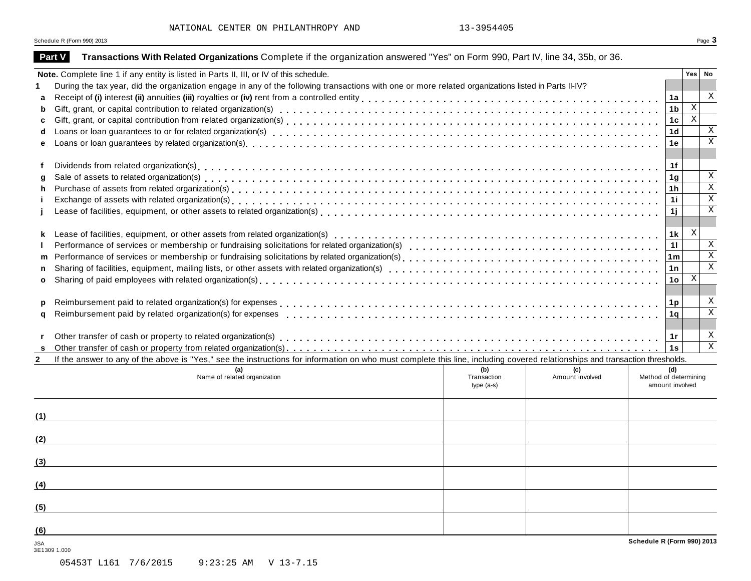Schedule <sup>R</sup> (Form 990) <sup>2013</sup> Page **3**

|              | Part V       | Transactions With Related Organizations Complete if the organization answered "Yes" on Form 990, Part IV, line 34, 35b, or 36.                                               |                    |                        |                            |                 |                           |                         |
|--------------|--------------|------------------------------------------------------------------------------------------------------------------------------------------------------------------------------|--------------------|------------------------|----------------------------|-----------------|---------------------------|-------------------------|
|              |              | Note. Complete line 1 if any entity is listed in Parts II, III, or IV of this schedule.                                                                                      |                    |                        |                            |                 | Yes   No                  |                         |
|              |              | During the tax year, did the organization engage in any of the following transactions with one or more related organizations listed in Parts II-IV?                          |                    |                        |                            |                 |                           |                         |
| a            |              |                                                                                                                                                                              |                    |                        |                            |                 |                           | $\mathbf{X}$            |
| b            |              |                                                                                                                                                                              |                    |                        |                            |                 | $\overline{X}$            |                         |
| C            |              |                                                                                                                                                                              |                    |                        |                            |                 | $\overline{\mathbf{x}}$   |                         |
| d            |              |                                                                                                                                                                              |                    |                        |                            |                 |                           | $\mathbf X$             |
| е            |              |                                                                                                                                                                              |                    |                        |                            | 1е              |                           | $\overline{\mathbf{x}}$ |
|              |              |                                                                                                                                                                              |                    |                        |                            |                 |                           |                         |
|              |              |                                                                                                                                                                              |                    |                        |                            | 1f              |                           |                         |
| g            |              |                                                                                                                                                                              |                    |                        |                            | 1g              |                           | $\mathbf{X}$            |
| h            |              |                                                                                                                                                                              |                    |                        |                            | 1 <sub>h</sub>  |                           | $\overline{\mathbf{x}}$ |
|              |              |                                                                                                                                                                              |                    |                        |                            | 1i.             |                           | $\overline{\mathbf{x}}$ |
|              |              |                                                                                                                                                                              |                    |                        |                            | 11              |                           | $\mathbf{X}$            |
|              |              |                                                                                                                                                                              |                    |                        |                            |                 |                           |                         |
| k.           |              |                                                                                                                                                                              |                    |                        |                            | 1k              | $\mathbf{X}$              |                         |
|              |              |                                                                                                                                                                              |                    |                        |                            | 11              |                           | $\mathbf{X}$            |
| m            |              |                                                                                                                                                                              |                    |                        |                            |                 |                           | $\overline{\mathbf{x}}$ |
| n            |              |                                                                                                                                                                              |                    |                        |                            | 1n              |                           | $\,$ X                  |
| $\mathbf{o}$ |              |                                                                                                                                                                              |                    |                        |                            | 10 <sub>1</sub> | $\boldsymbol{\mathrm{X}}$ |                         |
|              |              |                                                                                                                                                                              |                    |                        |                            |                 |                           |                         |
| p            |              |                                                                                                                                                                              |                    |                        |                            | 1p              |                           | $\mathbf x$             |
| q            |              |                                                                                                                                                                              |                    |                        |                            | 1 a             |                           | $\mathbf X$             |
|              |              |                                                                                                                                                                              |                    |                        |                            |                 |                           |                         |
|              |              |                                                                                                                                                                              |                    |                        |                            |                 |                           | X                       |
| s            |              |                                                                                                                                                                              |                    |                        |                            |                 |                           | $\overline{\mathbf{x}}$ |
| $\mathbf{2}$ |              | If the answer to any of the above is "Yes," see the instructions for information on who must complete this line, including covered relationships and transaction thresholds. |                    |                        |                            |                 |                           |                         |
|              |              | (a)<br>Name of related organization                                                                                                                                          | (b)<br>Transaction | (c)<br>Amount involved | Method of determining      | (d)             |                           |                         |
|              |              |                                                                                                                                                                              | $type(a-s)$        |                        | amount involved            |                 |                           |                         |
|              |              |                                                                                                                                                                              |                    |                        |                            |                 |                           |                         |
|              |              |                                                                                                                                                                              |                    |                        |                            |                 |                           |                         |
| (1)          |              |                                                                                                                                                                              |                    |                        |                            |                 |                           |                         |
|              |              |                                                                                                                                                                              |                    |                        |                            |                 |                           |                         |
| (2)          |              |                                                                                                                                                                              |                    |                        |                            |                 |                           |                         |
|              |              |                                                                                                                                                                              |                    |                        |                            |                 |                           |                         |
| (3)          |              |                                                                                                                                                                              |                    |                        |                            |                 |                           |                         |
|              |              |                                                                                                                                                                              |                    |                        |                            |                 |                           |                         |
| (4)          |              |                                                                                                                                                                              |                    |                        |                            |                 |                           |                         |
|              |              |                                                                                                                                                                              |                    |                        |                            |                 |                           |                         |
| (5)          |              |                                                                                                                                                                              |                    |                        |                            |                 |                           |                         |
|              |              |                                                                                                                                                                              |                    |                        |                            |                 |                           |                         |
| (6)          |              |                                                                                                                                                                              |                    |                        | Schedule R (Form 990) 2013 |                 |                           |                         |
| <b>JSA</b>   | 3E1309 1.000 |                                                                                                                                                                              |                    |                        |                            |                 |                           |                         |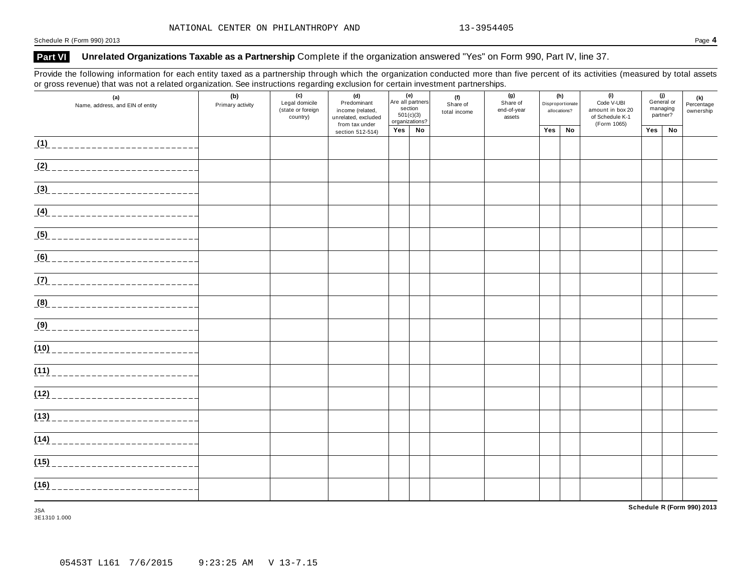#### **Part VI Unrelated Organizations Taxable as a Partnership** Complete if the organization answered "Yes" on Form 990, Part IV, line 37.

Provide the following information for each entity taxed as a partnership through which the organization conducted more than five percent of its activities (measured by total assets or gross revenue) that was not a related organization. See instructions regarding exclusion for certain investment partnerships.

| (a)<br>Name, address, and EIN of entity | (b)<br>Primary activity | (c)<br>Legal domicile<br>(state or foreign<br>country) | (d)<br>Predominant<br>income (related,<br>unrelated, excluded<br>from tax under | section | (e)<br>Are all partners<br>501(c)(3)<br>organizations? | (f)<br>Share of<br>total income | (g)<br>Share of<br>end-of-year<br>assets | (h)<br>Disproportionate<br>allocations? |    | (i)<br>Code V-UBI<br>amount in box 20<br>of Schedule K-1<br>(Form 1065) |     | (j)<br>General or<br>managing<br>partner? | (k)<br>Percentage<br>ownership |
|-----------------------------------------|-------------------------|--------------------------------------------------------|---------------------------------------------------------------------------------|---------|--------------------------------------------------------|---------------------------------|------------------------------------------|-----------------------------------------|----|-------------------------------------------------------------------------|-----|-------------------------------------------|--------------------------------|
|                                         |                         |                                                        | section 512-514)                                                                | Yes     | No                                                     |                                 |                                          | Yes                                     | No |                                                                         | Yes | No                                        |                                |
| (1)                                     |                         |                                                        |                                                                                 |         |                                                        |                                 |                                          |                                         |    |                                                                         |     |                                           |                                |
| $(2)$ ______________________            |                         |                                                        |                                                                                 |         |                                                        |                                 |                                          |                                         |    |                                                                         |     |                                           |                                |
| (3)<br>_____________________            |                         |                                                        |                                                                                 |         |                                                        |                                 |                                          |                                         |    |                                                                         |     |                                           |                                |
| <u>(4) _________________________</u>    |                         |                                                        |                                                                                 |         |                                                        |                                 |                                          |                                         |    |                                                                         |     |                                           |                                |
|                                         |                         |                                                        |                                                                                 |         |                                                        |                                 |                                          |                                         |    |                                                                         |     |                                           |                                |
|                                         |                         |                                                        |                                                                                 |         |                                                        |                                 |                                          |                                         |    |                                                                         |     |                                           |                                |
|                                         |                         |                                                        |                                                                                 |         |                                                        |                                 |                                          |                                         |    |                                                                         |     |                                           |                                |
| (8) _____________________________       |                         |                                                        |                                                                                 |         |                                                        |                                 |                                          |                                         |    |                                                                         |     |                                           |                                |
| (9) _____________________________       |                         |                                                        |                                                                                 |         |                                                        |                                 |                                          |                                         |    |                                                                         |     |                                           |                                |
| (10)                                    |                         |                                                        |                                                                                 |         |                                                        |                                 |                                          |                                         |    |                                                                         |     |                                           |                                |
| (11)                                    |                         |                                                        |                                                                                 |         |                                                        |                                 |                                          |                                         |    |                                                                         |     |                                           |                                |
|                                         |                         |                                                        |                                                                                 |         |                                                        |                                 |                                          |                                         |    |                                                                         |     |                                           |                                |
| (13)                                    |                         |                                                        |                                                                                 |         |                                                        |                                 |                                          |                                         |    |                                                                         |     |                                           |                                |
| (14)                                    |                         |                                                        |                                                                                 |         |                                                        |                                 |                                          |                                         |    |                                                                         |     |                                           |                                |
| (15)                                    |                         |                                                        |                                                                                 |         |                                                        |                                 |                                          |                                         |    |                                                                         |     |                                           |                                |
| (16)<br>------------------------        |                         |                                                        |                                                                                 |         |                                                        |                                 |                                          |                                         |    |                                                                         |     |                                           |                                |

JSA 3E1310 1.000 **Schedule R (Form 990) 2013**